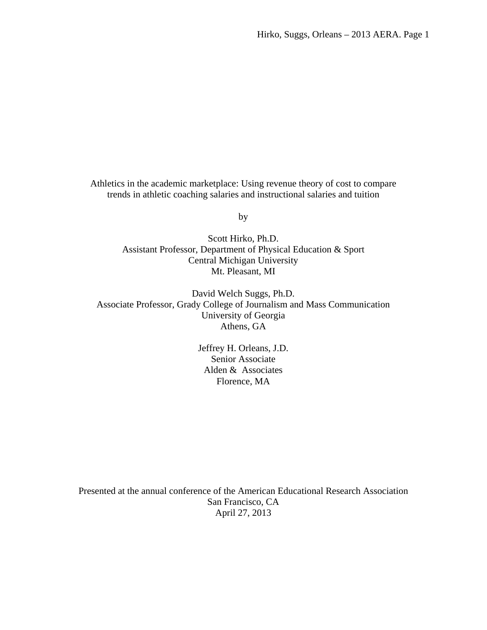Athletics in the academic marketplace: Using revenue theory of cost to compare trends in athletic coaching salaries and instructional salaries and tuition

by

Scott Hirko, Ph.D. Assistant Professor, Department of Physical Education & Sport Central Michigan University Mt. Pleasant, MI

David Welch Suggs, Ph.D. Associate Professor, Grady College of Journalism and Mass Communication University of Georgia Athens, GA

> Jeffrey H. Orleans, J.D. Senior Associate Alden & Associates Florence, MA

Presented at the annual conference of the American Educational Research Association San Francisco, CA April 27, 2013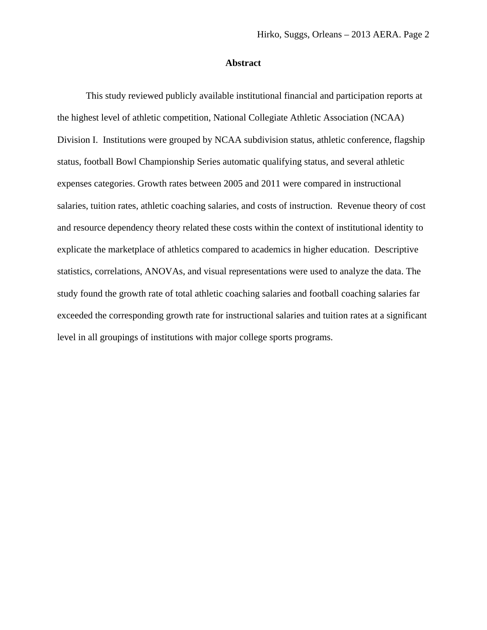### **Abstract**

This study reviewed publicly available institutional financial and participation reports at the highest level of athletic competition, National Collegiate Athletic Association (NCAA) Division I. Institutions were grouped by NCAA subdivision status, athletic conference, flagship status, football Bowl Championship Series automatic qualifying status, and several athletic expenses categories. Growth rates between 2005 and 2011 were compared in instructional salaries, tuition rates, athletic coaching salaries, and costs of instruction. Revenue theory of cost and resource dependency theory related these costs within the context of institutional identity to explicate the marketplace of athletics compared to academics in higher education. Descriptive statistics, correlations, ANOVAs, and visual representations were used to analyze the data. The study found the growth rate of total athletic coaching salaries and football coaching salaries far exceeded the corresponding growth rate for instructional salaries and tuition rates at a significant level in all groupings of institutions with major college sports programs.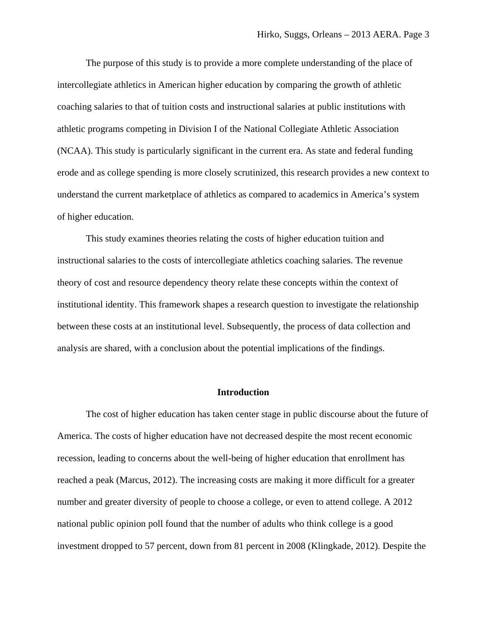The purpose of this study is to provide a more complete understanding of the place of intercollegiate athletics in American higher education by comparing the growth of athletic coaching salaries to that of tuition costs and instructional salaries at public institutions with athletic programs competing in Division I of the National Collegiate Athletic Association (NCAA). This study is particularly significant in the current era. As state and federal funding erode and as college spending is more closely scrutinized, this research provides a new context to understand the current marketplace of athletics as compared to academics in America's system of higher education.

This study examines theories relating the costs of higher education tuition and instructional salaries to the costs of intercollegiate athletics coaching salaries. The revenue theory of cost and resource dependency theory relate these concepts within the context of institutional identity. This framework shapes a research question to investigate the relationship between these costs at an institutional level. Subsequently, the process of data collection and analysis are shared, with a conclusion about the potential implications of the findings.

### **Introduction**

The cost of higher education has taken center stage in public discourse about the future of America. The costs of higher education have not decreased despite the most recent economic recession, leading to concerns about the well-being of higher education that enrollment has reached a peak (Marcus, 2012). The increasing costs are making it more difficult for a greater number and greater diversity of people to choose a college, or even to attend college. A 2012 national public opinion poll found that the number of adults who think college is a good investment dropped to 57 percent, down from 81 percent in 2008 (Klingkade, 2012). Despite the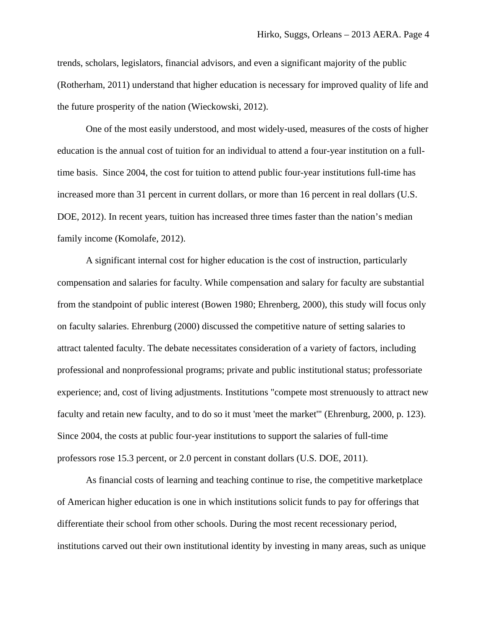trends, scholars, legislators, financial advisors, and even a significant majority of the public (Rotherham, 2011) understand that higher education is necessary for improved quality of life and the future prosperity of the nation (Wieckowski, 2012).

One of the most easily understood, and most widely-used, measures of the costs of higher education is the annual cost of tuition for an individual to attend a four-year institution on a fulltime basis. Since 2004, the cost for tuition to attend public four-year institutions full-time has increased more than 31 percent in current dollars, or more than 16 percent in real dollars (U.S. DOE, 2012). In recent years, tuition has increased three times faster than the nation's median family income (Komolafe, 2012).

A significant internal cost for higher education is the cost of instruction, particularly compensation and salaries for faculty. While compensation and salary for faculty are substantial from the standpoint of public interest (Bowen 1980; Ehrenberg, 2000), this study will focus only on faculty salaries. Ehrenburg (2000) discussed the competitive nature of setting salaries to attract talented faculty. The debate necessitates consideration of a variety of factors, including professional and nonprofessional programs; private and public institutional status; professoriate experience; and, cost of living adjustments. Institutions "compete most strenuously to attract new faculty and retain new faculty, and to do so it must 'meet the market'" (Ehrenburg, 2000, p. 123). Since 2004, the costs at public four-year institutions to support the salaries of full-time professors rose 15.3 percent, or 2.0 percent in constant dollars (U.S. DOE, 2011).

As financial costs of learning and teaching continue to rise, the competitive marketplace of American higher education is one in which institutions solicit funds to pay for offerings that differentiate their school from other schools. During the most recent recessionary period, institutions carved out their own institutional identity by investing in many areas, such as unique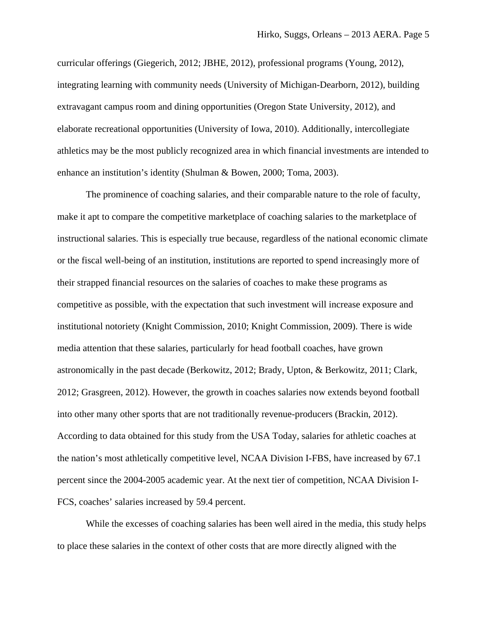curricular offerings (Giegerich, 2012; JBHE, 2012), professional programs (Young, 2012), integrating learning with community needs (University of Michigan-Dearborn, 2012), building extravagant campus room and dining opportunities (Oregon State University, 2012), and elaborate recreational opportunities (University of Iowa, 2010). Additionally, intercollegiate athletics may be the most publicly recognized area in which financial investments are intended to enhance an institution's identity (Shulman & Bowen, 2000; Toma, 2003).

The prominence of coaching salaries, and their comparable nature to the role of faculty, make it apt to compare the competitive marketplace of coaching salaries to the marketplace of instructional salaries. This is especially true because, regardless of the national economic climate or the fiscal well-being of an institution, institutions are reported to spend increasingly more of their strapped financial resources on the salaries of coaches to make these programs as competitive as possible, with the expectation that such investment will increase exposure and institutional notoriety (Knight Commission, 2010; Knight Commission, 2009). There is wide media attention that these salaries, particularly for head football coaches, have grown astronomically in the past decade (Berkowitz, 2012; Brady, Upton, & Berkowitz, 2011; Clark, 2012; Grasgreen, 2012). However, the growth in coaches salaries now extends beyond football into other many other sports that are not traditionally revenue-producers (Brackin, 2012). According to data obtained for this study from the USA Today, salaries for athletic coaches at the nation's most athletically competitive level, NCAA Division I-FBS, have increased by 67.1 percent since the 2004-2005 academic year. At the next tier of competition, NCAA Division I-FCS, coaches' salaries increased by 59.4 percent.

While the excesses of coaching salaries has been well aired in the media, this study helps to place these salaries in the context of other costs that are more directly aligned with the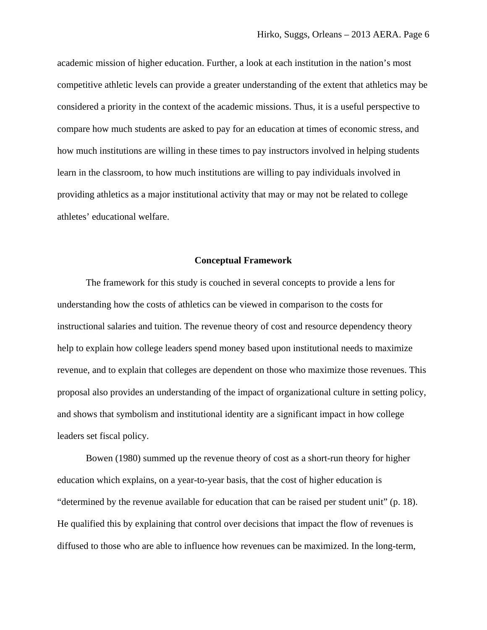academic mission of higher education. Further, a look at each institution in the nation's most competitive athletic levels can provide a greater understanding of the extent that athletics may be considered a priority in the context of the academic missions. Thus, it is a useful perspective to compare how much students are asked to pay for an education at times of economic stress, and how much institutions are willing in these times to pay instructors involved in helping students learn in the classroom, to how much institutions are willing to pay individuals involved in providing athletics as a major institutional activity that may or may not be related to college athletes' educational welfare.

#### **Conceptual Framework**

The framework for this study is couched in several concepts to provide a lens for understanding how the costs of athletics can be viewed in comparison to the costs for instructional salaries and tuition. The revenue theory of cost and resource dependency theory help to explain how college leaders spend money based upon institutional needs to maximize revenue, and to explain that colleges are dependent on those who maximize those revenues. This proposal also provides an understanding of the impact of organizational culture in setting policy, and shows that symbolism and institutional identity are a significant impact in how college leaders set fiscal policy.

Bowen (1980) summed up the revenue theory of cost as a short-run theory for higher education which explains, on a year-to-year basis, that the cost of higher education is "determined by the revenue available for education that can be raised per student unit" (p. 18). He qualified this by explaining that control over decisions that impact the flow of revenues is diffused to those who are able to influence how revenues can be maximized. In the long-term,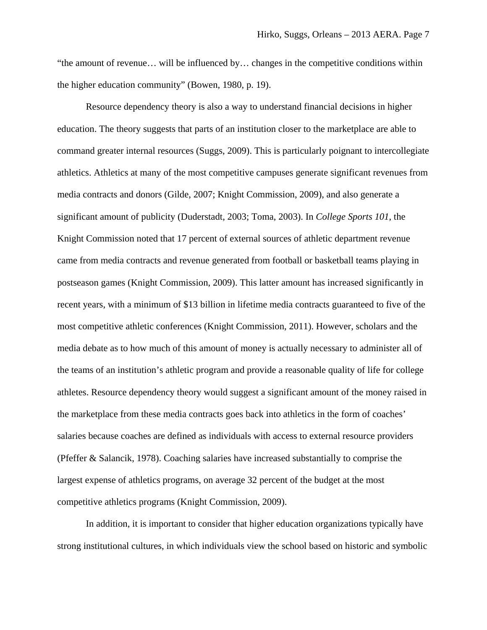"the amount of revenue… will be influenced by… changes in the competitive conditions within the higher education community" (Bowen, 1980, p. 19).

Resource dependency theory is also a way to understand financial decisions in higher education. The theory suggests that parts of an institution closer to the marketplace are able to command greater internal resources (Suggs, 2009). This is particularly poignant to intercollegiate athletics. Athletics at many of the most competitive campuses generate significant revenues from media contracts and donors (Gilde, 2007; Knight Commission, 2009), and also generate a significant amount of publicity (Duderstadt, 2003; Toma, 2003). In *College Sports 101*, the Knight Commission noted that 17 percent of external sources of athletic department revenue came from media contracts and revenue generated from football or basketball teams playing in postseason games (Knight Commission, 2009). This latter amount has increased significantly in recent years, with a minimum of \$13 billion in lifetime media contracts guaranteed to five of the most competitive athletic conferences (Knight Commission, 2011). However, scholars and the media debate as to how much of this amount of money is actually necessary to administer all of the teams of an institution's athletic program and provide a reasonable quality of life for college athletes. Resource dependency theory would suggest a significant amount of the money raised in the marketplace from these media contracts goes back into athletics in the form of coaches' salaries because coaches are defined as individuals with access to external resource providers (Pfeffer & Salancik, 1978). Coaching salaries have increased substantially to comprise the largest expense of athletics programs, on average 32 percent of the budget at the most competitive athletics programs (Knight Commission, 2009).

In addition, it is important to consider that higher education organizations typically have strong institutional cultures, in which individuals view the school based on historic and symbolic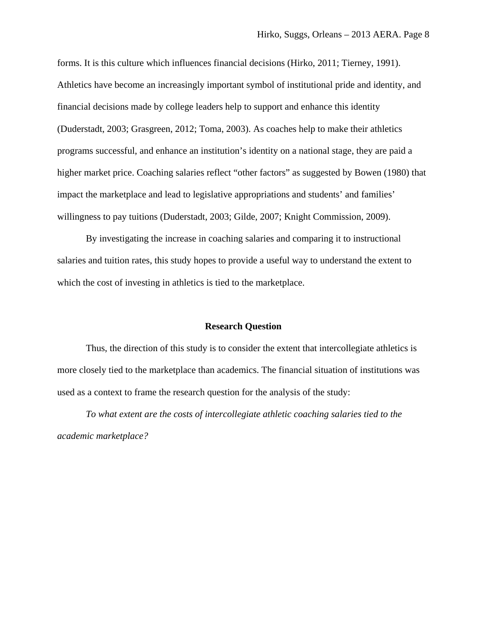forms. It is this culture which influences financial decisions (Hirko, 2011; Tierney, 1991). Athletics have become an increasingly important symbol of institutional pride and identity, and financial decisions made by college leaders help to support and enhance this identity (Duderstadt, 2003; Grasgreen, 2012; Toma, 2003). As coaches help to make their athletics programs successful, and enhance an institution's identity on a national stage, they are paid a higher market price. Coaching salaries reflect "other factors" as suggested by Bowen (1980) that impact the marketplace and lead to legislative appropriations and students' and families' willingness to pay tuitions (Duderstadt, 2003; Gilde, 2007; Knight Commission, 2009).

By investigating the increase in coaching salaries and comparing it to instructional salaries and tuition rates, this study hopes to provide a useful way to understand the extent to which the cost of investing in athletics is tied to the marketplace.

### **Research Question**

Thus, the direction of this study is to consider the extent that intercollegiate athletics is more closely tied to the marketplace than academics. The financial situation of institutions was used as a context to frame the research question for the analysis of the study:

*To what extent are the costs of intercollegiate athletic coaching salaries tied to the academic marketplace?*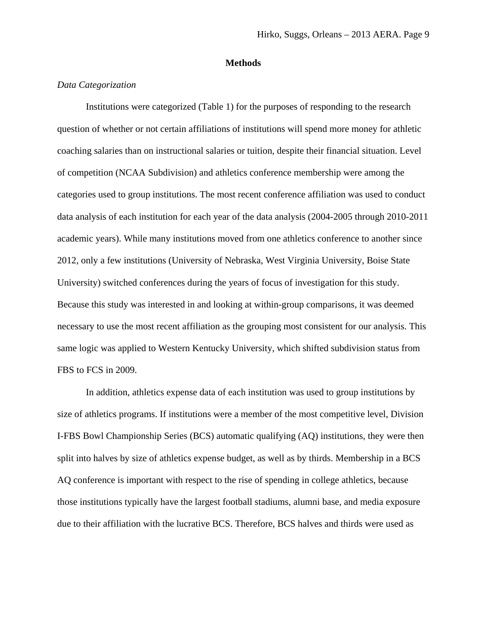## **Methods**

## *Data Categorization*

Institutions were categorized (Table 1) for the purposes of responding to the research question of whether or not certain affiliations of institutions will spend more money for athletic coaching salaries than on instructional salaries or tuition, despite their financial situation. Level of competition (NCAA Subdivision) and athletics conference membership were among the categories used to group institutions. The most recent conference affiliation was used to conduct data analysis of each institution for each year of the data analysis (2004-2005 through 2010-2011 academic years). While many institutions moved from one athletics conference to another since 2012, only a few institutions (University of Nebraska, West Virginia University, Boise State University) switched conferences during the years of focus of investigation for this study. Because this study was interested in and looking at within-group comparisons, it was deemed necessary to use the most recent affiliation as the grouping most consistent for our analysis. This same logic was applied to Western Kentucky University, which shifted subdivision status from FBS to FCS in 2009.

In addition, athletics expense data of each institution was used to group institutions by size of athletics programs. If institutions were a member of the most competitive level, Division I-FBS Bowl Championship Series (BCS) automatic qualifying (AQ) institutions, they were then split into halves by size of athletics expense budget, as well as by thirds. Membership in a BCS AQ conference is important with respect to the rise of spending in college athletics, because those institutions typically have the largest football stadiums, alumni base, and media exposure due to their affiliation with the lucrative BCS. Therefore, BCS halves and thirds were used as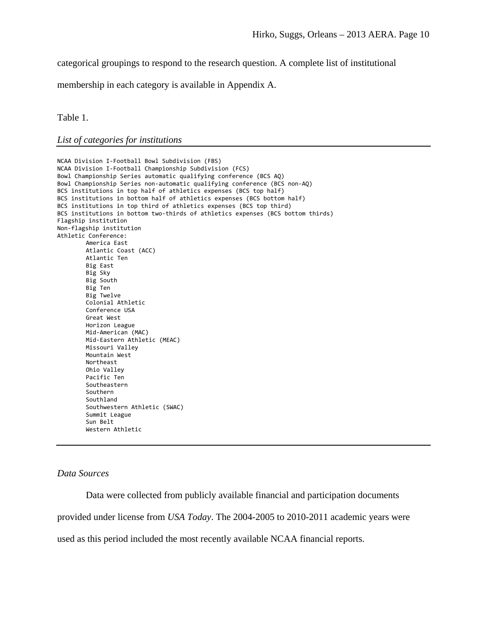categorical groupings to respond to the research question. A complete list of institutional

membership in each category is available in Appendix A.

Table 1.

*List of categories for institutions* 

```
NCAA Division I‐Football Bowl Subdivision (FBS)   
NCAA Division I‐Football Championship Subdivision (FCS)
Bowl Championship Series automatic qualifying conference (BCS AQ)
Bowl Championship Series non‐automatic qualifying conference (BCS non‐AQ)
BCS institutions in top half of athletics expenses (BCS top half)
BCS institutions in bottom half of athletics expenses (BCS bottom half)
BCS institutions in top third of athletics expenses (BCS top third)
BCS institutions in bottom two‐thirds of athletics expenses (BCS bottom thirds)
Flagship institution
Non‐flagship institution
Athletic Conference:
        America East
        Atlantic Coast (ACC)
        Atlantic Ten
        Big East
        Big Sky
        Big South
        Big Ten
        Big Twelve
        Colonial Athletic
        Conference USA
        Great West
        Horizon League
        Mid‐American (MAC)
        Mid‐Eastern Athletic (MEAC)
        Missouri Valley
        Mountain West
        Northeast
        Ohio Valley
        Pacific Ten
        Southeastern
        Southern
        Southland
        Southwestern Athletic (SWAC)
        Summit League
        Sun Belt
        Western Athletic
```
# *Data Sources*

Data were collected from publicly available financial and participation documents provided under license from *USA Today*. The 2004-2005 to 2010-2011 academic years were used as this period included the most recently available NCAA financial reports.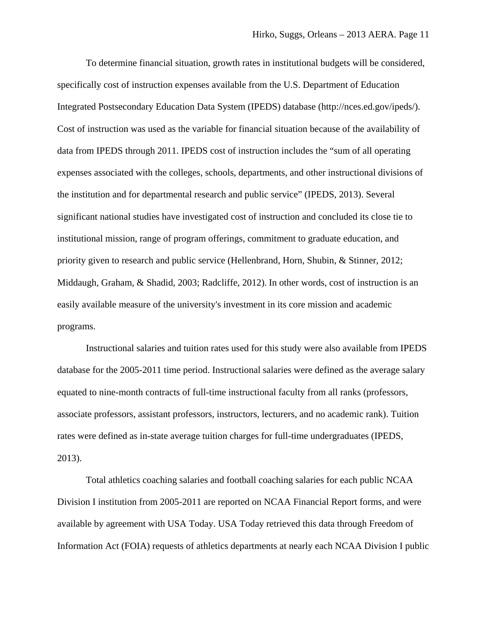To determine financial situation, growth rates in institutional budgets will be considered, specifically cost of instruction expenses available from the U.S. Department of Education Integrated Postsecondary Education Data System (IPEDS) database (http://nces.ed.gov/ipeds/). Cost of instruction was used as the variable for financial situation because of the availability of data from IPEDS through 2011. IPEDS cost of instruction includes the "sum of all operating expenses associated with the colleges, schools, departments, and other instructional divisions of the institution and for departmental research and public service" (IPEDS, 2013). Several significant national studies have investigated cost of instruction and concluded its close tie to institutional mission, range of program offerings, commitment to graduate education, and priority given to research and public service (Hellenbrand, Horn, Shubin, & Stinner, 2012; Middaugh, Graham, & Shadid, 2003; Radcliffe, 2012). In other words, cost of instruction is an easily available measure of the university's investment in its core mission and academic programs.

Instructional salaries and tuition rates used for this study were also available from IPEDS database for the 2005-2011 time period. Instructional salaries were defined as the average salary equated to nine-month contracts of full-time instructional faculty from all ranks (professors, associate professors, assistant professors, instructors, lecturers, and no academic rank). Tuition rates were defined as in-state average tuition charges for full-time undergraduates (IPEDS, 2013).

Total athletics coaching salaries and football coaching salaries for each public NCAA Division I institution from 2005-2011 are reported on NCAA Financial Report forms, and were available by agreement with USA Today. USA Today retrieved this data through Freedom of Information Act (FOIA) requests of athletics departments at nearly each NCAA Division I public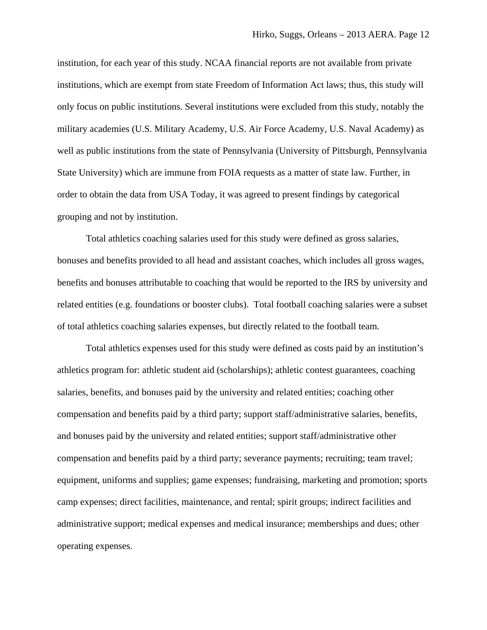institution, for each year of this study. NCAA financial reports are not available from private institutions, which are exempt from state Freedom of Information Act laws; thus, this study will only focus on public institutions. Several institutions were excluded from this study, notably the military academies (U.S. Military Academy, U.S. Air Force Academy, U.S. Naval Academy) as well as public institutions from the state of Pennsylvania (University of Pittsburgh, Pennsylvania State University) which are immune from FOIA requests as a matter of state law. Further, in order to obtain the data from USA Today, it was agreed to present findings by categorical grouping and not by institution.

Total athletics coaching salaries used for this study were defined as gross salaries, bonuses and benefits provided to all head and assistant coaches, which includes all gross wages, benefits and bonuses attributable to coaching that would be reported to the IRS by university and related entities (e.g. foundations or booster clubs). Total football coaching salaries were a subset of total athletics coaching salaries expenses, but directly related to the football team.

Total athletics expenses used for this study were defined as costs paid by an institution's athletics program for: athletic student aid (scholarships); athletic contest guarantees, coaching salaries, benefits, and bonuses paid by the university and related entities; coaching other compensation and benefits paid by a third party; support staff/administrative salaries, benefits, and bonuses paid by the university and related entities; support staff/administrative other compensation and benefits paid by a third party; severance payments; recruiting; team travel; equipment, uniforms and supplies; game expenses; fundraising, marketing and promotion; sports camp expenses; direct facilities, maintenance, and rental; spirit groups; indirect facilities and administrative support; medical expenses and medical insurance; memberships and dues; other operating expenses.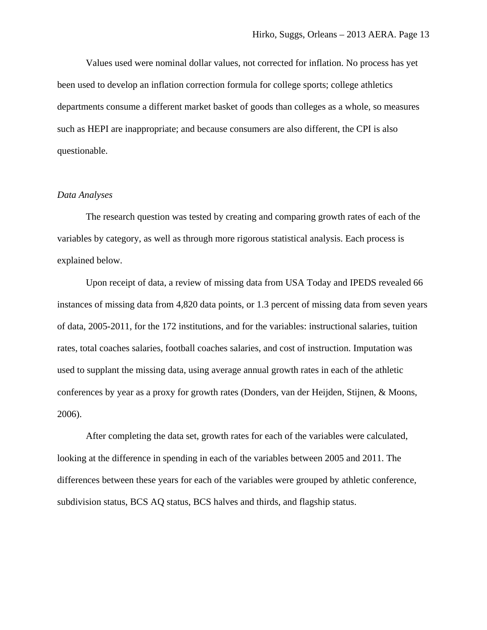Values used were nominal dollar values, not corrected for inflation. No process has yet been used to develop an inflation correction formula for college sports; college athletics departments consume a different market basket of goods than colleges as a whole, so measures such as HEPI are inappropriate; and because consumers are also different, the CPI is also questionable.

#### *Data Analyses*

The research question was tested by creating and comparing growth rates of each of the variables by category, as well as through more rigorous statistical analysis. Each process is explained below.

Upon receipt of data, a review of missing data from USA Today and IPEDS revealed 66 instances of missing data from 4,820 data points, or 1.3 percent of missing data from seven years of data, 2005-2011, for the 172 institutions, and for the variables: instructional salaries, tuition rates, total coaches salaries, football coaches salaries, and cost of instruction. Imputation was used to supplant the missing data, using average annual growth rates in each of the athletic conferences by year as a proxy for growth rates (Donders, van der Heijden, Stijnen, & Moons, 2006).

After completing the data set, growth rates for each of the variables were calculated, looking at the difference in spending in each of the variables between 2005 and 2011. The differences between these years for each of the variables were grouped by athletic conference, subdivision status, BCS AQ status, BCS halves and thirds, and flagship status.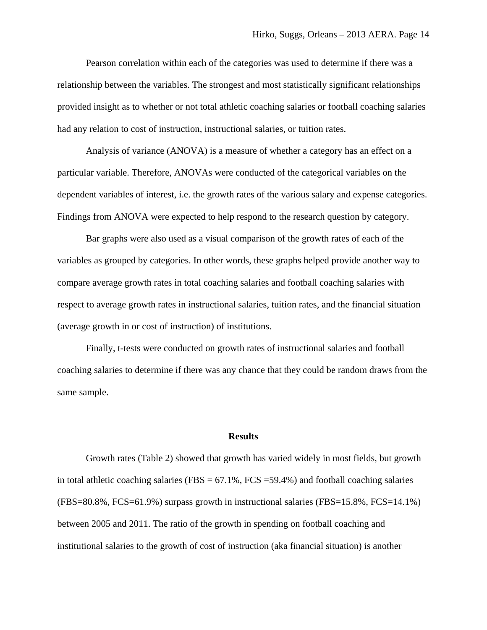Pearson correlation within each of the categories was used to determine if there was a relationship between the variables. The strongest and most statistically significant relationships provided insight as to whether or not total athletic coaching salaries or football coaching salaries had any relation to cost of instruction, instructional salaries, or tuition rates.

Analysis of variance (ANOVA) is a measure of whether a category has an effect on a particular variable. Therefore, ANOVAs were conducted of the categorical variables on the dependent variables of interest, i.e. the growth rates of the various salary and expense categories. Findings from ANOVA were expected to help respond to the research question by category.

Bar graphs were also used as a visual comparison of the growth rates of each of the variables as grouped by categories. In other words, these graphs helped provide another way to compare average growth rates in total coaching salaries and football coaching salaries with respect to average growth rates in instructional salaries, tuition rates, and the financial situation (average growth in or cost of instruction) of institutions.

Finally, t-tests were conducted on growth rates of instructional salaries and football coaching salaries to determine if there was any chance that they could be random draws from the same sample.

### **Results**

Growth rates (Table 2) showed that growth has varied widely in most fields, but growth in total athletic coaching salaries (FBS =  $67.1\%$ , FCS =  $59.4\%$ ) and football coaching salaries  $(FBS=80.8\% , FCS=61.9\%)$  surpass growth in instructional salaries  $(FBS=15.8\% , FCS=14.1\%)$ between 2005 and 2011. The ratio of the growth in spending on football coaching and institutional salaries to the growth of cost of instruction (aka financial situation) is another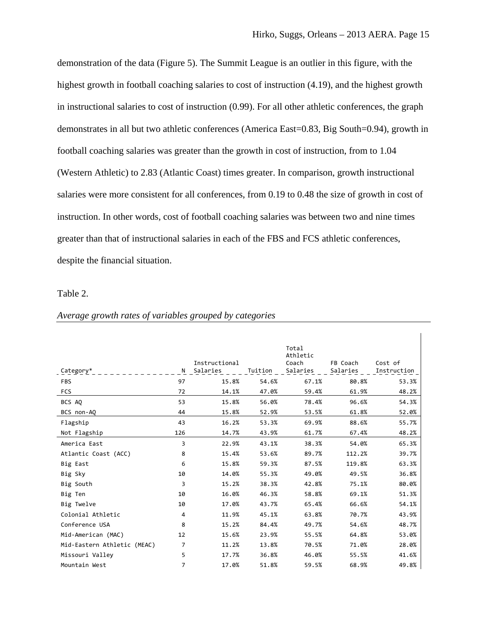$\mathbf{r}$ 

demonstration of the data (Figure 5). The Summit League is an outlier in this figure, with the highest growth in football coaching salaries to cost of instruction (4.19), and the highest growth in instructional salaries to cost of instruction (0.99). For all other athletic conferences, the graph demonstrates in all but two athletic conferences (America East=0.83, Big South=0.94), growth in football coaching salaries was greater than the growth in cost of instruction, from to 1.04 (Western Athletic) to 2.83 (Atlantic Coast) times greater. In comparison, growth instructional salaries were more consistent for all conferences, from 0.19 to 0.48 the size of growth in cost of instruction. In other words, cost of football coaching salaries was between two and nine times greater than that of instructional salaries in each of the FBS and FCS athletic conferences, despite the financial situation.

## Table 2.

|                             |                |               |         | Total             |          |             |
|-----------------------------|----------------|---------------|---------|-------------------|----------|-------------|
|                             |                | Instructional |         | Athletic<br>Coach | FB Coach | Cost of     |
| Category*                   | N              | Salaries      | Tuition | Salaries          | Salaries | Instruction |
| <b>FBS</b>                  | 97             | 15.8%         | 54.6%   | 67.1%             | 80.8%    | 53.3%       |
| <b>FCS</b>                  | 72             | 14.1%         | 47.0%   | 59.4%             | 61.9%    | 48.2%       |
| BCS AQ                      | 53             | 15.8%         | 56.0%   | 78.4%             | 96.6%    | 54.3%       |
| BCS non-AQ                  | 44             | 15.8%         | 52.9%   | 53.5%             | 61.8%    | 52.0%       |
| Flagship                    | 43             | 16.2%         | 53.3%   | 69.9%             | 88.6%    | 55.7%       |
| Not Flagship                | 126            | 14.7%         | 43.9%   | 61.7%             | 67.4%    | 48.2%       |
| America East                | 3              | 22.9%         | 43.1%   | 38.3%             | 54.0%    | 65.3%       |
| Atlantic Coast (ACC)        | 8              | 15.4%         | 53.6%   | 89.7%             | 112.2%   | 39.7%       |
| Big East                    | 6              | 15.8%         | 59.3%   | 87.5%             | 119.8%   | 63.3%       |
| Big Sky                     | 10             | 14.0%         | 55.3%   | 49.0%             | 49.5%    | 36.8%       |
| Big South                   | 3              | 15.2%         | 38.3%   | 42.8%             | 75.1%    | 80.0%       |
| Big Ten                     | 10             | 16.0%         | 46.3%   | 58.8%             | 69.1%    | 51.3%       |
| Big Twelve                  | 10             | 17.0%         | 43.7%   | 65.4%             | 66.6%    | 54.1%       |
| Colonial Athletic           | 4              | 11.9%         | 45.1%   | 63.8%             | 70.7%    | 43.9%       |
| Conference USA              | 8              | 15.2%         | 84.4%   | 49.7%             | 54.6%    | 48.7%       |
| Mid-American (MAC)          | 12             | 15.6%         | 23.9%   | 55.5%             | 64.8%    | 53.0%       |
| Mid-Eastern Athletic (MEAC) | $\overline{7}$ | 11.2%         | 13.8%   | 70.5%             | 71.0%    | 28.0%       |
| Missouri Valley             | 5              | 17.7%         | 36.8%   | 46.0%             | 55.5%    | 41.6%       |
| Mountain West               | $\overline{7}$ | 17.0%         | 51.8%   | 59.5%             | 68.9%    | 49.8%       |

# *Average growth rates of variables grouped by categories*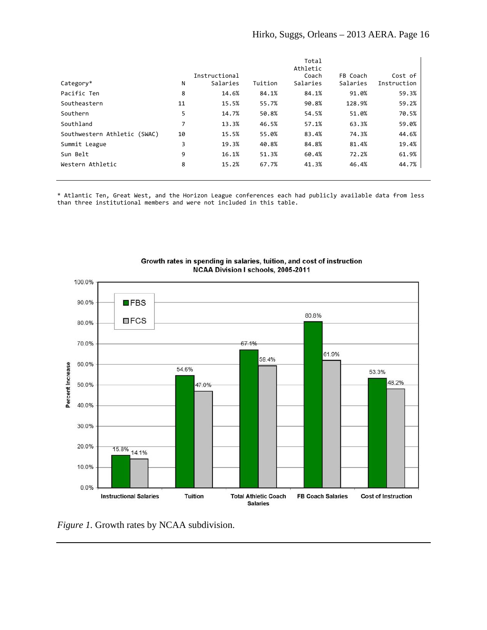|                              |    |               |         | Total    |          |             |
|------------------------------|----|---------------|---------|----------|----------|-------------|
|                              |    |               |         | Athletic |          |             |
|                              |    | Instructional |         | Coach    | FB Coach | Cost of     |
| Category*                    | N  | Salaries      | Tuition | Salaries | Salaries | Instruction |
| Pacific Ten                  | 8  | 14.6%         | 84.1%   | 84.1%    | 91.0%    | 59.3%       |
| Southeastern                 | 11 | 15.5%         | 55.7%   | 90.8%    | 128.9%   | 59.2%       |
| Southern                     | 5  | 14.7%         | 50.8%   | 54.5%    | 51.0%    | 70.5%       |
| Southland                    | 7  | 13.3%         | 46.5%   | 57.1%    | 63.3%    | 59.0%       |
| Southwestern Athletic (SWAC) | 10 | 15.5%         | 55.0%   | 83.4%    | 74.3%    | 44.6%       |
| Summit League                | 3  | 19.3%         | 40.8%   | 84.8%    | 81.4%    | 19.4%       |
| Sun Belt                     | 9  | 16.1%         | 51.3%   | 60.4%    | 72.2%    | 61.9%       |
| Western Athletic             | 8  | 15.2%         | 67.7%   | 41.3%    | 46.4%    | 44.7%       |
|                              |    |               |         |          |          |             |

\* Atlantic Ten, Great West, and the Horizon League conferences each had publicly available data from less than three institutional members and were not included in this table.



Growth rates in spending in salaries, tuition, and cost of instruction NCAA Division I schools, 2005-2011

*Figure 1.* Growth rates by NCAA subdivision.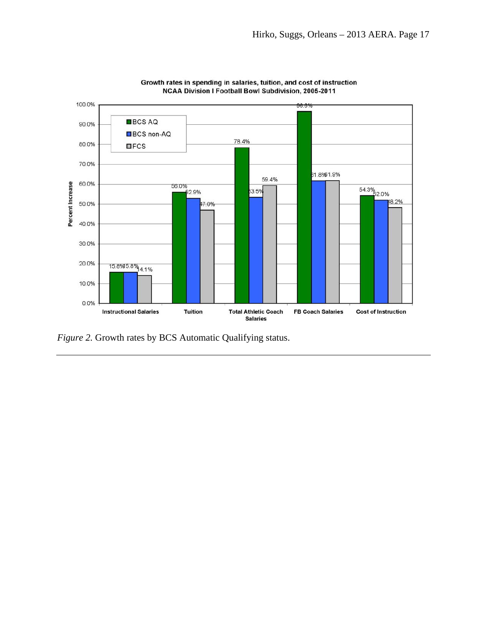



*Figure 2.* Growth rates by BCS Automatic Qualifying status.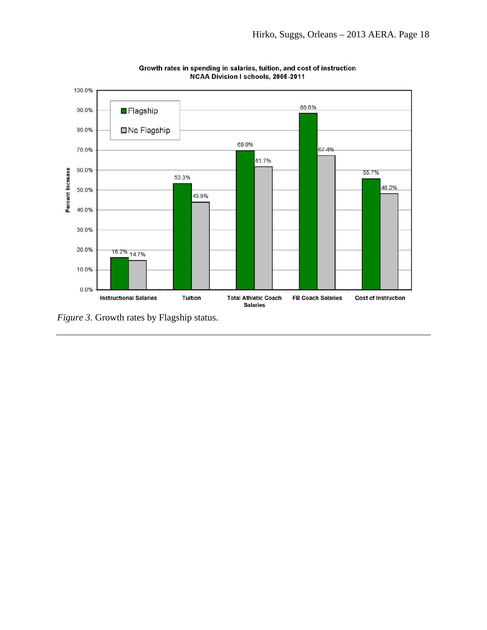

Growth rates in spending in salaries, tuition, and cost of instruction NCAA Division I schools, 2005-2011

*Figure 3.* Growth rates by Flagship status.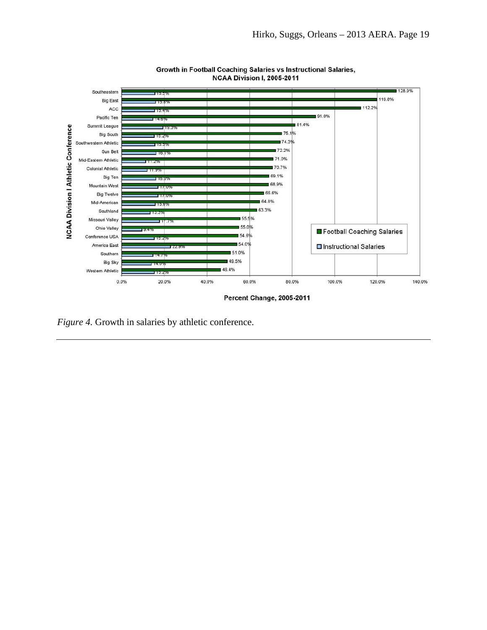



*Figure 4.* Growth in salaries by athletic conference.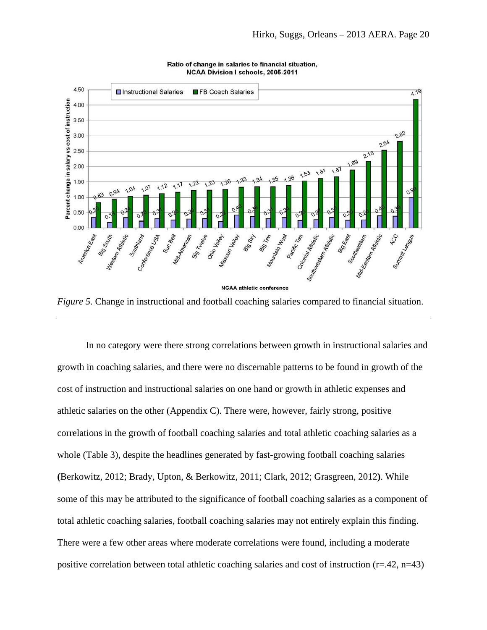



*Figure 5.* Change in instructional and football coaching salaries compared to financial situation.

In no category were there strong correlations between growth in instructional salaries and growth in coaching salaries, and there were no discernable patterns to be found in growth of the cost of instruction and instructional salaries on one hand or growth in athletic expenses and athletic salaries on the other (Appendix C). There were, however, fairly strong, positive correlations in the growth of football coaching salaries and total athletic coaching salaries as a whole (Table 3), despite the headlines generated by fast-growing football coaching salaries **(**Berkowitz, 2012; Brady, Upton, & Berkowitz, 2011; Clark, 2012; Grasgreen, 2012**)**. While some of this may be attributed to the significance of football coaching salaries as a component of total athletic coaching salaries, football coaching salaries may not entirely explain this finding. There were a few other areas where moderate correlations were found, including a moderate positive correlation between total athletic coaching salaries and cost of instruction ( $r=42$ ,  $n=43$ )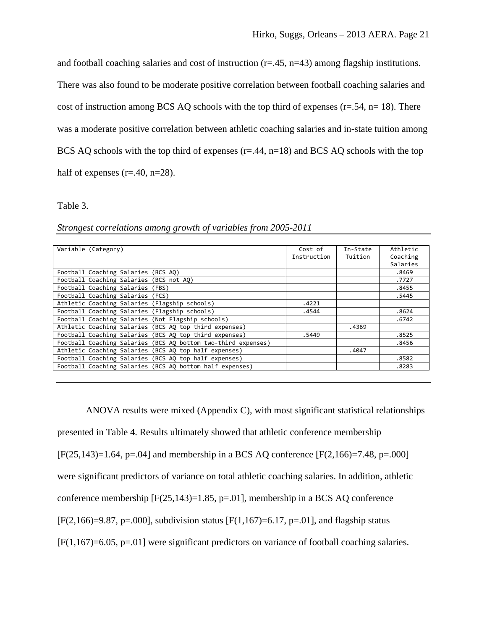and football coaching salaries and cost of instruction  $(r=.45, n=.43)$  among flagship institutions.

There was also found to be moderate positive correlation between football coaching salaries and cost of instruction among BCS AQ schools with the top third of expenses  $(r=.54, n=.18)$ . There was a moderate positive correlation between athletic coaching salaries and in-state tuition among BCS AQ schools with the top third of expenses  $(r=.44, n=18)$  and BCS AQ schools with the top half of expenses ( $r = .40$ ,  $n = 28$ ).

### Table 3.

| Variable (Category)                                   |                                                               | Cost of     | In-State | Athletic |
|-------------------------------------------------------|---------------------------------------------------------------|-------------|----------|----------|
|                                                       |                                                               | Instruction | Tuition  | Coaching |
|                                                       |                                                               |             |          | Salaries |
| Football Coaching Salaries (BCS AQ)                   |                                                               |             |          | .8469    |
| Football Coaching Salaries (BCS not AQ)               |                                                               |             |          | .7727    |
| Football Coaching Salaries (FBS)                      |                                                               |             |          | .8455    |
| Football Coaching Salaries (FCS)                      |                                                               |             |          | .5445    |
| Athletic Coaching Salaries (Flagship schools)         |                                                               | .4221       |          |          |
| Football Coaching Salaries (Flagship schools)         |                                                               | .4544       |          | .8624    |
| Football Coaching Salaries (Not Flagship schools)     |                                                               |             |          | .6742    |
|                                                       | Athletic Coaching Salaries (BCS AQ top third expenses)        |             | .4369    |          |
|                                                       | Football Coaching Salaries (BCS AO top third expenses)        | .5449       |          | .8525    |
|                                                       | Football Coaching Salaries (BCS AQ bottom two-third expenses) |             |          | .8456    |
| Athletic Coaching Salaries (BCS AQ top half expenses) |                                                               |             | .4047    |          |
| Football Coaching Salaries (BCS AQ top half expenses) |                                                               |             |          | .8582    |
|                                                       | Football Coaching Salaries (BCS AQ bottom half expenses)      |             |          | .8283    |
|                                                       |                                                               |             |          |          |

*Strongest correlations among growth of variables from 2005-2011* 

ANOVA results were mixed (Appendix C), with most significant statistical relationships presented in Table 4. Results ultimately showed that athletic conference membership  $[F(25,143)=1.64, p=.04]$  and membership in a BCS AQ conference  $[F(2,166)=7.48, p=.000]$ were significant predictors of variance on total athletic coaching salaries. In addition, athletic conference membership  $[F(25,143)=1.85, p=.01]$ , membership in a BCS AQ conference  $[F(2,166)=9.87, p=.000]$ , subdivision status  $[F(1,167)=6.17, p=.01]$ , and flagship status [F(1,167)=6.05, p=.01] were significant predictors on variance of football coaching salaries.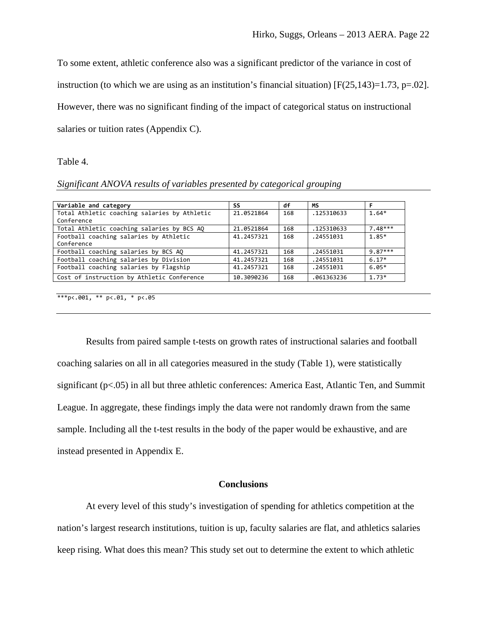To some extent, athletic conference also was a significant predictor of the variance in cost of

instruction (to which we are using as an institution's financial situation)  $[F(25,143)=1.73, p=.02]$ .

However, there was no significant finding of the impact of categorical status on instructional

salaries or tuition rates (Appendix C).

Table 4.

*Significant ANOVA results of variables presented by categorical grouping* 

| Variable and category                        | SS         | df  | MS         |           |
|----------------------------------------------|------------|-----|------------|-----------|
| Total Athletic coaching salaries by Athletic | 21.0521864 | 168 | .125310633 | $1.64*$   |
| Conference                                   |            |     |            |           |
| Total Athletic coaching salaries by BCS AQ   | 21.0521864 | 168 | .125310633 | $7.48***$ |
| Football coaching salaries by Athletic       | 41.2457321 | 168 | .24551031  | $1.85*$   |
| Conference                                   |            |     |            |           |
| Football coaching salaries by BCS AQ         | 41.2457321 | 168 | .24551031  | $9.87***$ |
| Football coaching salaries by Division       | 41.2457321 | 168 | .24551031  | $6.17*$   |
| Football coaching salaries by Flagship       | 41.2457321 | 168 | .24551031  | $6.05*$   |
| Cost of instruction by Athletic Conference   | 10.3090236 | 168 | .061363236 | $1.73*$   |

<sup>\*\*\*</sup>p<.001, \*\* p<.01, \* p<.05

Results from paired sample t-tests on growth rates of instructional salaries and football coaching salaries on all in all categories measured in the study (Table 1), were statistically significant ( $p<0.05$ ) in all but three athletic conferences: America East, Atlantic Ten, and Summit League. In aggregate, these findings imply the data were not randomly drawn from the same sample. Including all the t-test results in the body of the paper would be exhaustive, and are instead presented in Appendix E.

## **Conclusions**

At every level of this study's investigation of spending for athletics competition at the nation's largest research institutions, tuition is up, faculty salaries are flat, and athletics salaries keep rising. What does this mean? This study set out to determine the extent to which athletic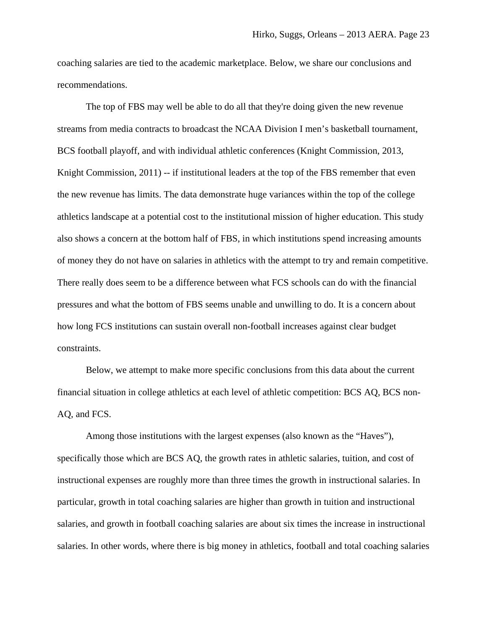coaching salaries are tied to the academic marketplace. Below, we share our conclusions and recommendations.

The top of FBS may well be able to do all that they're doing given the new revenue streams from media contracts to broadcast the NCAA Division I men's basketball tournament, BCS football playoff, and with individual athletic conferences (Knight Commission, 2013, Knight Commission, 2011) -- if institutional leaders at the top of the FBS remember that even the new revenue has limits. The data demonstrate huge variances within the top of the college athletics landscape at a potential cost to the institutional mission of higher education. This study also shows a concern at the bottom half of FBS, in which institutions spend increasing amounts of money they do not have on salaries in athletics with the attempt to try and remain competitive. There really does seem to be a difference between what FCS schools can do with the financial pressures and what the bottom of FBS seems unable and unwilling to do. It is a concern about how long FCS institutions can sustain overall non-football increases against clear budget constraints.

Below, we attempt to make more specific conclusions from this data about the current financial situation in college athletics at each level of athletic competition: BCS AQ, BCS non-AQ, and FCS.

Among those institutions with the largest expenses (also known as the "Haves"), specifically those which are BCS AQ, the growth rates in athletic salaries, tuition, and cost of instructional expenses are roughly more than three times the growth in instructional salaries. In particular, growth in total coaching salaries are higher than growth in tuition and instructional salaries, and growth in football coaching salaries are about six times the increase in instructional salaries. In other words, where there is big money in athletics, football and total coaching salaries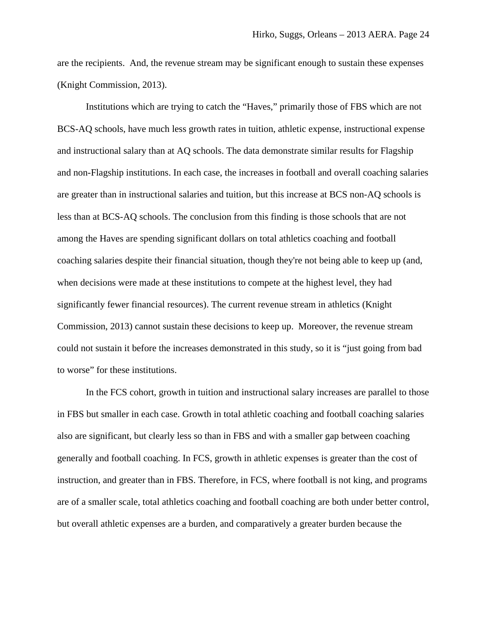are the recipients. And, the revenue stream may be significant enough to sustain these expenses (Knight Commission, 2013).

Institutions which are trying to catch the "Haves," primarily those of FBS which are not BCS-AQ schools, have much less growth rates in tuition, athletic expense, instructional expense and instructional salary than at AQ schools. The data demonstrate similar results for Flagship and non-Flagship institutions. In each case, the increases in football and overall coaching salaries are greater than in instructional salaries and tuition, but this increase at BCS non-AQ schools is less than at BCS-AQ schools. The conclusion from this finding is those schools that are not among the Haves are spending significant dollars on total athletics coaching and football coaching salaries despite their financial situation, though they're not being able to keep up (and, when decisions were made at these institutions to compete at the highest level, they had significantly fewer financial resources). The current revenue stream in athletics (Knight Commission, 2013) cannot sustain these decisions to keep up. Moreover, the revenue stream could not sustain it before the increases demonstrated in this study, so it is "just going from bad to worse" for these institutions.

In the FCS cohort, growth in tuition and instructional salary increases are parallel to those in FBS but smaller in each case. Growth in total athletic coaching and football coaching salaries also are significant, but clearly less so than in FBS and with a smaller gap between coaching generally and football coaching. In FCS, growth in athletic expenses is greater than the cost of instruction, and greater than in FBS. Therefore, in FCS, where football is not king, and programs are of a smaller scale, total athletics coaching and football coaching are both under better control, but overall athletic expenses are a burden, and comparatively a greater burden because the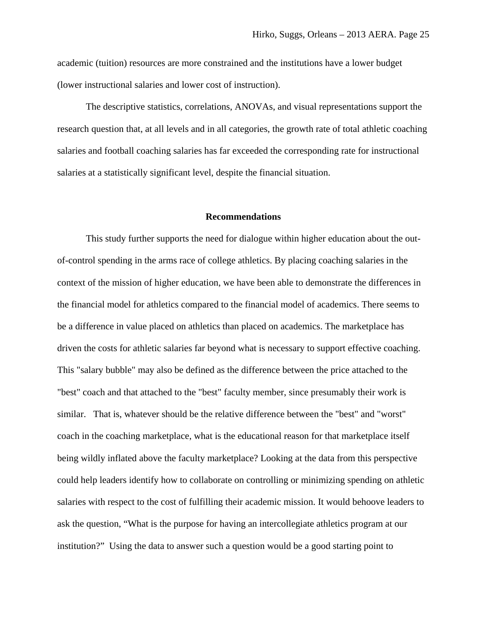academic (tuition) resources are more constrained and the institutions have a lower budget (lower instructional salaries and lower cost of instruction).

The descriptive statistics, correlations, ANOVAs, and visual representations support the research question that, at all levels and in all categories, the growth rate of total athletic coaching salaries and football coaching salaries has far exceeded the corresponding rate for instructional salaries at a statistically significant level, despite the financial situation.

### **Recommendations**

This study further supports the need for dialogue within higher education about the outof-control spending in the arms race of college athletics. By placing coaching salaries in the context of the mission of higher education, we have been able to demonstrate the differences in the financial model for athletics compared to the financial model of academics. There seems to be a difference in value placed on athletics than placed on academics. The marketplace has driven the costs for athletic salaries far beyond what is necessary to support effective coaching. This "salary bubble" may also be defined as the difference between the price attached to the "best" coach and that attached to the "best" faculty member, since presumably their work is similar. That is, whatever should be the relative difference between the "best" and "worst" coach in the coaching marketplace, what is the educational reason for that marketplace itself being wildly inflated above the faculty marketplace? Looking at the data from this perspective could help leaders identify how to collaborate on controlling or minimizing spending on athletic salaries with respect to the cost of fulfilling their academic mission. It would behoove leaders to ask the question, "What is the purpose for having an intercollegiate athletics program at our institution?" Using the data to answer such a question would be a good starting point to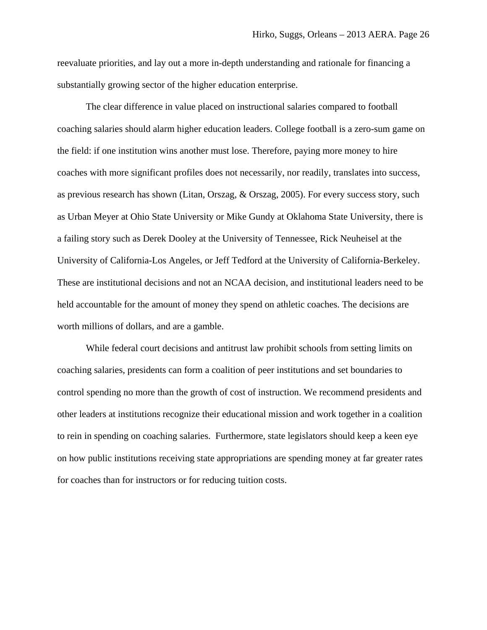reevaluate priorities, and lay out a more in-depth understanding and rationale for financing a substantially growing sector of the higher education enterprise.

The clear difference in value placed on instructional salaries compared to football coaching salaries should alarm higher education leaders. College football is a zero-sum game on the field: if one institution wins another must lose. Therefore, paying more money to hire coaches with more significant profiles does not necessarily, nor readily, translates into success, as previous research has shown (Litan, Orszag, & Orszag, 2005). For every success story, such as Urban Meyer at Ohio State University or Mike Gundy at Oklahoma State University, there is a failing story such as Derek Dooley at the University of Tennessee, Rick Neuheisel at the University of California-Los Angeles, or Jeff Tedford at the University of California-Berkeley. These are institutional decisions and not an NCAA decision, and institutional leaders need to be held accountable for the amount of money they spend on athletic coaches. The decisions are worth millions of dollars, and are a gamble.

While federal court decisions and antitrust law prohibit schools from setting limits on coaching salaries, presidents can form a coalition of peer institutions and set boundaries to control spending no more than the growth of cost of instruction. We recommend presidents and other leaders at institutions recognize their educational mission and work together in a coalition to rein in spending on coaching salaries. Furthermore, state legislators should keep a keen eye on how public institutions receiving state appropriations are spending money at far greater rates for coaches than for instructors or for reducing tuition costs.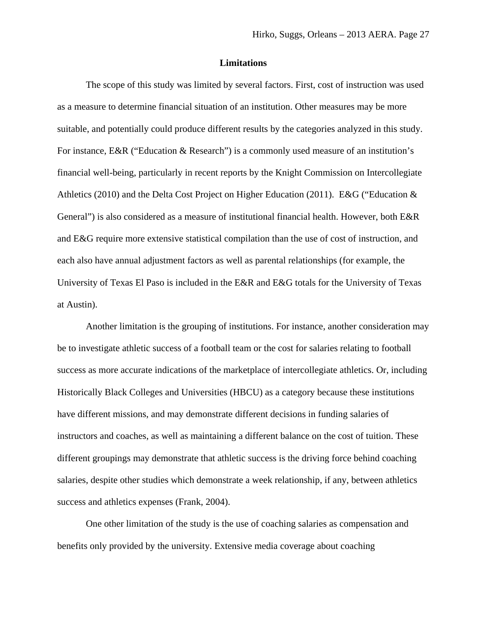### **Limitations**

The scope of this study was limited by several factors. First, cost of instruction was used as a measure to determine financial situation of an institution. Other measures may be more suitable, and potentially could produce different results by the categories analyzed in this study. For instance, E&R ("Education & Research") is a commonly used measure of an institution's financial well-being, particularly in recent reports by the Knight Commission on Intercollegiate Athletics (2010) and the Delta Cost Project on Higher Education (2011). E&G ("Education & General") is also considered as a measure of institutional financial health. However, both E&R and E&G require more extensive statistical compilation than the use of cost of instruction, and each also have annual adjustment factors as well as parental relationships (for example, the University of Texas El Paso is included in the E&R and E&G totals for the University of Texas at Austin).

Another limitation is the grouping of institutions. For instance, another consideration may be to investigate athletic success of a football team or the cost for salaries relating to football success as more accurate indications of the marketplace of intercollegiate athletics. Or, including Historically Black Colleges and Universities (HBCU) as a category because these institutions have different missions, and may demonstrate different decisions in funding salaries of instructors and coaches, as well as maintaining a different balance on the cost of tuition. These different groupings may demonstrate that athletic success is the driving force behind coaching salaries, despite other studies which demonstrate a week relationship, if any, between athletics success and athletics expenses (Frank, 2004).

One other limitation of the study is the use of coaching salaries as compensation and benefits only provided by the university. Extensive media coverage about coaching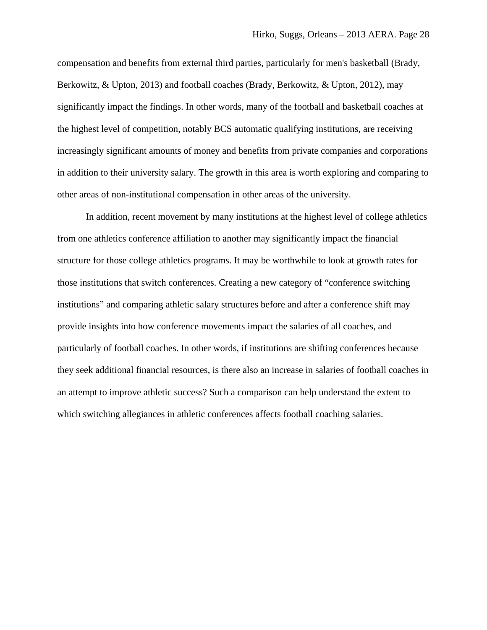compensation and benefits from external third parties, particularly for men's basketball (Brady, Berkowitz, & Upton, 2013) and football coaches (Brady, Berkowitz, & Upton, 2012), may significantly impact the findings. In other words, many of the football and basketball coaches at the highest level of competition, notably BCS automatic qualifying institutions, are receiving increasingly significant amounts of money and benefits from private companies and corporations in addition to their university salary. The growth in this area is worth exploring and comparing to other areas of non-institutional compensation in other areas of the university.

In addition, recent movement by many institutions at the highest level of college athletics from one athletics conference affiliation to another may significantly impact the financial structure for those college athletics programs. It may be worthwhile to look at growth rates for those institutions that switch conferences. Creating a new category of "conference switching institutions" and comparing athletic salary structures before and after a conference shift may provide insights into how conference movements impact the salaries of all coaches, and particularly of football coaches. In other words, if institutions are shifting conferences because they seek additional financial resources, is there also an increase in salaries of football coaches in an attempt to improve athletic success? Such a comparison can help understand the extent to which switching allegiances in athletic conferences affects football coaching salaries.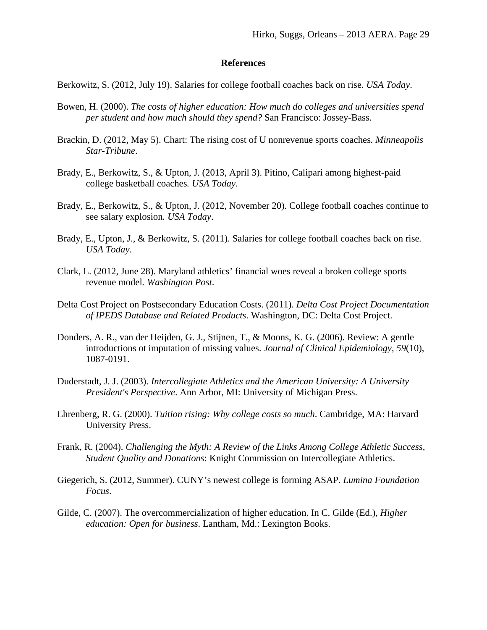## **References**

Berkowitz, S. (2012, July 19). Salaries for college football coaches back on rise*. USA Today*.

- Bowen, H. (2000). *The costs of higher education: How much do colleges and universities spend per student and how much should they spend?* San Francisco: Jossey-Bass.
- Brackin, D. (2012, May 5). Chart: The rising cost of U nonrevenue sports coaches*. Minneapolis Star-Tribune*.
- Brady, E., Berkowitz, S., & Upton, J. (2013, April 3). Pitino, Calipari among highest-paid college basketball coaches*. USA Today*.
- Brady, E., Berkowitz, S., & Upton, J. (2012, November 20). College football coaches continue to see salary explosion*. USA Today*.
- Brady, E., Upton, J., & Berkowitz, S. (2011). Salaries for college football coaches back on rise*. USA Today*.
- Clark, L. (2012, June 28). Maryland athletics' financial woes reveal a broken college sports revenue model*. Washington Post*.
- Delta Cost Project on Postsecondary Education Costs. (2011). *Delta Cost Project Documentation of IPEDS Database and Related Products*. Washington, DC: Delta Cost Project.
- Donders, A. R., van der Heijden, G. J., Stijnen, T., & Moons, K. G. (2006). Review: A gentle introductions ot imputation of missing values. *Journal of Clinical Epidemiology, 59*(10), 1087-0191.
- Duderstadt, J. J. (2003). *Intercollegiate Athletics and the American University: A University President's Perspective*. Ann Arbor, MI: University of Michigan Press.
- Ehrenberg, R. G. (2000). *Tuition rising: Why college costs so much*. Cambridge, MA: Harvard University Press.
- Frank, R. (2004). *Challenging the Myth: A Review of the Links Among College Athletic Success, Student Quality and Donations*: Knight Commission on Intercollegiate Athletics.
- Giegerich, S. (2012, Summer). CUNY's newest college is forming ASAP. *Lumina Foundation Focus*.
- Gilde, C. (2007). The overcommercialization of higher education. In C. Gilde (Ed.), *Higher education: Open for business*. Lantham, Md.: Lexington Books.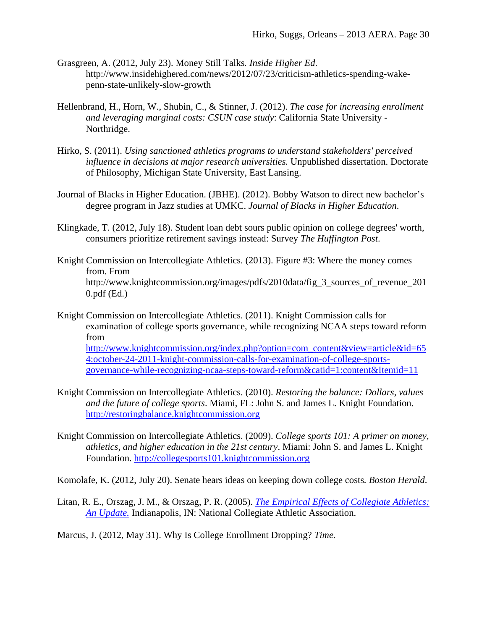- Grasgreen, A. (2012, July 23). Money Still Talks*. Inside Higher Ed*. http://www.insidehighered.com/news/2012/07/23/criticism-athletics-spending-wakepenn-state-unlikely-slow-growth
- Hellenbrand, H., Horn, W., Shubin, C., & Stinner, J. (2012). *The case for increasing enrollment and leveraging marginal costs: CSUN case study*: California State University - Northridge.
- Hirko, S. (2011). *Using sanctioned athletics programs to understand stakeholders' perceived influence in decisions at major research universities.* Unpublished dissertation. Doctorate of Philosophy, Michigan State University, East Lansing.
- Journal of Blacks in Higher Education. (JBHE). (2012). Bobby Watson to direct new bachelor's degree program in Jazz studies at UMKC. *Journal of Blacks in Higher Education*.
- Klingkade, T. (2012, July 18). Student loan debt sours public opinion on college degrees' worth, consumers prioritize retirement savings instead: Survey *The Huffington Post*.
- Knight Commission on Intercollegiate Athletics. (2013). Figure #3: Where the money comes from. From http://www.knightcommission.org/images/pdfs/2010data/fig\_3\_sources\_of\_revenue\_201 0.pdf (Ed.)

Knight Commission on Intercollegiate Athletics. (2011). Knight Commission calls for examination of college sports governance, while recognizing NCAA steps toward reform from http://www.knightcommission.org/index.php?option=com\_content&view=article&id=65 4:october-24-2011-knight-commission-calls-for-examination-of-college-sportsgovernance-while-recognizing-ncaa-steps-toward-reform&catid=1:content&Itemid=11

- Knight Commission on Intercollegiate Athletics. (2010). *Restoring the balance: Dollars, values and the future of college sports*. Miami, FL: John S. and James L. Knight Foundation. http://restoringbalance.knightcommission.org
- Knight Commission on Intercollegiate Athletics. (2009). *College sports 101: A primer on money, athletics, and higher education in the 21st century*. Miami: John S. and James L. Knight Foundation. http://collegesports101.knightcommission.org
- Komolafe, K. (2012, July 20). Senate hears ideas on keeping down college costs*. Boston Herald*.
- Litan, R. E., Orszag, J. M., & Orszag, P. R. (2005). *The Empirical Effects of Collegiate Athletics: An Update.* Indianapolis, IN: National Collegiate Athletic Association.
- Marcus, J. (2012, May 31). Why Is College Enrollment Dropping? *Time*.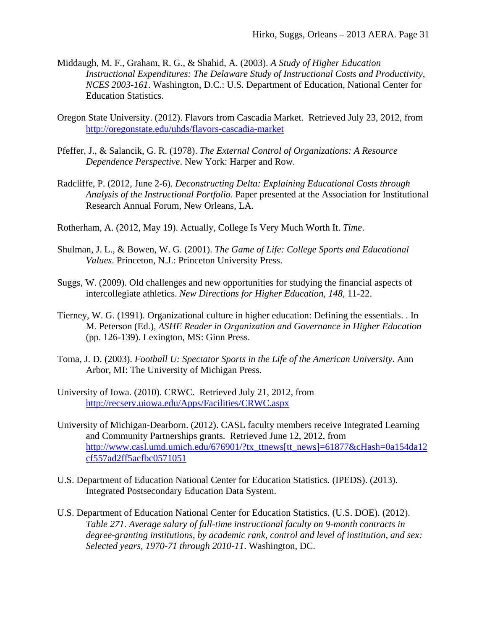- Middaugh, M. F., Graham, R. G., & Shahid, A. (2003). *A Study of Higher Education Instructional Expenditures: The Delaware Study of Instructional Costs and Productivity, NCES 2003-161*. Washington, D.C.: U.S. Department of Education, National Center for Education Statistics.
- Oregon State University. (2012). Flavors from Cascadia Market. Retrieved July 23, 2012, from http://oregonstate.edu/uhds/flavors-cascadia-market
- Pfeffer, J., & Salancik, G. R. (1978). *The External Control of Organizations: A Resource Dependence Perspective*. New York: Harper and Row.
- Radcliffe, P. (2012, June 2-6). *Deconstructing Delta: Explaining Educational Costs through Analysis of the Instructional Portfolio.* Paper presented at the Association for Institutional Research Annual Forum, New Orleans, LA.
- Rotherham, A. (2012, May 19). Actually, College Is Very Much Worth It. *Time*.
- Shulman, J. L., & Bowen, W. G. (2001). *The Game of Life: College Sports and Educational Values*. Princeton, N.J.: Princeton University Press.
- Suggs, W. (2009). Old challenges and new opportunities for studying the financial aspects of intercollegiate athletics. *New Directions for Higher Education, 148*, 11-22.
- Tierney, W. G. (1991). Organizational culture in higher education: Defining the essentials. . In M. Peterson (Ed.), *ASHE Reader in Organization and Governance in Higher Education*  (pp. 126-139). Lexington, MS: Ginn Press.
- Toma, J. D. (2003). *Football U: Spectator Sports in the Life of the American University*. Ann Arbor, MI: The University of Michigan Press.
- University of Iowa. (2010). CRWC. Retrieved July 21, 2012, from http://recserv.uiowa.edu/Apps/Facilities/CRWC.aspx
- University of Michigan-Dearborn. (2012). CASL faculty members receive Integrated Learning and Community Partnerships grants. Retrieved June 12, 2012, from http://www.casl.umd.umich.edu/676901/?tx\_ttnews[tt\_news]=61877&cHash=0a154da12 cf557ad2ff5acfbc0571051
- U.S. Department of Education National Center for Education Statistics. (IPEDS). (2013). Integrated Postsecondary Education Data System.
- U.S. Department of Education National Center for Education Statistics. (U.S. DOE). (2012). *Table 271. Average salary of full-time instructional faculty on 9-month contracts in degree-granting institutions, by academic rank, control and level of institution, and sex: Selected years, 1970-71 through 2010-11*. Washington, DC.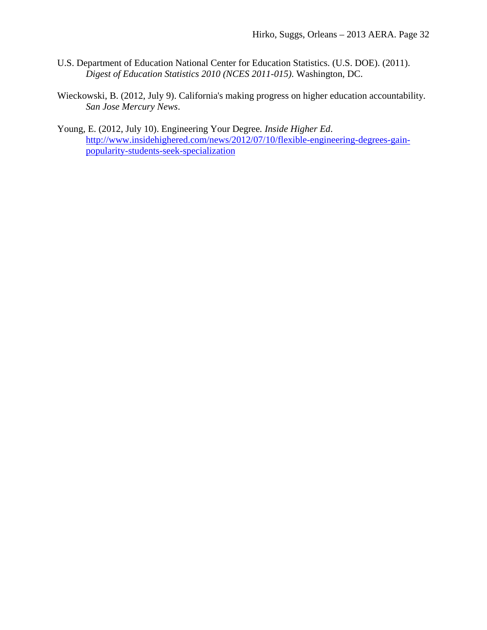- U.S. Department of Education National Center for Education Statistics. (U.S. DOE). (2011). *Digest of Education Statistics 2010 (NCES 2011-015)*. Washington, DC.
- Wieckowski, B. (2012, July 9). California's making progress on higher education accountability*. San Jose Mercury News*.
- Young, E. (2012, July 10). Engineering Your Degree*. Inside Higher Ed*. http://www.insidehighered.com/news/2012/07/10/flexible-engineering-degrees-gainpopularity-students-seek-specialization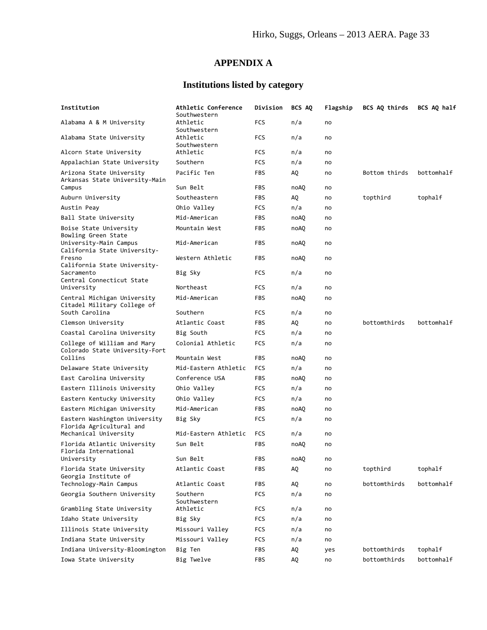# **APPENDIX A**

# **Institutions listed by category**

| Institution                                                                | Athletic Conference<br>Southwestern  | Division   | BCS AQ     | Flagship | BCS AQ thirds            | BCS AQ half           |
|----------------------------------------------------------------------------|--------------------------------------|------------|------------|----------|--------------------------|-----------------------|
| Alabama A & M University                                                   | Athletic<br>Southwestern             | <b>FCS</b> | n/a        | no       |                          |                       |
| Alabama State University                                                   | Athletic<br>Southwestern             | <b>FCS</b> | n/a        | no       |                          |                       |
| Alcorn State University                                                    | Athletic                             | <b>FCS</b> | n/a        | no       |                          |                       |
| Appalachian State University                                               | Southern                             | FCS        | n/a        | no       |                          |                       |
| Arizona State University<br>Arkansas State University-Main                 | Pacific Ten                          | <b>FBS</b> | AQ         | no       | Bottom thirds            | bottomhalf            |
| Campus                                                                     | Sun Belt                             | FBS        | noAQ       | no       |                          |                       |
| Auburn University                                                          | Southeastern                         | FBS        | AQ         | no       | topthird                 | tophalf               |
| Austin Peay                                                                | Ohio Valley                          | FCS        | n/a        | no       |                          |                       |
| Ball State University                                                      | Mid-American                         | FBS        | noAQ       | no       |                          |                       |
| Boise State University<br>Bowling Green State                              | Mountain West                        | FBS        | noAQ       | no       |                          |                       |
| University-Main Campus<br>California State University-                     | Mid-American                         | <b>FBS</b> | noAQ       | no       |                          |                       |
| Fresno<br>California State University-                                     | Western Athletic                     | <b>FBS</b> | noAQ       | no       |                          |                       |
| Sacramento<br>Central Connecticut State                                    | Big Sky                              | FCS        | n/a        | no       |                          |                       |
| University                                                                 | Northeast                            | FCS        | n/a        | no       |                          |                       |
| Central Michigan University<br>Citadel Military College of                 | Mid-American                         | FBS        | noAQ       | no       |                          |                       |
| South Carolina                                                             | Southern                             | FCS        | n/a        | no       |                          |                       |
| Clemson University                                                         | Atlantic Coast                       | <b>FBS</b> | AQ.        | no       | bottomthirds             | bottomhalf            |
| Coastal Carolina University                                                | Big South                            | FCS        | n/a        | no       |                          |                       |
| College of William and Mary<br>Colorado State University-Fort              | Colonial Athletic                    | FCS        | n/a        | no       |                          |                       |
| Collins                                                                    | Mountain West                        | <b>FBS</b> | noAQ       | no       |                          |                       |
| Delaware State University                                                  | Mid-Eastern Athletic                 | FCS        | n/a        | no       |                          |                       |
| East Carolina University                                                   | Conference USA                       | <b>FBS</b> | noAQ       | no       |                          |                       |
| Eastern Illinois University                                                | Ohio Valley                          | FCS        | n/a        | no       |                          |                       |
| Eastern Kentucky University                                                | Ohio Valley                          | FCS        | n/a        | no       |                          |                       |
| Eastern Michigan University                                                | Mid-American                         | <b>FBS</b> | noAQ       | no       |                          |                       |
| Eastern Washington University<br>Florida Agricultural and                  | Big Sky                              | FCS        | n/a        | no       |                          |                       |
| Mechanical University                                                      | Mid-Eastern Athletic                 | FCS        | n/a        | no       |                          |                       |
| Florida Atlantic University<br>Florida International                       | Sun Belt                             | FBS        | noAQ       | no       |                          |                       |
| University                                                                 | Sun Belt                             | FBS        | noAQ       | no       |                          |                       |
| Florida State University<br>Georgia Institute of<br>Technology-Main Campus | Atlantic Coast<br>Atlantic Coast     | FBS        | AQ         | no       | topthird<br>bottomthirds | tophalf<br>bottomhalf |
|                                                                            |                                      | FBS        | AQ         | no       |                          |                       |
| Georgia Southern University<br>Grambling State University                  | Southern<br>Southwestern<br>Athletic | FCS<br>FCS | n/a<br>n/a | no<br>no |                          |                       |
|                                                                            |                                      |            |            |          |                          |                       |
| Idaho State University<br>Illinois State University                        | Big Sky<br>Missouri Valley           | FCS        | n/a        | no       |                          |                       |
|                                                                            |                                      | FCS        | n/a        | no       |                          |                       |
| Indiana State University                                                   | Missouri Valley                      | FCS        | n/a        | no       |                          |                       |
| Indiana University-Bloomington                                             | Big Ten                              | FBS        | AQ         | yes      | bottomthirds             | tophalf               |
| Iowa State University                                                      | Big Twelve                           | <b>FBS</b> | AQ         | no       | bottomthirds             | bottomhalf            |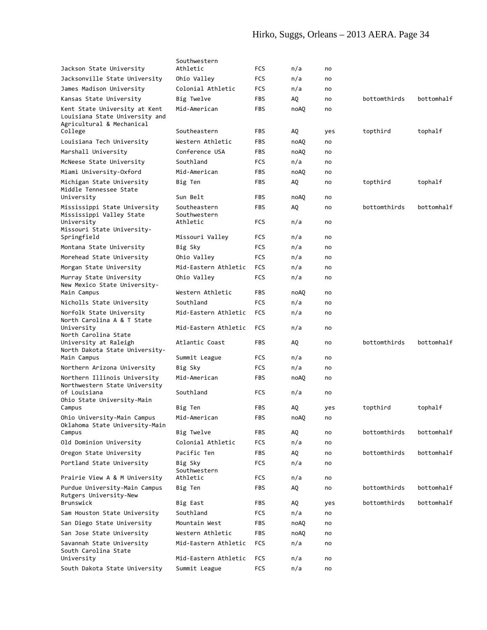# Hirko, Suggs, Orleans – 2013 AERA. Page 34

|                                                                                              | Southwestern                                 |                          |            |          |              |            |
|----------------------------------------------------------------------------------------------|----------------------------------------------|--------------------------|------------|----------|--------------|------------|
| Jackson State University                                                                     | Athletic                                     | FCS                      | n/a        | no       |              |            |
| Jacksonville State University                                                                | Ohio Valley                                  | FCS                      | n/a        | no       |              |            |
| James Madison University                                                                     | Colonial Athletic                            | FCS                      | n/a        | no       |              |            |
| Kansas State University                                                                      | Big Twelve                                   | <b>FBS</b>               | AQ.        | no       | bottomthirds | bottomhalf |
| Kent State University at Kent<br>Louisiana State University and<br>Agricultural & Mechanical | Mid-American                                 | <b>FBS</b>               | noAQ       | no       |              |            |
| College                                                                                      | Southeastern                                 | <b>FBS</b>               | AQ         | yes      | topthird     | tophalf    |
| Louisiana Tech University                                                                    | Western Athletic                             | <b>FBS</b>               | noAQ       | no       |              |            |
| Marshall University                                                                          | Conference USA                               | <b>FBS</b>               | noAQ       | no       |              |            |
| McNeese State University                                                                     | Southland                                    | <b>FCS</b>               | n/a        | no       |              |            |
| Miami University-Oxford                                                                      | Mid-American                                 | <b>FBS</b>               | noAQ       | no       |              |            |
| Michigan State University<br>Middle Tennessee State                                          | Big Ten                                      | FBS.                     | AQ         | no       | topthird     | tophalf    |
| University                                                                                   | Sun Belt                                     | <b>FBS</b>               | noAQ       | no       |              |            |
| Mississippi State University<br>Mississippi Valley State<br>University                       | Southeastern<br>Southwestern<br>Athletic     | <b>FBS</b><br>FCS        | AQ<br>n/a  | no<br>no | bottomthirds | bottomhalf |
| Missouri State University-                                                                   |                                              |                          |            |          |              |            |
| Springfield                                                                                  | Missouri Valley                              | FCS                      | n/a        | no       |              |            |
| Montana State University                                                                     | Big Sky                                      | FCS                      | n/a        | no       |              |            |
| Morehead State University                                                                    | Ohio Valley                                  | FCS                      | n/a        | no       |              |            |
| Morgan State University                                                                      | Mid-Eastern Athletic                         | <b>FCS</b>               | n/a        | no       |              |            |
| Murray State University<br>New Mexico State University-                                      | Ohio Valley                                  | FCS                      | n/a        | no       |              |            |
| Main Campus                                                                                  | Western Athletic                             | <b>FBS</b>               | noAQ       | no       |              |            |
| Nicholls State University                                                                    | Southland                                    | <b>FCS</b>               | n/a        | no       |              |            |
| Norfolk State University<br>North Carolina A & T State                                       | Mid-Eastern Athletic                         | <b>FCS</b>               | n/a        | no       |              |            |
| University<br>North Carolina State<br>University at Raleigh                                  | Mid-Eastern Athletic<br>Atlantic Coast       | <b>FCS</b><br><b>FBS</b> | n/a<br>AQ  | no<br>no | bottomthirds | bottomhalf |
| North Dakota State University-<br>Main Campus                                                | Summit League                                | FCS                      | n/a        | no       |              |            |
| Northern Arizona University                                                                  | Big Sky                                      | <b>FCS</b>               | n/a        | no       |              |            |
| Northern Illinois University<br>Northwestern State University                                | Mid-American                                 | <b>FBS</b>               | noAQ       | no       |              |            |
| of Louisiana<br>Ohio State University-Main                                                   | Southland                                    | <b>FCS</b>               | n/a        | no       |              |            |
| Campus                                                                                       | Big Ten                                      | <b>FBS</b>               | AQ.        | yes      | topthird     | tophalf    |
| Ohio University-Main Campus<br>Oklahoma State University-Main                                | Mid-American                                 | FBS                      | noAQ       | no       |              |            |
| Campus                                                                                       | Big Twelve                                   | <b>FBS</b>               | AQ         | no       | bottomthirds | bottomhalf |
| Old Dominion University                                                                      | Colonial Athletic                            | <b>FCS</b>               | n/a        | no       |              |            |
| Oregon State University                                                                      | Pacific Ten                                  | <b>FBS</b>               | AQ.        | no       | bottomthirds | bottomhalf |
| Portland State University                                                                    | Big Sky<br>Southwestern                      | FCS                      | n/a        | no       |              |            |
| Prairie View A & M University                                                                | Athletic                                     | FCS                      | n/a        | no       |              |            |
| Purdue University-Main Campus<br>Rutgers University-New                                      | Big Ten                                      | <b>FBS</b>               | AQ         | no       | bottomthirds | bottomhalf |
| Brunswick                                                                                    | Big East                                     | <b>FBS</b>               | AQ         | yes      | bottomthirds | bottomhalf |
| Sam Houston State University                                                                 | Southland                                    | FCS                      | n/a        | no       |              |            |
| San Diego State University                                                                   | Mountain West                                | <b>FBS</b>               | noAQ       | no       |              |            |
| San Jose State University                                                                    | Western Athletic                             | <b>FBS</b>               | noAQ       | no       |              |            |
| Savannah State University<br>South Carolina State<br>University                              | Mid-Eastern Athletic<br>Mid-Eastern Athletic | <b>FCS</b><br>FCS        | n/a<br>n/a | no<br>no |              |            |
|                                                                                              |                                              | <b>FCS</b>               | n/a        |          |              |            |
| South Dakota State University                                                                | Summit League                                |                          |            | no       |              |            |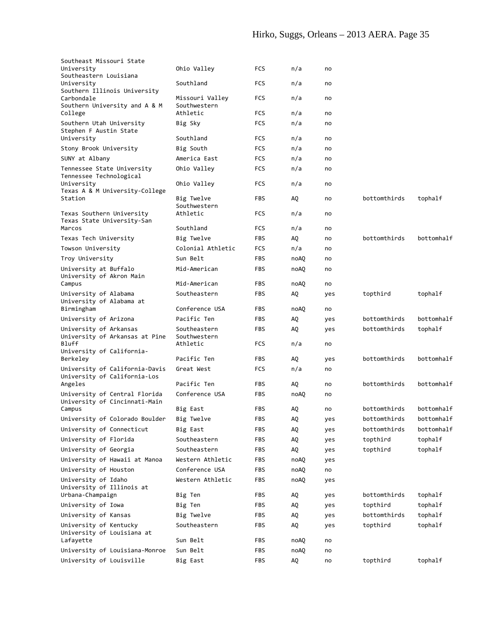| Southeast Missouri State                                 |                              |            |      |     |              |            |
|----------------------------------------------------------|------------------------------|------------|------|-----|--------------|------------|
| University                                               | Ohio Valley                  | <b>FCS</b> | n/a  | no  |              |            |
| Southeastern Louisiana<br>University                     | Southland                    | <b>FCS</b> | n/a  | no  |              |            |
| Southern Illinois University                             |                              |            |      |     |              |            |
| Carbondale                                               | Missouri Valley              | <b>FCS</b> | n/a  | no  |              |            |
| Southern University and A & M<br>College                 | Southwestern<br>Athletic     | <b>FCS</b> | n/a  | no  |              |            |
| Southern Utah University                                 | Big Sky                      | <b>FCS</b> | n/a  | no  |              |            |
| Stephen F Austin State                                   |                              |            |      |     |              |            |
| University                                               | Southland                    | FCS        | n/a  | no  |              |            |
| Stony Brook University                                   | Big South                    | <b>FCS</b> | n/a  | no  |              |            |
| SUNY at Albany                                           | America East                 | FCS        | n/a  | no  |              |            |
| Tennessee State University                               | Ohio Valley                  | <b>FCS</b> | n/a  | no  |              |            |
| Tennessee Technological                                  |                              |            |      |     |              |            |
| University<br>Texas A & M University-College             | Ohio Valley                  | <b>FCS</b> | n/a  | no  |              |            |
| Station                                                  | Big Twelve                   | <b>FBS</b> | AQ.  | no  | bottomthirds | tophalf    |
|                                                          | Southwestern                 |            |      |     |              |            |
| Texas Southern University<br>Texas State University-San  | Athletic                     | FCS        | n/a  | no  |              |            |
| Marcos                                                   | Southland                    | <b>FCS</b> | n/a  | no  |              |            |
| Texas Tech University                                    | Big Twelve                   | <b>FBS</b> | AQ.  | no  | bottomthirds | bottomhalf |
| Towson University                                        | Colonial Athletic            | FCS        | n/a  | no  |              |            |
| Troy University                                          | Sun Belt                     | FBS        | noAQ | no  |              |            |
| University at Buffalo                                    | Mid-American                 | <b>FBS</b> | noAQ | no  |              |            |
| University of Akron Main                                 |                              |            |      |     |              |            |
| Campus                                                   | Mid-American                 | FBS        | noAQ | no  |              |            |
| University of Alabama                                    | Southeastern                 | <b>FBS</b> | AQ   | yes | topthird     | tophalf    |
| University of Alabama at                                 |                              |            |      |     |              |            |
| Birmingham                                               | Conference USA               | <b>FBS</b> | noAQ | no  |              |            |
| University of Arizona                                    | Pacific Ten                  | <b>FBS</b> | AQ   | yes | bottomthirds | bottomhalf |
| University of Arkansas<br>University of Arkansas at Pine | Southeastern<br>Southwestern | <b>FBS</b> | AQ.  | yes | bottomthirds | tophalf    |
| <b>Bluff</b>                                             | Athletic                     | <b>FCS</b> | n/a  | no  |              |            |
| University of California-                                |                              |            |      |     |              |            |
| Berkeley                                                 | Pacific Ten                  | <b>FBS</b> | AQ.  | yes | bottomthirds | bottomhalf |
| University of California-Davis                           | Great West                   | <b>FCS</b> | n/a  | no  |              |            |
| University of California-Los<br>Angeles                  | Pacific Ten                  | <b>FBS</b> | AQ.  | no  | bottomthirds | bottomhalf |
| University of Central Florida                            | Conference USA               | <b>FBS</b> | noAQ | no  |              |            |
| University of Cincinnati-Main                            |                              |            |      |     |              |            |
| Campus                                                   | Big East                     | FBS        | AQ.  | no  | bottomthirds | bottomhalf |
| University of Colorado Boulder                           | Big Twelve                   | FBS        | AQ   | yes | bottomthirds | bottomhalf |
| University of Connecticut                                | Big East                     | <b>FBS</b> | AQ   | yes | bottomthirds | bottomhalf |
| University of Florida                                    | Southeastern                 | FBS        | AQ   | yes | topthird     | tophalf    |
| University of Georgia                                    | Southeastern                 | FBS        | AQ   | yes | topthird     | tophalf    |
| University of Hawaii at Manoa                            | Western Athletic             | FBS        | noAQ | yes |              |            |
| University of Houston                                    | Conference USA               | FBS        | noAQ | no  |              |            |
| University of Idaho                                      | Western Athletic             | <b>FBS</b> | noAQ | yes |              |            |
| University of Illinois at                                |                              |            |      |     |              |            |
| Urbana-Champaign                                         | Big Ten                      | FBS        | AQ   | yes | bottomthirds | tophalf    |
| University of Iowa                                       | Big Ten                      | FBS        | AQ   | yes | topthird     | tophalf    |
| University of Kansas                                     | Big Twelve                   | FBS        | AQ   | yes | bottomthirds | tophalf    |
| University of Kentucky                                   | Southeastern                 | <b>FBS</b> | AQ   | yes | topthird     | tophalf    |
| University of Louisiana at<br>Lafayette                  | Sun Belt                     | FBS        | noAQ | no  |              |            |
| University of Louisiana-Monroe                           | Sun Belt                     | FBS        | noAQ | no  |              |            |
| University of Louisville                                 | Big East                     |            |      |     | topthird     | tophalf    |
|                                                          |                              | FBS        | AQ   | no  |              |            |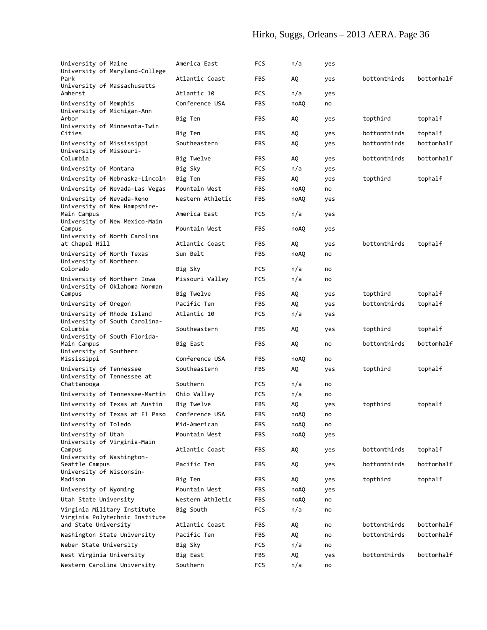# Hirko, Suggs, Orleans – 2013 AERA. Page 36

| University of Maine<br>Park                           | University of Maryland-College                                | America East<br>Atlantic Coast | FCS<br>FBS        | n/a<br>AQ. | yes        | bottomthirds | bottomhalf |
|-------------------------------------------------------|---------------------------------------------------------------|--------------------------------|-------------------|------------|------------|--------------|------------|
| Amherst                                               | University of Massachusetts                                   | Atlantic 10                    | <b>FCS</b>        | n/a        | yes<br>yes |              |            |
| University of Memphis                                 |                                                               | Conference USA                 | <b>FBS</b>        | noAQ       | no         |              |            |
| University of Michigan-Ann<br>Arbor                   |                                                               | Big Ten                        | <b>FBS</b>        | AQ         | yes        | topthird     | tophalf    |
| Cities                                                | University of Minnesota-Twin                                  | Big Ten                        | <b>FBS</b>        | AQ         | yes        | bottomthirds | tophalf    |
| University of Mississippi<br>University of Missouri-  |                                                               | Southeastern                   | <b>FBS</b>        | AQ         | yes        | bottomthirds | bottomhalf |
| Columbia                                              |                                                               | Big Twelve                     | <b>FBS</b>        | AQ         | yes        | bottomthirds | bottomhalf |
| University of Montana                                 |                                                               | Big Sky                        | FCS               | n/a        | yes        |              |            |
|                                                       | University of Nebraska-Lincoln                                | Big Ten                        | <b>FBS</b>        | AQ.        | yes        | topthird     | tophalf    |
|                                                       | University of Nevada-Las Vegas                                | Mountain West                  | <b>FBS</b>        | noAQ       | no         |              |            |
| University of Nevada-Reno                             | University of New Hampshire-                                  | Western Athletic               | <b>FBS</b>        | noAQ       | yes        |              |            |
| Main Campus                                           | University of New Mexico-Main                                 | America East                   | <b>FCS</b>        | n/a        | yes        |              |            |
| Campus                                                | University of North Carolina                                  | Mountain West                  | <b>FBS</b>        | noAQ       | yes        |              |            |
| at Chapel Hill                                        |                                                               | Atlantic Coast                 | <b>FBS</b>        | AQ         | yes        | bottomthirds | tophalf    |
| University of North Texas<br>University of Northern   |                                                               | Sun Belt                       | FBS               | noAQ       | no         |              |            |
| Colorado                                              |                                                               | Big Sky                        | <b>FCS</b>        | n/a        | no         |              |            |
|                                                       | University of Northern Iowa<br>University of Oklahoma Norman  | Missouri Valley                | FCS               | n/a        | no         |              |            |
| Campus                                                |                                                               | Big Twelve                     | <b>FBS</b>        | AQ.        | yes        | topthird     | tophalf    |
| University of Oregon                                  |                                                               | Pacific Ten                    | <b>FBS</b>        | AQ.        | yes        | bottomthirds | tophalf    |
| University of Rhode Island                            | University of South Carolina-                                 | Atlantic 10                    | FCS               | n/a        | yes        |              |            |
| Columbia                                              | University of South Florida-                                  | Southeastern                   | <b>FBS</b>        | AQ         | yes        | topthird     | tophalf    |
| Main Campus<br>University of Southern                 |                                                               | Big East                       | <b>FBS</b>        | AQ         | no         | bottomthirds | bottomhalf |
| Mississippi                                           |                                                               | Conference USA                 | <b>FBS</b>        | noAQ       | no         |              |            |
| University of Tennessee<br>University of Tennessee at |                                                               | Southeastern                   | <b>FBS</b>        | AQ         | yes        | topthird     | tophalf    |
| Chattanooga                                           |                                                               | Southern                       | FCS               | n/a        | no         |              |            |
|                                                       | University of Tennessee-Martin                                | Ohio Valley                    | <b>FCS</b>        | n/a        | no         |              |            |
|                                                       | University of Texas at Austin                                 | Big Twelve                     | FBS               | AQ.        | yes        | topthird     | tophalf    |
|                                                       | University of Texas at El Paso                                | Conference USA                 | FBS<br><b>FBS</b> | noAQ       | no         |              |            |
| University of Toledo                                  |                                                               | Mid-American<br>Mountain West  | FBS               | noAQ       | no         |              |            |
| University of Utah<br>Campus                          | University of Virginia-Main                                   | Atlantic Coast                 | <b>FBS</b>        | noAQ<br>AQ | yes<br>yes | bottomthirds | tophalf    |
| University of Washington-<br>Seattle Campus           |                                                               | Pacific Ten                    | <b>FBS</b>        | AQ         | yes        | bottomthirds | bottomhalf |
| University of Wisconsin-<br>Madison                   |                                                               | Big Ten                        | FBS               | AQ         | yes        | topthird     | tophalf    |
| University of Wyoming                                 |                                                               | Mountain West                  | <b>FBS</b>        | noAQ       | yes        |              |            |
| Utah State University                                 |                                                               | Western Athletic               | <b>FBS</b>        | noAQ       | no         |              |            |
|                                                       | Virginia Military Institute<br>Virginia Polytechnic Institute | Big South                      | FCS               | n/a        | no         |              |            |
| and State University                                  |                                                               | Atlantic Coast                 | FBS               | AQ         | no         | bottomthirds | bottomhalf |
|                                                       | Washington State University                                   | Pacific Ten                    | <b>FBS</b>        | AQ         | no         | bottomthirds | bottomhalf |
| Weber State University                                |                                                               | Big Sky                        | <b>FCS</b>        | n/a        | no         |              |            |
| West Virginia University                              |                                                               | Big East                       | FBS               | AQ         | yes        | bottomthirds | bottomhalf |
|                                                       | Western Carolina University                                   | Southern                       | FCS               | n/a        | no         |              |            |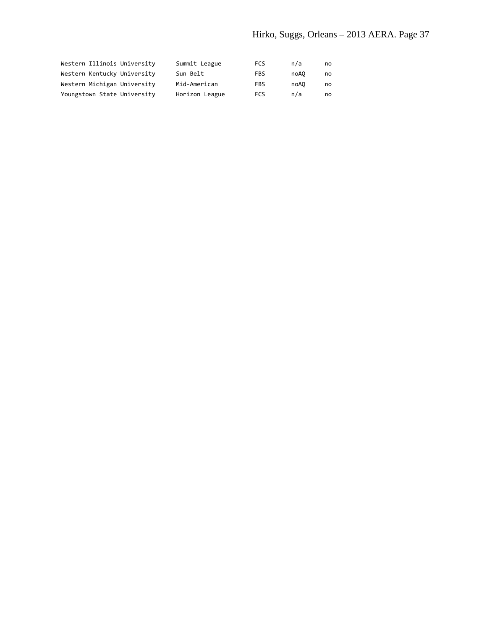| Western Illinois University | Summit League  | FCS | n/a  | no |
|-----------------------------|----------------|-----|------|----|
| Western Kentucky University | Sun Belt       | FBS | noA0 | no |
| Western Michigan University | Mid-American   | FBS | noA0 | no |
| Youngstown State University | Horizon League | FCS | n/a  | no |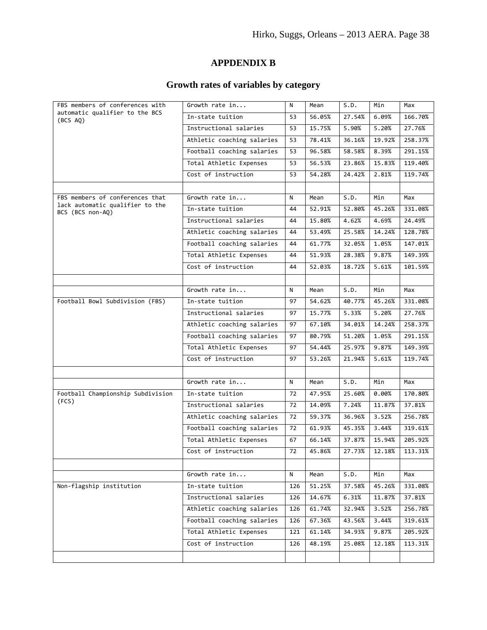# **APPDENDIX B**

# **Growth rates of variables by category**

| FBS members of conferences with                     | Growth rate in             | N   | Mean   | S.D.   | Min    | Max     |
|-----------------------------------------------------|----------------------------|-----|--------|--------|--------|---------|
| automatic qualifier to the BCS<br>(BCS AQ)          | In-state tuition           | 53  | 56.05% | 27.54% | 6.09%  | 166.70% |
|                                                     | Instructional salaries     | 53  | 15.75% | 5.90%  | 5.20%  | 27.76%  |
|                                                     | Athletic coaching salaries | 53  | 78.41% | 36.16% | 19.92% | 258.37% |
|                                                     | Football coaching salaries | 53  | 96.58% | 58.58% | 8.39%  | 291.15% |
|                                                     | Total Athletic Expenses    | 53  | 56.53% | 23.86% | 15.83% | 119.40% |
|                                                     | Cost of instruction        | 53  | 54.28% | 24.42% | 2.81%  | 119.74% |
|                                                     |                            |     |        |        |        |         |
| FBS members of conferences that                     | Growth rate in             | N   | Mean   | S.D.   | Min    | Max     |
| lack automatic qualifier to the<br>BCS (BCS non-AQ) | In-state tuition           | 44  | 52.91% | 52.80% | 45.26% | 331.08% |
|                                                     | Instructional salaries     | 44  | 15.80% | 4.62%  | 4.69%  | 24.49%  |
|                                                     | Athletic coaching salaries | 44  | 53.49% | 25.58% | 14.24% | 128.78% |
|                                                     | Football coaching salaries | 44  | 61.77% | 32.05% | 1.05%  | 147.01% |
|                                                     | Total Athletic Expenses    | 44  | 51.93% | 28.38% | 9.87%  | 149.39% |
|                                                     | Cost of instruction        | 44  | 52.03% | 18.72% | 5.61%  | 101.59% |
|                                                     |                            |     |        |        |        |         |
|                                                     | Growth rate in             | N   | Mean   | S.D.   | Min    | Max     |
| Football Bowl Subdivision (FBS)                     | In-state tuition           | 97  | 54.62% | 40.77% | 45.26% | 331.08% |
|                                                     | Instructional salaries     | 97  | 15.77% | 5.33%  | 5.20%  | 27.76%  |
|                                                     | Athletic coaching salaries | 97  | 67.10% | 34.01% | 14.24% | 258.37% |
|                                                     | Football coaching salaries | 97  | 80.79% | 51.20% | 1.05%  | 291.15% |
|                                                     | Total Athletic Expenses    | 97  | 54.44% | 25.97% | 9.87%  | 149.39% |
|                                                     | Cost of instruction        | 97  | 53.26% | 21.94% | 5.61%  | 119.74% |
|                                                     |                            |     |        |        |        |         |
|                                                     | Growth rate in             | N   | Mean   | S.D.   | Min    | Max     |
| Football Championship Subdivision                   | In-state tuition           | 72  | 47.95% | 25.60% | 0.00%  | 170.80% |
| (FCS)                                               | Instructional salaries     | 72  | 14.09% | 7.24%  | 11.87% | 37.81%  |
|                                                     | Athletic coaching salaries | 72  | 59.37% | 36.96% | 3.52%  | 256.78% |
|                                                     | Football coaching salaries | 72  | 61.93% | 45.35% | 3.44%  | 319.61% |
|                                                     | Total Athletic Expenses    | 67  | 66.14% | 37.87% | 15.94% | 205.92% |
|                                                     | Cost of instruction        | 72  | 45.86% | 27.73% | 12.18% | 113.31% |
|                                                     |                            |     |        |        |        |         |
|                                                     | Growth rate in             | N   | Mean   | S.D.   | Min    | Max     |
| Non-flagship institution                            | In-state tuition           | 126 | 51.25% | 37.58% | 45.26% | 331.08% |
|                                                     | Instructional salaries     | 126 | 14.67% | 6.31%  | 11.87% | 37.81%  |
|                                                     | Athletic coaching salaries | 126 | 61.74% | 32.94% | 3.52%  | 256.78% |
|                                                     | Football coaching salaries | 126 | 67.36% | 43.56% | 3.44%  | 319.61% |
|                                                     | Total Athletic Expenses    | 121 | 61.14% | 34.93% | 9.87%  | 205.92% |
|                                                     | Cost of instruction        | 126 | 48.19% | 25.08% | 12.18% | 113.31% |
|                                                     |                            |     |        |        |        |         |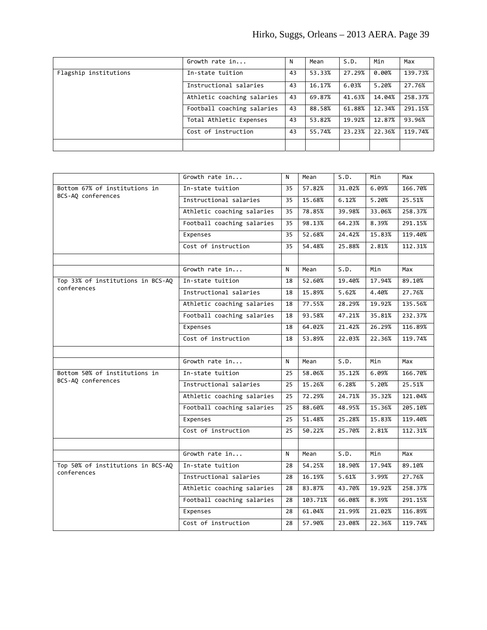|                       | Growth rate in             | N  | Mean   | S.D.   | Min    | Max     |
|-----------------------|----------------------------|----|--------|--------|--------|---------|
| Flagship institutions | In-state tuition           | 43 | 53.33% | 27.29% | 0.00%  | 139.73% |
|                       | Instructional salaries     | 43 | 16.17% | 6.03%  | 5.20%  | 27.76%  |
|                       | Athletic coaching salaries | 43 | 69.87% | 41.63% | 14.04% | 258.37% |
|                       | Football coaching salaries | 43 | 88.58% | 61.88% | 12.34% | 291.15% |
|                       | Total Athletic Expenses    | 43 | 53.82% | 19.92% | 12.87% | 93.96%  |
|                       | Cost of instruction        | 43 | 55.74% | 23.23% | 22.36% | 119.74% |
|                       |                            |    |        |        |        |         |

|                                   | Growth rate in             | N  | Mean    | S.D.   | Min    | Max     |
|-----------------------------------|----------------------------|----|---------|--------|--------|---------|
| Bottom 67% of institutions in     | In-state tuition           | 35 | 57.82%  | 31.02% | 6.09%  | 166.70% |
| BCS-AQ conferences                | Instructional salaries     | 35 | 15.68%  | 6.12%  | 5.20%  | 25.51%  |
|                                   | Athletic coaching salaries | 35 | 78.85%  | 39.98% | 33.06% | 258.37% |
|                                   | Football coaching salaries | 35 | 98.13%  | 64.23% | 8.39%  | 291.15% |
|                                   | Expenses                   | 35 | 52.68%  | 24.42% | 15.83% | 119.40% |
|                                   | Cost of instruction        | 35 | 54.48%  | 25.88% | 2.81%  | 112.31% |
|                                   |                            |    |         |        |        |         |
|                                   | Growth rate in             | N  | Mean    | S.D.   | Min    | Max     |
| Top 33% of institutions in BCS-AQ | In-state tuition           | 18 | 52.60%  | 19.40% | 17.94% | 89.10%  |
| conferences                       | Instructional salaries     | 18 | 15.89%  | 5.62%  | 4.40%  | 27.76%  |
|                                   | Athletic coaching salaries | 18 | 77.55%  | 28.29% | 19.92% | 135.56% |
|                                   | Football coaching salaries | 18 | 93.58%  | 47.21% | 35.81% | 232.37% |
|                                   | Expenses                   | 18 | 64.02%  | 21.42% | 26.29% | 116.89% |
|                                   | Cost of instruction        | 18 | 53.89%  | 22.03% | 22.36% | 119.74% |
|                                   |                            |    |         |        |        |         |
|                                   | Growth rate in             | N  | Mean    | S.D.   | Min    | Max     |
| Bottom 50% of institutions in     | In-state tuition           | 25 | 58.06%  | 35.12% | 6.09%  | 166.70% |
| BCS-AQ conferences                | Instructional salaries     | 25 | 15.26%  | 6.28%  | 5.20%  | 25.51%  |
|                                   | Athletic coaching salaries | 25 | 72.29%  | 24.71% | 35.32% | 121.04% |
|                                   | Football coaching salaries | 25 | 88.60%  | 48.95% | 15.36% | 205.10% |
|                                   | Expenses                   | 25 | 51.48%  | 25.28% | 15.83% | 119.40% |
|                                   | Cost of instruction        | 25 | 50.22%  | 25.70% | 2.81%  | 112.31% |
|                                   |                            |    |         |        |        |         |
|                                   | Growth rate in             | N  | Mean    | S.D.   | Min    | Max     |
| Top 50% of institutions in BCS-AQ | In-state tuition           | 28 | 54.25%  | 18.90% | 17.94% | 89.10%  |
| conferences                       | Instructional salaries     | 28 | 16.19%  | 5.61%  | 3.99%  | 27.76%  |
|                                   | Athletic coaching salaries | 28 | 83.87%  | 43.70% | 19.92% | 258.37% |
|                                   | Football coaching salaries | 28 | 103.71% | 66.08% | 8.39%  | 291.15% |
|                                   | Expenses                   | 28 | 61.04%  | 21.99% | 21.02% | 116.89% |
|                                   | Cost of instruction        | 28 | 57.90%  | 23.08% | 22.36% | 119.74% |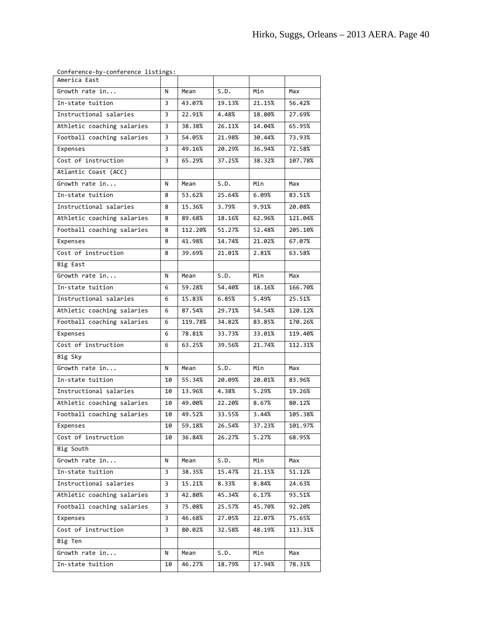|  | Conference-by-conference listings: |  |  |
|--|------------------------------------|--|--|
|--|------------------------------------|--|--|

| America East               |    |         |        |        |         |
|----------------------------|----|---------|--------|--------|---------|
| Growth rate in             | N  | Mean    | S.D.   | Min    | Max     |
| In-state tuition           | 3  | 43.07%  | 19.13% | 21.15% | 56.42%  |
| Instructional salaries     | 3  | 22.91%  | 4.48%  | 18.80% | 27.69%  |
| Athletic coaching salaries | 3  | 38.38%  | 26.11% | 14.04% | 65.95%  |
| Football coaching salaries | 3  | 54.05%  | 21.98% | 30.44% | 73.93%  |
| Expenses                   | 3  | 49.16%  | 20.29% | 36.94% | 72.58%  |
| Cost of instruction        | 3  | 65.29%  | 37.25% | 38.32% | 107.78% |
| Atlantic Coast (ACC)       |    |         |        |        |         |
| Growth rate in             | N  | Mean    | S.D.   | Min    | Max     |
| In-state tuition           | 8  | 53.62%  | 25.64% | 6.09%  | 83.51%  |
| Instructional salaries     | 8  | 15.36%  | 3.79%  | 9.91%  | 20.08%  |
| Athletic coaching salaries | 8  | 89.68%  | 18.16% | 62.96% | 121.04% |
| Football coaching salaries | 8  | 112.20% | 51.27% | 52.48% | 205.10% |
| Expenses                   | 8  | 41.98%  | 14.74% | 21.02% | 67.07%  |
| Cost of instruction        | 8  | 39.69%  | 21.01% | 2.81%  | 63.58%  |
| Big East                   |    |         |        |        |         |
| Growth rate in             | N  | Mean    | S.D.   | Min    | Max     |
| In-state tuition           | 6  | 59.28%  | 54.40% | 18.16% | 166.70% |
| Instructional salaries     | 6  | 15.83%  | 6.85%  | 5.49%  | 25.51%  |
| Athletic coaching salaries | 6  | 87.54%  | 29.71% | 54.54% | 120.12% |
| Football coaching salaries | 6  | 119.78% | 34.82% | 83.85% | 170.26% |
| Expenses                   | 6  | 78.81%  | 33.73% | 33.01% | 119.40% |
| Cost of instruction        | 6  | 63.25%  | 39.56% | 21.74% | 112.31% |
| Big Sky                    |    |         |        |        |         |
| Growth rate in             | N  | Mean    | S.D.   | Min    | Max     |
| In-state tuition           | 10 | 55.34%  | 20.09% | 20.01% | 83.96%  |
| Instructional salaries     | 10 | 13.96%  | 4.38%  | 5.29%  | 19.26%  |
| Athletic coaching salaries | 10 | 49.00%  | 22.20% | 8.67%  | 80.12%  |
| Football coaching salaries | 10 | 49.52%  | 33.55% | 3.44%  | 105.38% |
| Expenses                   | 10 | 59.18%  | 26.54% | 37.23% | 101.97% |
| Cost of instruction        | 10 | 36.84%  | 26.27% | 5.27%  | 68.95%  |
| Big South                  |    |         |        |        |         |
| Growth rate in             | N  | Mean    | S.D.   | Min    | Max     |
| In-state tuition           | 3  | 38.35%  | 15.47% | 21.15% | 51.12%  |
| Instructional salaries     | 3  | 15.21%  | 8.33%  | 8.84%  | 24.63%  |
| Athletic coaching salaries | 3  | 42.80%  | 45.34% | 6.17%  | 93.51%  |
| Football coaching salaries | 3  | 75.08%  | 25.57% | 45.70% | 92.20%  |
| Expenses                   | 3  | 46.68%  | 27.05% | 22.07% | 75.65%  |
| Cost of instruction        | 3  | 80.02%  | 32.58% | 48.19% | 113.31% |
| Big Ten                    |    |         |        |        |         |
| Growth rate in             | N  | Mean    | S.D.   | Min    | Max     |
| In-state tuition           | 10 | 46.27%  | 18.79% | 17.94% | 78.31%  |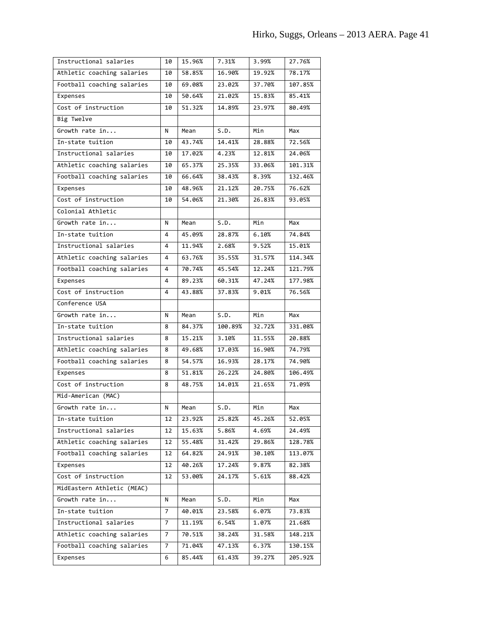| Instructional salaries     | 10             | 15.96% | 7.31%                      | 3.99%  | 27.76%  |
|----------------------------|----------------|--------|----------------------------|--------|---------|
| Athletic coaching salaries | 10             | 58.85% | 16.90%                     | 19.92% | 78.17%  |
| Football coaching salaries | 10             | 69.08% | 23.02%                     | 37.70% | 107.85% |
| Expenses                   | 10             | 50.64% | 21.02%                     | 15.83% | 85.41%  |
| Cost of instruction        | 10             | 51.32% | 14.89%                     | 23.97% | 80.49%  |
| Big Twelve                 |                |        |                            |        |         |
| Growth rate in             | N              | Mean   | S.D.                       | Min    | Max     |
| In-state tuition           | 10             | 43.74% | 14.41%                     | 28.88% | 72.56%  |
| Instructional salaries     | 10             | 17.02% | 4.23%                      | 12.81% | 24.06%  |
| Athletic coaching salaries | 10             | 65.37% | 25.35%                     | 33.06% | 101.31% |
| Football coaching salaries | 10             | 66.64% | 38.43%                     | 8.39%  | 132.46% |
| Expenses                   | 10             | 48.96% | 21.12%                     | 20.75% | 76.62%  |
| Cost of instruction        | 10             | 54.06% | 21.30%                     | 26.83% | 93.05%  |
| Colonial Athletic          |                |        |                            |        |         |
| Growth rate in             | N              | Mean   | $\overline{\mathsf{S.D.}}$ | Min    | Max     |
| In-state tuition           | 4              | 45.09% | 28.87%                     | 6.10%  | 74.84%  |
| Instructional salaries     | 4              | 11.94% | 2.68%                      | 9.52%  | 15.01%  |
| Athletic coaching salaries | 4              | 63.76% | 35.55%                     | 31.57% | 114.34% |
| Football coaching salaries | 4              | 70.74% | 45.54%                     | 12.24% | 121.79% |
| Expenses                   | 4              | 89.23% | 60.31%                     | 47.24% | 177.98% |
| Cost of instruction        | 4              | 43.88% | 37.83%                     | 9.01%  | 76.56%  |
| Conference USA             |                |        |                            |        |         |
|                            |                |        |                            |        |         |
| Growth rate in             | N              | Mean   | S.D.                       | Min    | Max     |
| In-state tuition           | 8              | 84.37% | 100.89%                    | 32.72% | 331.08% |
| Instructional salaries     | 8              | 15.21% | 3.10%                      | 11.55% | 20.88%  |
| Athletic coaching salaries | 8              | 49.68% | 17.03%                     | 16.90% | 74.79%  |
| Football coaching salaries | 8              | 54.57% | 16.93%                     | 28.17% | 74.90%  |
| Expenses                   | 8              | 51.81% | 26.22%                     | 24.80% | 106.49% |
| Cost of instruction        | 8              | 48.75% | 14.01%                     | 21.65% | 71.09%  |
| Mid-American (MAC)         |                |        |                            |        |         |
| Growth rate in             | Ν              | Mean   | S.D.                       | Min    | Max     |
| In-state tuition           | 12             | 23.92% | 25.82%                     | 45.26% | 52.05%  |
| Instructional salaries     | 12             | 15.63% | 5.86%                      | 4.69%  | 24.49%  |
| Athletic coaching salaries | 12             | 55.48% | 31.42%                     | 29.86% | 128.78% |
| Football coaching salaries | 12             | 64.82% | 24.91%                     | 30.10% | 113.07% |
| Expenses                   | 12             | 40.26% | 17.24%                     | 9.87%  | 82.38%  |
| Cost of instruction        | 12             | 53.00% | 24.17%                     | 5.61%  | 88.42%  |
| MidEastern Athletic (MEAC) |                |        |                            |        |         |
| Growth rate in             | N              | Mean   | S.D.                       | Min    | Max     |
| In-state tuition           | $\overline{7}$ | 40.01% | 23.58%                     | 6.07%  | 73.83%  |
| Instructional salaries     | 7              | 11.19% | 6.54%                      | 1.07%  | 21.68%  |
| Athletic coaching salaries | 7              | 70.51% | 38.24%                     | 31.58% | 148.21% |
| Football coaching salaries | 7              | 71.04% | 47.13%                     | 6.37%  | 130.15% |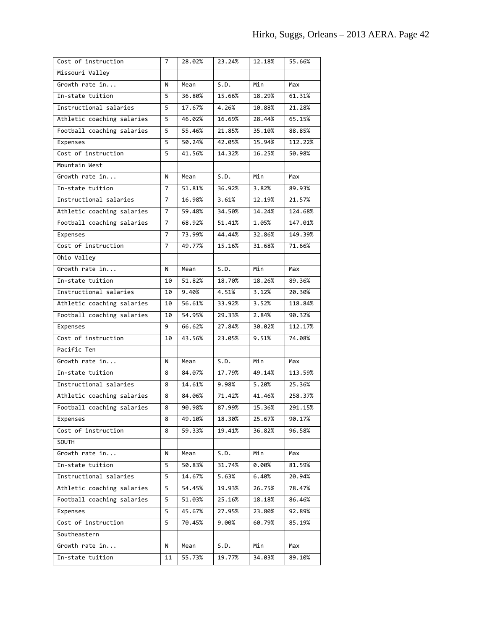| Missouri Valley<br>Growth rate in<br>S.D.<br>Min<br>Mean<br>Max<br>N<br>In-state tuition<br>5<br>36.80%<br>15.66%<br>18.29%<br>61.31%<br>Instructional salaries<br>17.67%<br>4.26%<br>10.88%<br>21.28%<br>5<br>16.69%<br>28.44%<br>65.15%<br>5<br>46.02%<br>Athletic coaching salaries<br>Football coaching salaries<br>5<br>55.46%<br>21.85%<br>35.10%<br>88.85%<br>42.05%<br>15.94%<br>112.22%<br>50.24%<br>Expenses<br>5<br>Cost of instruction<br>41.56%<br>14.32%<br>16.25%<br>50.98%<br>5<br>Mountain West<br>S.D.<br>Growth rate in<br>Mean<br>Min<br>Max<br>N<br>In-state tuition<br>$\overline{7}$<br>51.81%<br>36.92%<br>3.82%<br>89.93%<br>Instructional salaries<br>7<br>16.98%<br>3.61%<br>12.19%<br>21.57%<br>Athletic coaching salaries<br>59.48%<br>14.24%<br>124.68%<br>34.50%<br>7<br>51.41%<br>1.05%<br>147.01%<br>Football coaching salaries<br>68.92%<br>$\overline{7}$<br>73.99%<br>44.44%<br>32.86%<br>149.39%<br>Expenses<br>7<br>Cost of instruction<br>49.77%<br>15.16%<br>31.68%<br>71.66%<br>$\overline{7}$<br>Ohio Valley<br>Growth rate in<br>S.D.<br>Min<br>N<br>Mean<br>Max<br>In-state tuition<br>51.82%<br>18.26%<br>18.70%<br>89.36%<br>10<br>Instructional salaries<br>9.40%<br>3.12%<br>20.30%<br>4.51%<br>10<br>Athletic coaching salaries<br>56.61%<br>33.92%<br>3.52%<br>118.84%<br>10<br>54.95%<br>29.33%<br>2.84%<br>90.32%<br>Football coaching salaries<br>10<br>66.62%<br>9<br>27.84%<br>30.02%<br>112.17%<br>Expenses<br>Cost of instruction<br>74.08%<br>43.56%<br>23.05%<br>9.51%<br>10<br>Pacific Ten<br>Growth rate in<br>S.D.<br>Min<br>N<br>Mean<br>Max<br>In-state tuition<br>84.07%<br>17.79%<br>49.14%<br>113.59%<br>8<br>Instructional salaries<br>14.61%<br>9.98%<br>5.20%<br>25.36%<br>8<br>71.42%<br>41.46%<br>Athletic coaching salaries<br>8<br>84.06%<br>258.37%<br>Football coaching salaries<br>87.99%<br>90.98%<br>15.36%<br>291.15%<br>8<br>Expenses<br>49.10%<br>18.30%<br>25.67%<br>90.17%<br>8<br>Cost of instruction<br>59.33%<br>19.41%<br>36.82%<br>96.58%<br>8<br><b>SOUTH</b><br>Growth rate in<br>S.D.<br>Mean<br>Min<br>N<br>Max<br>In-state tuition<br>5<br>50.83%<br>31.74%<br>0.00%<br>81.59%<br>Instructional salaries<br>5<br>14.67%<br>5.63%<br>6.40%<br>20.94%<br>Athletic coaching salaries<br>19.93%<br>78.47%<br>5<br>54.45%<br>26.75%<br>Football coaching salaries<br>25.16%<br>18.18%<br>86.46%<br>5<br>51.03%<br>45.67%<br>27.95%<br>23.80%<br>92.89%<br>5<br>Expenses<br>Cost of instruction<br>9.00%<br>5<br>70.45%<br>60.79%<br>85.19%<br>Southeastern<br>Growth rate in<br>Min<br>N<br>Mean<br>S.D.<br>Max<br>In-state tuition<br>55.73%<br>19.77%<br>34.03%<br>89.10%<br>11 | Cost of instruction | 7 | 28.02% | 23.24% | 12.18% | 55.66% |
|----------------------------------------------------------------------------------------------------------------------------------------------------------------------------------------------------------------------------------------------------------------------------------------------------------------------------------------------------------------------------------------------------------------------------------------------------------------------------------------------------------------------------------------------------------------------------------------------------------------------------------------------------------------------------------------------------------------------------------------------------------------------------------------------------------------------------------------------------------------------------------------------------------------------------------------------------------------------------------------------------------------------------------------------------------------------------------------------------------------------------------------------------------------------------------------------------------------------------------------------------------------------------------------------------------------------------------------------------------------------------------------------------------------------------------------------------------------------------------------------------------------------------------------------------------------------------------------------------------------------------------------------------------------------------------------------------------------------------------------------------------------------------------------------------------------------------------------------------------------------------------------------------------------------------------------------------------------------------------------------------------------------------------------------------------------------------------------------------------------------------------------------------------------------------------------------------------------------------------------------------------------------------------------------------------------------------------------------------------------------------------------------------------------------------------------------------------------------------------------------------------------------------------------------------------------------------------------------------------------------------------------------------------------------------|---------------------|---|--------|--------|--------|--------|
|                                                                                                                                                                                                                                                                                                                                                                                                                                                                                                                                                                                                                                                                                                                                                                                                                                                                                                                                                                                                                                                                                                                                                                                                                                                                                                                                                                                                                                                                                                                                                                                                                                                                                                                                                                                                                                                                                                                                                                                                                                                                                                                                                                                                                                                                                                                                                                                                                                                                                                                                                                                                                                                                            |                     |   |        |        |        |        |
|                                                                                                                                                                                                                                                                                                                                                                                                                                                                                                                                                                                                                                                                                                                                                                                                                                                                                                                                                                                                                                                                                                                                                                                                                                                                                                                                                                                                                                                                                                                                                                                                                                                                                                                                                                                                                                                                                                                                                                                                                                                                                                                                                                                                                                                                                                                                                                                                                                                                                                                                                                                                                                                                            |                     |   |        |        |        |        |
|                                                                                                                                                                                                                                                                                                                                                                                                                                                                                                                                                                                                                                                                                                                                                                                                                                                                                                                                                                                                                                                                                                                                                                                                                                                                                                                                                                                                                                                                                                                                                                                                                                                                                                                                                                                                                                                                                                                                                                                                                                                                                                                                                                                                                                                                                                                                                                                                                                                                                                                                                                                                                                                                            |                     |   |        |        |        |        |
|                                                                                                                                                                                                                                                                                                                                                                                                                                                                                                                                                                                                                                                                                                                                                                                                                                                                                                                                                                                                                                                                                                                                                                                                                                                                                                                                                                                                                                                                                                                                                                                                                                                                                                                                                                                                                                                                                                                                                                                                                                                                                                                                                                                                                                                                                                                                                                                                                                                                                                                                                                                                                                                                            |                     |   |        |        |        |        |
|                                                                                                                                                                                                                                                                                                                                                                                                                                                                                                                                                                                                                                                                                                                                                                                                                                                                                                                                                                                                                                                                                                                                                                                                                                                                                                                                                                                                                                                                                                                                                                                                                                                                                                                                                                                                                                                                                                                                                                                                                                                                                                                                                                                                                                                                                                                                                                                                                                                                                                                                                                                                                                                                            |                     |   |        |        |        |        |
|                                                                                                                                                                                                                                                                                                                                                                                                                                                                                                                                                                                                                                                                                                                                                                                                                                                                                                                                                                                                                                                                                                                                                                                                                                                                                                                                                                                                                                                                                                                                                                                                                                                                                                                                                                                                                                                                                                                                                                                                                                                                                                                                                                                                                                                                                                                                                                                                                                                                                                                                                                                                                                                                            |                     |   |        |        |        |        |
|                                                                                                                                                                                                                                                                                                                                                                                                                                                                                                                                                                                                                                                                                                                                                                                                                                                                                                                                                                                                                                                                                                                                                                                                                                                                                                                                                                                                                                                                                                                                                                                                                                                                                                                                                                                                                                                                                                                                                                                                                                                                                                                                                                                                                                                                                                                                                                                                                                                                                                                                                                                                                                                                            |                     |   |        |        |        |        |
|                                                                                                                                                                                                                                                                                                                                                                                                                                                                                                                                                                                                                                                                                                                                                                                                                                                                                                                                                                                                                                                                                                                                                                                                                                                                                                                                                                                                                                                                                                                                                                                                                                                                                                                                                                                                                                                                                                                                                                                                                                                                                                                                                                                                                                                                                                                                                                                                                                                                                                                                                                                                                                                                            |                     |   |        |        |        |        |
|                                                                                                                                                                                                                                                                                                                                                                                                                                                                                                                                                                                                                                                                                                                                                                                                                                                                                                                                                                                                                                                                                                                                                                                                                                                                                                                                                                                                                                                                                                                                                                                                                                                                                                                                                                                                                                                                                                                                                                                                                                                                                                                                                                                                                                                                                                                                                                                                                                                                                                                                                                                                                                                                            |                     |   |        |        |        |        |
|                                                                                                                                                                                                                                                                                                                                                                                                                                                                                                                                                                                                                                                                                                                                                                                                                                                                                                                                                                                                                                                                                                                                                                                                                                                                                                                                                                                                                                                                                                                                                                                                                                                                                                                                                                                                                                                                                                                                                                                                                                                                                                                                                                                                                                                                                                                                                                                                                                                                                                                                                                                                                                                                            |                     |   |        |        |        |        |
|                                                                                                                                                                                                                                                                                                                                                                                                                                                                                                                                                                                                                                                                                                                                                                                                                                                                                                                                                                                                                                                                                                                                                                                                                                                                                                                                                                                                                                                                                                                                                                                                                                                                                                                                                                                                                                                                                                                                                                                                                                                                                                                                                                                                                                                                                                                                                                                                                                                                                                                                                                                                                                                                            |                     |   |        |        |        |        |
|                                                                                                                                                                                                                                                                                                                                                                                                                                                                                                                                                                                                                                                                                                                                                                                                                                                                                                                                                                                                                                                                                                                                                                                                                                                                                                                                                                                                                                                                                                                                                                                                                                                                                                                                                                                                                                                                                                                                                                                                                                                                                                                                                                                                                                                                                                                                                                                                                                                                                                                                                                                                                                                                            |                     |   |        |        |        |        |
|                                                                                                                                                                                                                                                                                                                                                                                                                                                                                                                                                                                                                                                                                                                                                                                                                                                                                                                                                                                                                                                                                                                                                                                                                                                                                                                                                                                                                                                                                                                                                                                                                                                                                                                                                                                                                                                                                                                                                                                                                                                                                                                                                                                                                                                                                                                                                                                                                                                                                                                                                                                                                                                                            |                     |   |        |        |        |        |
|                                                                                                                                                                                                                                                                                                                                                                                                                                                                                                                                                                                                                                                                                                                                                                                                                                                                                                                                                                                                                                                                                                                                                                                                                                                                                                                                                                                                                                                                                                                                                                                                                                                                                                                                                                                                                                                                                                                                                                                                                                                                                                                                                                                                                                                                                                                                                                                                                                                                                                                                                                                                                                                                            |                     |   |        |        |        |        |
|                                                                                                                                                                                                                                                                                                                                                                                                                                                                                                                                                                                                                                                                                                                                                                                                                                                                                                                                                                                                                                                                                                                                                                                                                                                                                                                                                                                                                                                                                                                                                                                                                                                                                                                                                                                                                                                                                                                                                                                                                                                                                                                                                                                                                                                                                                                                                                                                                                                                                                                                                                                                                                                                            |                     |   |        |        |        |        |
|                                                                                                                                                                                                                                                                                                                                                                                                                                                                                                                                                                                                                                                                                                                                                                                                                                                                                                                                                                                                                                                                                                                                                                                                                                                                                                                                                                                                                                                                                                                                                                                                                                                                                                                                                                                                                                                                                                                                                                                                                                                                                                                                                                                                                                                                                                                                                                                                                                                                                                                                                                                                                                                                            |                     |   |        |        |        |        |
|                                                                                                                                                                                                                                                                                                                                                                                                                                                                                                                                                                                                                                                                                                                                                                                                                                                                                                                                                                                                                                                                                                                                                                                                                                                                                                                                                                                                                                                                                                                                                                                                                                                                                                                                                                                                                                                                                                                                                                                                                                                                                                                                                                                                                                                                                                                                                                                                                                                                                                                                                                                                                                                                            |                     |   |        |        |        |        |
|                                                                                                                                                                                                                                                                                                                                                                                                                                                                                                                                                                                                                                                                                                                                                                                                                                                                                                                                                                                                                                                                                                                                                                                                                                                                                                                                                                                                                                                                                                                                                                                                                                                                                                                                                                                                                                                                                                                                                                                                                                                                                                                                                                                                                                                                                                                                                                                                                                                                                                                                                                                                                                                                            |                     |   |        |        |        |        |
|                                                                                                                                                                                                                                                                                                                                                                                                                                                                                                                                                                                                                                                                                                                                                                                                                                                                                                                                                                                                                                                                                                                                                                                                                                                                                                                                                                                                                                                                                                                                                                                                                                                                                                                                                                                                                                                                                                                                                                                                                                                                                                                                                                                                                                                                                                                                                                                                                                                                                                                                                                                                                                                                            |                     |   |        |        |        |        |
|                                                                                                                                                                                                                                                                                                                                                                                                                                                                                                                                                                                                                                                                                                                                                                                                                                                                                                                                                                                                                                                                                                                                                                                                                                                                                                                                                                                                                                                                                                                                                                                                                                                                                                                                                                                                                                                                                                                                                                                                                                                                                                                                                                                                                                                                                                                                                                                                                                                                                                                                                                                                                                                                            |                     |   |        |        |        |        |
|                                                                                                                                                                                                                                                                                                                                                                                                                                                                                                                                                                                                                                                                                                                                                                                                                                                                                                                                                                                                                                                                                                                                                                                                                                                                                                                                                                                                                                                                                                                                                                                                                                                                                                                                                                                                                                                                                                                                                                                                                                                                                                                                                                                                                                                                                                                                                                                                                                                                                                                                                                                                                                                                            |                     |   |        |        |        |        |
|                                                                                                                                                                                                                                                                                                                                                                                                                                                                                                                                                                                                                                                                                                                                                                                                                                                                                                                                                                                                                                                                                                                                                                                                                                                                                                                                                                                                                                                                                                                                                                                                                                                                                                                                                                                                                                                                                                                                                                                                                                                                                                                                                                                                                                                                                                                                                                                                                                                                                                                                                                                                                                                                            |                     |   |        |        |        |        |
|                                                                                                                                                                                                                                                                                                                                                                                                                                                                                                                                                                                                                                                                                                                                                                                                                                                                                                                                                                                                                                                                                                                                                                                                                                                                                                                                                                                                                                                                                                                                                                                                                                                                                                                                                                                                                                                                                                                                                                                                                                                                                                                                                                                                                                                                                                                                                                                                                                                                                                                                                                                                                                                                            |                     |   |        |        |        |        |
|                                                                                                                                                                                                                                                                                                                                                                                                                                                                                                                                                                                                                                                                                                                                                                                                                                                                                                                                                                                                                                                                                                                                                                                                                                                                                                                                                                                                                                                                                                                                                                                                                                                                                                                                                                                                                                                                                                                                                                                                                                                                                                                                                                                                                                                                                                                                                                                                                                                                                                                                                                                                                                                                            |                     |   |        |        |        |        |
|                                                                                                                                                                                                                                                                                                                                                                                                                                                                                                                                                                                                                                                                                                                                                                                                                                                                                                                                                                                                                                                                                                                                                                                                                                                                                                                                                                                                                                                                                                                                                                                                                                                                                                                                                                                                                                                                                                                                                                                                                                                                                                                                                                                                                                                                                                                                                                                                                                                                                                                                                                                                                                                                            |                     |   |        |        |        |        |
|                                                                                                                                                                                                                                                                                                                                                                                                                                                                                                                                                                                                                                                                                                                                                                                                                                                                                                                                                                                                                                                                                                                                                                                                                                                                                                                                                                                                                                                                                                                                                                                                                                                                                                                                                                                                                                                                                                                                                                                                                                                                                                                                                                                                                                                                                                                                                                                                                                                                                                                                                                                                                                                                            |                     |   |        |        |        |        |
|                                                                                                                                                                                                                                                                                                                                                                                                                                                                                                                                                                                                                                                                                                                                                                                                                                                                                                                                                                                                                                                                                                                                                                                                                                                                                                                                                                                                                                                                                                                                                                                                                                                                                                                                                                                                                                                                                                                                                                                                                                                                                                                                                                                                                                                                                                                                                                                                                                                                                                                                                                                                                                                                            |                     |   |        |        |        |        |
|                                                                                                                                                                                                                                                                                                                                                                                                                                                                                                                                                                                                                                                                                                                                                                                                                                                                                                                                                                                                                                                                                                                                                                                                                                                                                                                                                                                                                                                                                                                                                                                                                                                                                                                                                                                                                                                                                                                                                                                                                                                                                                                                                                                                                                                                                                                                                                                                                                                                                                                                                                                                                                                                            |                     |   |        |        |        |        |
|                                                                                                                                                                                                                                                                                                                                                                                                                                                                                                                                                                                                                                                                                                                                                                                                                                                                                                                                                                                                                                                                                                                                                                                                                                                                                                                                                                                                                                                                                                                                                                                                                                                                                                                                                                                                                                                                                                                                                                                                                                                                                                                                                                                                                                                                                                                                                                                                                                                                                                                                                                                                                                                                            |                     |   |        |        |        |        |
|                                                                                                                                                                                                                                                                                                                                                                                                                                                                                                                                                                                                                                                                                                                                                                                                                                                                                                                                                                                                                                                                                                                                                                                                                                                                                                                                                                                                                                                                                                                                                                                                                                                                                                                                                                                                                                                                                                                                                                                                                                                                                                                                                                                                                                                                                                                                                                                                                                                                                                                                                                                                                                                                            |                     |   |        |        |        |        |
|                                                                                                                                                                                                                                                                                                                                                                                                                                                                                                                                                                                                                                                                                                                                                                                                                                                                                                                                                                                                                                                                                                                                                                                                                                                                                                                                                                                                                                                                                                                                                                                                                                                                                                                                                                                                                                                                                                                                                                                                                                                                                                                                                                                                                                                                                                                                                                                                                                                                                                                                                                                                                                                                            |                     |   |        |        |        |        |
|                                                                                                                                                                                                                                                                                                                                                                                                                                                                                                                                                                                                                                                                                                                                                                                                                                                                                                                                                                                                                                                                                                                                                                                                                                                                                                                                                                                                                                                                                                                                                                                                                                                                                                                                                                                                                                                                                                                                                                                                                                                                                                                                                                                                                                                                                                                                                                                                                                                                                                                                                                                                                                                                            |                     |   |        |        |        |        |
|                                                                                                                                                                                                                                                                                                                                                                                                                                                                                                                                                                                                                                                                                                                                                                                                                                                                                                                                                                                                                                                                                                                                                                                                                                                                                                                                                                                                                                                                                                                                                                                                                                                                                                                                                                                                                                                                                                                                                                                                                                                                                                                                                                                                                                                                                                                                                                                                                                                                                                                                                                                                                                                                            |                     |   |        |        |        |        |
|                                                                                                                                                                                                                                                                                                                                                                                                                                                                                                                                                                                                                                                                                                                                                                                                                                                                                                                                                                                                                                                                                                                                                                                                                                                                                                                                                                                                                                                                                                                                                                                                                                                                                                                                                                                                                                                                                                                                                                                                                                                                                                                                                                                                                                                                                                                                                                                                                                                                                                                                                                                                                                                                            |                     |   |        |        |        |        |
|                                                                                                                                                                                                                                                                                                                                                                                                                                                                                                                                                                                                                                                                                                                                                                                                                                                                                                                                                                                                                                                                                                                                                                                                                                                                                                                                                                                                                                                                                                                                                                                                                                                                                                                                                                                                                                                                                                                                                                                                                                                                                                                                                                                                                                                                                                                                                                                                                                                                                                                                                                                                                                                                            |                     |   |        |        |        |        |
|                                                                                                                                                                                                                                                                                                                                                                                                                                                                                                                                                                                                                                                                                                                                                                                                                                                                                                                                                                                                                                                                                                                                                                                                                                                                                                                                                                                                                                                                                                                                                                                                                                                                                                                                                                                                                                                                                                                                                                                                                                                                                                                                                                                                                                                                                                                                                                                                                                                                                                                                                                                                                                                                            |                     |   |        |        |        |        |
|                                                                                                                                                                                                                                                                                                                                                                                                                                                                                                                                                                                                                                                                                                                                                                                                                                                                                                                                                                                                                                                                                                                                                                                                                                                                                                                                                                                                                                                                                                                                                                                                                                                                                                                                                                                                                                                                                                                                                                                                                                                                                                                                                                                                                                                                                                                                                                                                                                                                                                                                                                                                                                                                            |                     |   |        |        |        |        |
|                                                                                                                                                                                                                                                                                                                                                                                                                                                                                                                                                                                                                                                                                                                                                                                                                                                                                                                                                                                                                                                                                                                                                                                                                                                                                                                                                                                                                                                                                                                                                                                                                                                                                                                                                                                                                                                                                                                                                                                                                                                                                                                                                                                                                                                                                                                                                                                                                                                                                                                                                                                                                                                                            |                     |   |        |        |        |        |
|                                                                                                                                                                                                                                                                                                                                                                                                                                                                                                                                                                                                                                                                                                                                                                                                                                                                                                                                                                                                                                                                                                                                                                                                                                                                                                                                                                                                                                                                                                                                                                                                                                                                                                                                                                                                                                                                                                                                                                                                                                                                                                                                                                                                                                                                                                                                                                                                                                                                                                                                                                                                                                                                            |                     |   |        |        |        |        |
|                                                                                                                                                                                                                                                                                                                                                                                                                                                                                                                                                                                                                                                                                                                                                                                                                                                                                                                                                                                                                                                                                                                                                                                                                                                                                                                                                                                                                                                                                                                                                                                                                                                                                                                                                                                                                                                                                                                                                                                                                                                                                                                                                                                                                                                                                                                                                                                                                                                                                                                                                                                                                                                                            |                     |   |        |        |        |        |
|                                                                                                                                                                                                                                                                                                                                                                                                                                                                                                                                                                                                                                                                                                                                                                                                                                                                                                                                                                                                                                                                                                                                                                                                                                                                                                                                                                                                                                                                                                                                                                                                                                                                                                                                                                                                                                                                                                                                                                                                                                                                                                                                                                                                                                                                                                                                                                                                                                                                                                                                                                                                                                                                            |                     |   |        |        |        |        |
|                                                                                                                                                                                                                                                                                                                                                                                                                                                                                                                                                                                                                                                                                                                                                                                                                                                                                                                                                                                                                                                                                                                                                                                                                                                                                                                                                                                                                                                                                                                                                                                                                                                                                                                                                                                                                                                                                                                                                                                                                                                                                                                                                                                                                                                                                                                                                                                                                                                                                                                                                                                                                                                                            |                     |   |        |        |        |        |
|                                                                                                                                                                                                                                                                                                                                                                                                                                                                                                                                                                                                                                                                                                                                                                                                                                                                                                                                                                                                                                                                                                                                                                                                                                                                                                                                                                                                                                                                                                                                                                                                                                                                                                                                                                                                                                                                                                                                                                                                                                                                                                                                                                                                                                                                                                                                                                                                                                                                                                                                                                                                                                                                            |                     |   |        |        |        |        |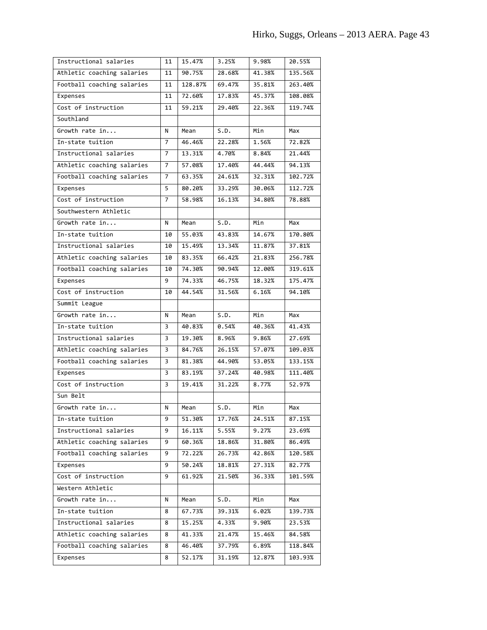| Instructional salaries     | 11             | 15.47%  | 3.25%  | 9.98%  | 20.55%  |
|----------------------------|----------------|---------|--------|--------|---------|
| Athletic coaching salaries | 11             | 90.75%  | 28.68% | 41.38% | 135.56% |
| Football coaching salaries | 11             | 128.87% | 69.47% | 35.81% | 263.40% |
| Expenses                   | 11             | 72.60%  | 17.83% | 45.37% | 108.08% |
| Cost of instruction        | 11             | 59.21%  | 29.40% | 22.36% | 119.74% |
| Southland                  |                |         |        |        |         |
| Growth rate in             | N              | Mean    | S.D.   | Min    | Max     |
| In-state tuition           | 7              | 46.46%  | 22.28% | 1.56%  | 72.82%  |
| Instructional salaries     | $\overline{7}$ | 13.31%  | 4.70%  | 8.84%  | 21.44%  |
| Athletic coaching salaries | $\overline{7}$ | 57.08%  | 17.40% | 44.44% | 94.13%  |
| Football coaching salaries | 7              | 63.35%  | 24.61% | 32.31% | 102.72% |
| Expenses                   | 5              | 80.20%  | 33.29% | 30.06% | 112.72% |
| Cost of instruction        | 7              | 58.98%  | 16.13% | 34.80% | 78.88%  |
| Southwestern Athletic      |                |         |        |        |         |
| Growth rate in             | N              | Mean    | S.D.   | Min    | Max     |
| In-state tuition           | 10             | 55.03%  | 43.83% | 14.67% | 170.80% |
| Instructional salaries     | 10             | 15.49%  | 13.34% | 11.87% | 37.81%  |
| Athletic coaching salaries | 10             | 83.35%  | 66.42% | 21.83% | 256.78% |
| Football coaching salaries | 10             | 74.30%  | 90.94% | 12.00% | 319.61% |
| Expenses                   | 9              | 74.33%  | 46.75% | 18.32% | 175.47% |
| Cost of instruction        | 10             | 44.54%  | 31.56% | 6.16%  | 94.10%  |
| Summit League              |                |         |        |        |         |
|                            |                |         |        |        |         |
| Growth rate in             | Ν              | Mean    | S.D.   | Min    | Max     |
| In-state tuition           | 3              | 40.83%  | 0.54%  | 40.36% | 41.43%  |
| Instructional salaries     | 3              | 19.30%  | 8.96%  | 9.86%  | 27.69%  |
| Athletic coaching salaries | 3              | 84.76%  | 26.15% | 57.07% | 109.03% |
| Football coaching salaries | 3              | 81.38%  | 44.90% | 53.05% | 133.15% |
| Expenses                   | 3              | 83.19%  | 37.24% | 40.98% | 111.40% |
| Cost of instruction        | 3              | 19.41%  | 31.22% | 8.77%  | 52.97%  |
| Sun Belt                   |                |         |        |        |         |
| Growth rate in             | N              | Mean    | S.D.   | Min    | Max     |
| In-state tuition           | 9              | 51.30%  | 17.76% | 24.51% | 87.15%  |
| Instructional salaries     | 9              | 16.11%  | 5.55%  | 9.27%  | 23.69%  |
| Athletic coaching salaries | 9              | 60.36%  | 18.86% | 31.80% | 86.49%  |
| Football coaching salaries | 9              | 72.22%  | 26.73% | 42.86% | 120.58% |
| Expenses                   | 9              | 50.24%  | 18.81% | 27.31% | 82.77%  |
| Cost of instruction        | 9              | 61.92%  | 21.50% | 36.33% | 101.59% |
| Western Athletic           |                |         |        |        |         |
| Growth rate in             | N              | Mean    | S.D.   | Min    | Max     |
| In-state tuition           | 8              | 67.73%  | 39.31% | 6.02%  | 139.73% |
| Instructional salaries     | 8              | 15.25%  | 4.33%  | 9.90%  | 23.53%  |
| Athletic coaching salaries | 8              | 41.33%  | 21.47% | 15.46% | 84.58%  |
| Football coaching salaries | 8              | 46.40%  | 37.79% | 6.89%  | 118.84% |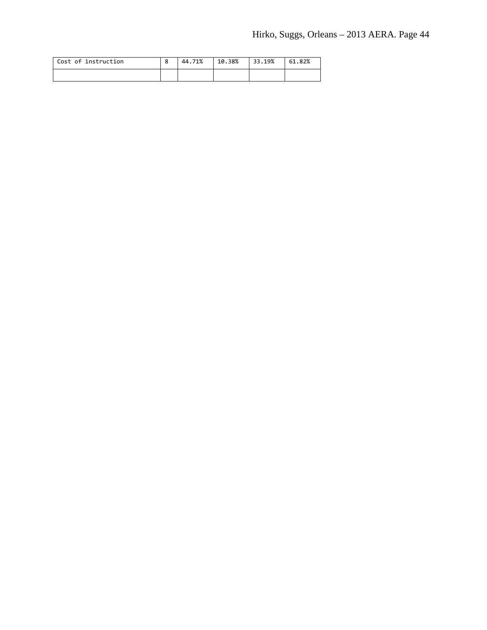| Cost of instruction | 44.71% | 10.38% | 33.19% | 61.82% |
|---------------------|--------|--------|--------|--------|
|                     |        |        |        |        |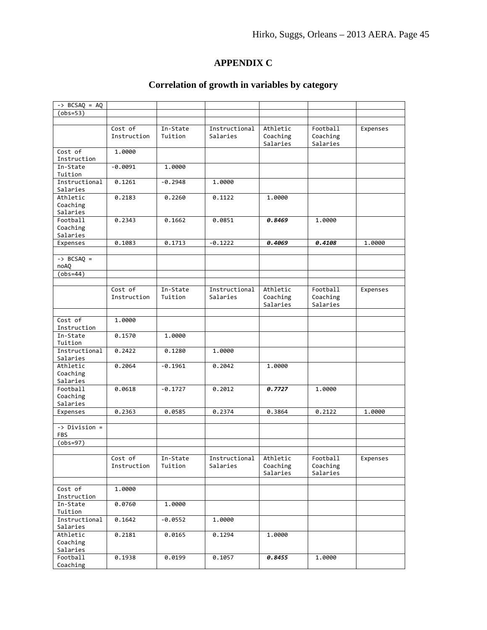# **APPENDIX C**

# **Correlation of growth in variables by category**

| $\rightarrow$ BCSAQ = AQ      |             |           |               |          |          |          |
|-------------------------------|-------------|-----------|---------------|----------|----------|----------|
| $(obs=53)$                    |             |           |               |          |          |          |
|                               |             |           |               |          |          |          |
|                               | Cost of     | In-State  | Instructional | Athletic | Football | Expenses |
|                               | Instruction | Tuition   | Salaries      | Coaching | Coaching |          |
|                               |             |           |               | Salaries | Salaries |          |
| Cost of                       | 1.0000      |           |               |          |          |          |
| Instruction                   |             |           |               |          |          |          |
| In-State                      | $-0.0091$   | 1,0000    |               |          |          |          |
| Tuition                       |             |           |               |          |          |          |
| Instructional                 | 0.1261      | $-0.2948$ | 1.0000        |          |          |          |
| Salaries                      |             |           |               |          |          |          |
| Athletic                      | 0.2183      | 0.2260    | 0.1122        | 1.0000   |          |          |
| Coaching                      |             |           |               |          |          |          |
| Salaries                      |             |           |               |          |          |          |
| Football                      | 0.2343      | 0.1662    | 0.0851        | 0.8469   | 1.0000   |          |
| Coaching                      |             |           |               |          |          |          |
| Salaries                      |             |           |               |          |          |          |
| Expenses                      | 0.1083      | 0.1713    | $-0.1222$     | 0.4069   | 0.4108   | 1.0000   |
|                               |             |           |               |          |          |          |
|                               |             |           |               |          |          |          |
| $\rightarrow$ BCSAQ =<br>noAQ |             |           |               |          |          |          |
|                               |             |           |               |          |          |          |
| $(obs=44)$                    |             |           |               |          |          |          |
|                               |             |           |               |          |          |          |
|                               | Cost of     | In-State  | Instructional | Athletic | Football | Expenses |
|                               | Instruction | Tuition   | Salaries      | Coaching | Coaching |          |
|                               |             |           |               | Salaries | Salaries |          |
|                               |             |           |               |          |          |          |
| Cost of                       | 1.0000      |           |               |          |          |          |
| Instruction                   |             |           |               |          |          |          |
| In-State                      | 0.1570      | 1.0000    |               |          |          |          |
| Tuition                       |             |           |               |          |          |          |
| Instructional                 | 0.2422      | 0.1280    | 1.0000        |          |          |          |
| Salaries                      |             |           |               |          |          |          |
| Athletic                      | 0.2064      | $-0.1961$ | 0.2042        | 1.0000   |          |          |
| Coaching                      |             |           |               |          |          |          |
| Salaries                      |             |           |               |          |          |          |
| Football                      | 0.0618      | $-0.1727$ | 0.2012        | 0.7727   | 1.0000   |          |
| Coaching                      |             |           |               |          |          |          |
| Salaries                      |             |           |               |          |          |          |
| Expenses                      | 0.2363      | 0.0585    | 0.2374        | 0.3864   | 0.2122   | 1.0000   |
|                               |             |           |               |          |          |          |
| $\rightarrow$ Division =      |             |           |               |          |          |          |
| <b>FBS</b>                    |             |           |               |          |          |          |
| $(obs=97)$                    |             |           |               |          |          |          |
|                               |             |           |               |          |          |          |
|                               | LOST OT     | In-State  | Instructional | Athletic | Football | Expenses |
|                               | Instruction | Tuition   | Salaries      | Coaching | Coaching |          |
|                               |             |           |               | Salaries | Salaries |          |
|                               |             |           |               |          |          |          |
| Cost of                       | 1.0000      |           |               |          |          |          |
| Instruction                   |             |           |               |          |          |          |
| In-State                      | 0.0760      | 1.0000    |               |          |          |          |
| Tuition                       |             |           |               |          |          |          |
| Instructional                 | 0.1642      | $-0.0552$ | 1.0000        |          |          |          |
| Salaries                      |             |           |               |          |          |          |
| Athletic                      | 0.2181      | 0.0165    | 0.1294        | 1.0000   |          |          |
| Coaching                      |             |           |               |          |          |          |
| Salaries                      |             |           |               |          |          |          |
| Football                      | 0.1938      | 0.0199    | 0.1057        | 0.8455   | 1.0000   |          |
| Coaching                      |             |           |               |          |          |          |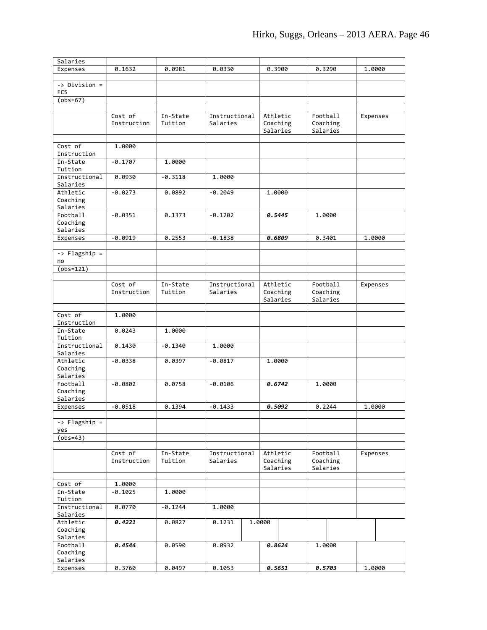| Salaries                 |             |           |               |          |          |          |
|--------------------------|-------------|-----------|---------------|----------|----------|----------|
| Expenses                 | 0.1632      | 0.0981    | 0.0330        | 0.3900   | 0.3290   | 1.0000   |
|                          |             |           |               |          |          |          |
| -> Division =            |             |           |               |          |          |          |
| <b>FCS</b>               |             |           |               |          |          |          |
| $(obs=67)$               |             |           |               |          |          |          |
|                          |             |           |               |          |          |          |
|                          | Cost of     | In-State  | Instructional | Athletic | Football | Expenses |
|                          | Instruction | Tuition   | Salaries      | Coaching | Coaching |          |
|                          |             |           |               | Salaries | Salaries |          |
| Cost of                  | 1.0000      |           |               |          |          |          |
| Instruction              |             |           |               |          |          |          |
| In-State                 | $-0.1707$   | 1.0000    |               |          |          |          |
| Tuition                  |             |           |               |          |          |          |
| Instructional            | 0.0930      | $-0.3118$ | 1.0000        |          |          |          |
| Salaries                 |             |           |               |          |          |          |
| Athletic                 | $-0.0273$   | 0.0892    | $-0.2049$     | 1,0000   |          |          |
| Coaching                 |             |           |               |          |          |          |
| Salaries                 |             |           |               |          |          |          |
| Football                 | $-0.0351$   | 0.1373    | $-0.1202$     | 0.5445   | 1.0000   |          |
| Coaching                 |             |           |               |          |          |          |
| Salaries<br>Expenses     | $-0.0919$   | 0.2553    | $-0.1838$     | 0.6809   | 0.3401   | 1.0000   |
|                          |             |           |               |          |          |          |
| -> Flagship =            |             |           |               |          |          |          |
| no                       |             |           |               |          |          |          |
| $(obs=121)$              |             |           |               |          |          |          |
|                          |             |           |               |          |          |          |
|                          | Cost of     | In-State  | Instructional | Athletic | Football | Expenses |
|                          | Instruction | Tuition   | Salaries      | Coaching | Coaching |          |
|                          |             |           |               | Salaries | Salaries |          |
|                          |             |           |               |          |          |          |
| Cost of                  | 1.0000      |           |               |          |          |          |
| Instruction              |             |           |               |          |          |          |
| In-State                 | 0.0243      | 1.0000    |               |          |          |          |
| Tuition<br>Instructional | 0.1430      | $-0.1340$ | 1,0000        |          |          |          |
| Salaries                 |             |           |               |          |          |          |
| Athletic                 | $-0.0338$   | 0.0397    | $-0.0817$     | 1,0000   |          |          |
| Coaching                 |             |           |               |          |          |          |
| Salaries                 |             |           |               |          |          |          |
| Football                 | $-0.0802$   | 0.0758    | $-0.0106$     | 0.6742   | 1.0000   |          |
| Coaching                 |             |           |               |          |          |          |
| Salaries                 |             |           |               |          |          |          |
| Expenses                 | $-0.0518$   | 0.1394    | $-0.1433$     | 0.5092   | 0.2244   | 1.0000   |
|                          |             |           |               |          |          |          |
| -> Flagship =            |             |           |               |          |          |          |
| yes                      |             |           |               |          |          |          |
| $(obs=43)$               |             |           |               |          |          |          |
|                          | Cost of     | In-State  | Instructional | Athletic | Football | Expenses |
|                          | Instruction | Tuition   | Salaries      | Coaching | Coaching |          |
|                          |             |           |               | Salaries | Salaries |          |
|                          |             |           |               |          |          |          |
| Cost of                  | 1.0000      |           |               |          |          |          |
| In-State                 | $-0.1025$   | 1.0000    |               |          |          |          |
| Tuition                  |             |           |               |          |          |          |
| Instructional            | 0.0770      | $-0.1244$ | 1.0000        |          |          |          |
| Salaries                 |             |           |               |          |          |          |
| Athletic                 | 0.4221      | 0.0827    | 0.1231        | 1.0000   |          |          |
| Coaching                 |             |           |               |          |          |          |
| Salaries                 |             |           |               |          |          |          |
| Football                 | 0.4544      | 0.0590    | 0.0932        | 0.8624   | 1.0000   |          |
| Coaching<br>Salaries     |             |           |               |          |          |          |
| Expenses                 | 0.3760      | 0.0497    | 0.1053        | 0.5651   | 0.5703   | 1.0000   |
|                          |             |           |               |          |          |          |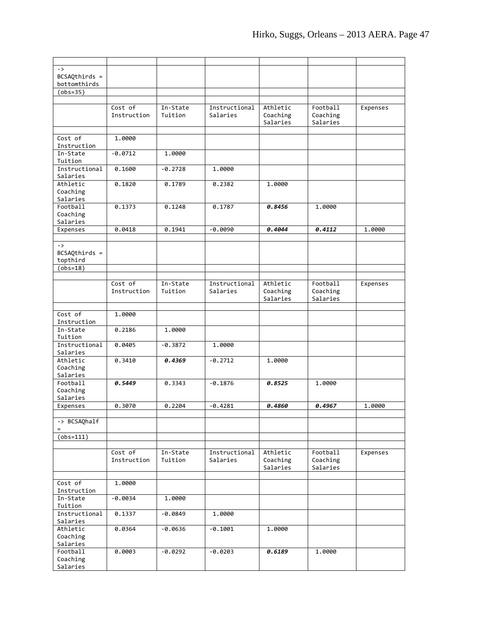| $\rightarrow$           |             |           |                           |                      |                      |          |
|-------------------------|-------------|-----------|---------------------------|----------------------|----------------------|----------|
| $BCSAQthirds =$         |             |           |                           |                      |                      |          |
| bottomthirds            |             |           |                           |                      |                      |          |
| $(obs=35)$              |             |           |                           |                      |                      |          |
|                         |             |           |                           |                      |                      |          |
|                         | Cost of     | In-State  | Instructional<br>Salaries | Athletic             | Football             | Expenses |
|                         | Instruction | Tuition   |                           | Coaching<br>Salaries | Coaching<br>Salaries |          |
|                         |             |           |                           |                      |                      |          |
| Cost of                 | 1.0000      |           |                           |                      |                      |          |
| Instruction             |             |           |                           |                      |                      |          |
| In-State                | $-0.0712$   | 1,0000    |                           |                      |                      |          |
| Tuition                 |             |           |                           |                      |                      |          |
| Instructional           | 0.1600      | $-0.2728$ | 1,0000                    |                      |                      |          |
| Salaries                |             |           |                           |                      |                      |          |
| Athletic                | 0.1820      | 0.1789    | 0.2382                    | 1,0000               |                      |          |
| Coaching                |             |           |                           |                      |                      |          |
| Salaries                |             |           |                           |                      |                      |          |
| Football                | 0.1373      | 0.1248    | 0.1787                    | 0.8456               | 1,0000               |          |
| Coaching<br>Salaries    |             |           |                           |                      |                      |          |
|                         | 0.0418      | 0.1941    | $-0.0090$                 | 0.4044               | 0.4112               | 1,0000   |
| Expenses                |             |           |                           |                      |                      |          |
| $\rightarrow$           |             |           |                           |                      |                      |          |
| $BCSAQthirds =$         |             |           |                           |                      |                      |          |
| topthird                |             |           |                           |                      |                      |          |
| $(obs=18)$              |             |           |                           |                      |                      |          |
|                         |             |           |                           |                      |                      |          |
|                         | Cost of     | In-State  | Instructional             | Athletic             | Football             | Expenses |
|                         | Instruction | Tuition   | Salaries                  | Coaching             | Coaching             |          |
|                         |             |           |                           | Salaries             | Salaries             |          |
|                         |             |           |                           |                      |                      |          |
| Cost of                 | 1.0000      |           |                           |                      |                      |          |
| Instruction<br>In-State |             |           |                           |                      |                      |          |
| Tuition                 | 0.2186      | 1,0000    |                           |                      |                      |          |
| Instructional           | 0.0405      | $-0.3872$ | 1,0000                    |                      |                      |          |
| Salaries                |             |           |                           |                      |                      |          |
| Athletic                | 0.3410      | 0.4369    | $-0.2712$                 | 1.0000               |                      |          |
| Coaching                |             |           |                           |                      |                      |          |
| Salaries                |             |           |                           |                      |                      |          |
| Football                | 0.5449      | 0.3343    | $-0.1876$                 | 0.8525               | 1,0000               |          |
| Coaching                |             |           |                           |                      |                      |          |
| Salaries                |             |           |                           |                      |                      |          |
| Expenses                | 0.3070      | 0.2204    | $-0.4281$                 | 0.4860               | 0.4967               | 1,0000   |
|                         |             |           |                           |                      |                      |          |
| -> BCSAQhalf            |             |           |                           |                      |                      |          |
|                         |             |           |                           |                      |                      |          |
| $(obs=111)$             |             |           |                           |                      |                      |          |
|                         | Cost of     | In-State  | Instructional             | Athletic             | Football             | Expenses |
|                         | Instruction | Tuition   | Salaries                  | Coaching             | Coaching             |          |
|                         |             |           |                           | Salaries             | Salaries             |          |
|                         |             |           |                           |                      |                      |          |
| Cost of                 | 1.0000      |           |                           |                      |                      |          |
| Instruction             |             |           |                           |                      |                      |          |
| In-State                | $-0.0034$   | 1.0000    |                           |                      |                      |          |
| Tuition                 |             |           |                           |                      |                      |          |
| Instructional           | 0.1337      | $-0.0849$ | 1.0000                    |                      |                      |          |
| Salaries                |             |           |                           |                      |                      |          |
| Athletic                | 0.0364      | $-0.0636$ | $-0.1001$                 | 1.0000               |                      |          |
| Coaching<br>Salaries    |             |           |                           |                      |                      |          |
| Football                | 0.0003      | $-0.0292$ | $-0.0203$                 | 0.6189               | 1.0000               |          |
| Coaching                |             |           |                           |                      |                      |          |
| Salaries                |             |           |                           |                      |                      |          |
|                         |             |           |                           |                      |                      |          |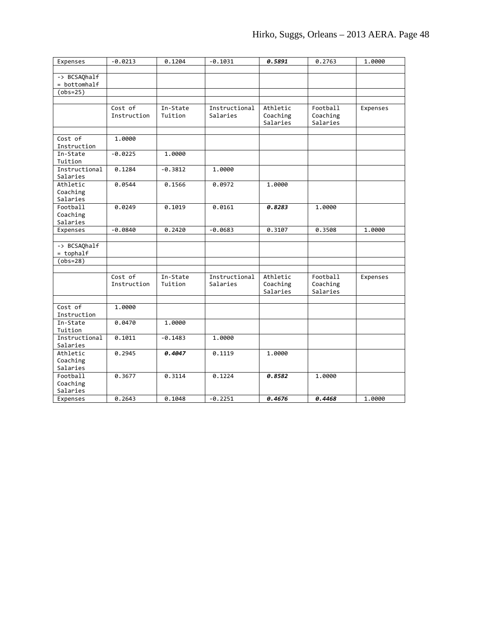| Expenses                | $-0.0213$   | 0.1204    | $-0.1031$     | 0.5891   | 0.2763   | 1.0000   |
|-------------------------|-------------|-----------|---------------|----------|----------|----------|
|                         |             |           |               |          |          |          |
| -> BCSAQhalf            |             |           |               |          |          |          |
| = bottomhalf            |             |           |               |          |          |          |
| $(obs=25)$              |             |           |               |          |          |          |
|                         | Cost of     | In-State  | Instructional | Athletic | Football | Expenses |
|                         | Instruction | Tuition   | Salaries      | Coaching | Coaching |          |
|                         |             |           |               | Salaries | Salaries |          |
|                         |             |           |               |          |          |          |
| Cost of                 | 1.0000      |           |               |          |          |          |
| Instruction             |             |           |               |          |          |          |
| In-State                | $-0.0225$   | 1.0000    |               |          |          |          |
| Tuition                 |             |           |               |          |          |          |
| Instructional           | 0.1284      | $-0.3812$ | 1.0000        |          |          |          |
| Salaries                |             |           |               |          |          |          |
| Athletic                | 0.0544      | 0.1566    | 0.0972        | 1,0000   |          |          |
| Coaching                |             |           |               |          |          |          |
| Salaries                |             |           |               |          |          |          |
| Football                | 0.0249      | 0.1019    | 0.0161        | 0.8283   | 1.0000   |          |
| Coaching<br>Salaries    |             |           |               |          |          |          |
| Expenses                | $-0.0840$   | 0.2420    | $-0.0683$     | 0.3107   | 0.3508   | 1.0000   |
|                         |             |           |               |          |          |          |
| -> BCSAQhalf            |             |           |               |          |          |          |
| $=$ tophalf             |             |           |               |          |          |          |
| $(obs=28)$              |             |           |               |          |          |          |
|                         |             |           |               |          |          |          |
|                         | Cost of     | In-State  | Instructional | Athletic | Football | Expenses |
|                         | Instruction | Tuition   | Salaries      | Coaching | Coaching |          |
|                         |             |           |               | Salaries | Salaries |          |
|                         |             |           |               |          |          |          |
| Cost of                 | 1.0000      |           |               |          |          |          |
| Instruction<br>In-State | 0.0470      | 1.0000    |               |          |          |          |
| Tuition                 |             |           |               |          |          |          |
| Instructional           | 0.1011      | $-0.1483$ | 1.0000        |          |          |          |
| Salaries                |             |           |               |          |          |          |
| Athletic                | 0.2945      | 0.4047    | 0.1119        | 1.0000   |          |          |
| Coaching                |             |           |               |          |          |          |
| Salaries                |             |           |               |          |          |          |
| Football                | 0.3677      | 0.3114    | 0.1224        | 0.8582   | 1.0000   |          |
| Coaching                |             |           |               |          |          |          |
| Salaries                |             |           |               |          |          |          |
| Expenses                | 0.2643      | 0.1048    | $-0.2251$     | 0.4676   | 0.4468   | 1.0000   |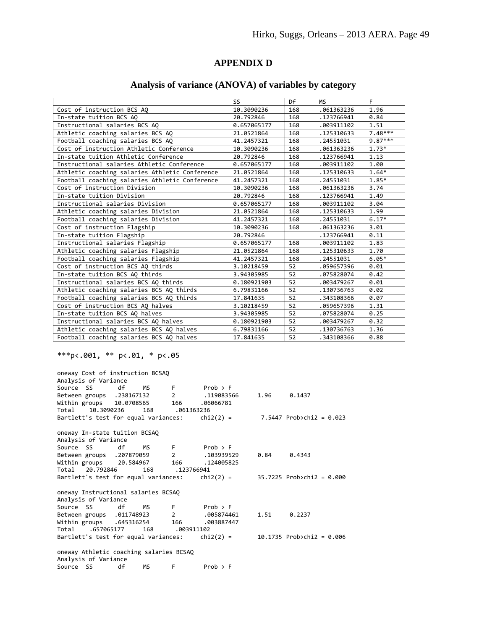# **APPENDIX D**

# **Analysis of variance (ANOVA) of variables by category**

|                                                | SS          | Df  | <b>MS</b>  | F         |
|------------------------------------------------|-------------|-----|------------|-----------|
| Cost of instruction BCS AQ                     | 10.3090236  | 168 | .061363236 | 1.96      |
| In-state tuition BCS AO                        | 20.792846   | 168 | .123766941 | 0.84      |
| Instructional salaries BCS AQ                  | 0.657065177 | 168 | .003911102 | 1.51      |
| Athletic coaching salaries BCS AQ              | 21.0521864  | 168 | .125310633 | $7.48***$ |
| Football coaching salaries BCS AQ              | 41.2457321  | 168 | .24551031  | $9.87***$ |
| Cost of instruction Athletic Conference        | 10.3090236  | 168 | .061363236 | $1.73*$   |
| In-state tuition Athletic Conference           | 20.792846   | 168 | .123766941 | 1.13      |
| Instructional salaries Athletic Conference     | 0.657065177 | 168 | .003911102 | 1.00      |
| Athletic coaching salaries Athletic Conference | 21.0521864  | 168 | .125310633 | $1.64*$   |
| Football coaching salaries Athletic Conference | 41.2457321  | 168 | .24551031  | 1.85*     |
| Cost of instruction Division                   | 10.3090236  | 168 | .061363236 | 3.74      |
| In-state tuition Division                      | 20.792846   | 168 | .123766941 | 1.49      |
| Instructional salaries Division                | 0.657065177 | 168 | .003911102 | 3.04      |
| Athletic coaching salaries Division            | 21.0521864  | 168 | .125310633 | 1.99      |
| Football coaching salaries Division            | 41.2457321  | 168 | .24551031  | $6.17*$   |
| Cost of instruction Flagship                   | 10.3090236  | 168 | .061363236 | 3.01      |
| In-state tuition Flagship                      | 20.792846   |     | .123766941 | 0.11      |
| Instructional salaries Flagship                | 0.657065177 | 168 | .003911102 | 1.83      |
| Athletic coaching salaries Flagship            | 21.0521864  | 168 | .125310633 | 1.70      |
| Football coaching salaries Flagship            | 41.2457321  | 168 | .24551031  | $6.05*$   |
| Cost of instruction BCS AO thirds              | 3.10218459  | 52  | .059657396 | 0.01      |
| In-state tuition BCS AO thirds                 | 3.94305985  | 52  | .075828074 | 0.42      |
| Instructional salaries BCS AQ thirds           | 0.180921903 | 52  | .003479267 | 0.01      |
| Athletic coaching salaries BCS AQ thirds       | 6.79831166  | 52  | .130736763 | 0.02      |
| Football coaching salaries BCS AQ thirds       | 17.841635   | 52  | .343108366 | 0.07      |
| Cost of instruction BCS AQ halves              | 3.10218459  | 52  | .059657396 | 1.31      |
| In-state tuition BCS AO halves                 | 3.94305985  | 52  | .075828074 | 0.25      |
| Instructional salaries BCS AQ halves           | 0.180921903 | 52  | .003479267 | 0.32      |
| Athletic coaching salaries BCS AQ halves       | 6.79831166  | 52  | .130736763 | 1.36      |
| Football coaching salaries BCS AQ halves       | 17.841635   | 52  | .343108366 | 0.88      |

\*\*\*p<.001, \*\* p<.01, \* p<.05

| oneway Cost of instruction BCSAQ<br>Analysis of Variance |    |      |                |                                          |      |                                                                                            |
|----------------------------------------------------------|----|------|----------------|------------------------------------------|------|--------------------------------------------------------------------------------------------|
| Source SS                                                |    |      |                | df MS F Prob > F                         |      |                                                                                            |
| Between groups .238167132 2 .119083566                   |    |      |                |                                          |      | $1.96$ 0.1437                                                                              |
| Within groups 10.0708565 166 .06066781                   |    |      |                |                                          |      |                                                                                            |
| Total 10.3090236                                         |    |      | 168 .061363236 |                                          |      |                                                                                            |
|                                                          |    |      |                |                                          |      | Bartlett's test for equal variances: $\frac{1}{2}$ chi2(2) = 7.5447 Prob>chi2 = 0.023      |
| oneway In-state tuition BCSAQ                            |    |      |                |                                          |      |                                                                                            |
| Analysis of Variance                                     |    |      |                |                                          |      |                                                                                            |
| Source SS df MS F Prob > F                               |    |      |                |                                          |      |                                                                                            |
|                                                          |    |      |                | Between groups . 207879059 2 . 103939529 |      | $0.84$ $0.4343$                                                                            |
| Within groups 20.584967 166 .124005825                   |    |      |                |                                          |      |                                                                                            |
| Total 20.792846                                          |    |      | 168 .123766941 |                                          |      |                                                                                            |
|                                                          |    |      |                |                                          |      | Bartlett's test for equal variances: $\frac{1}{2}$ chi2(2) = 35.7225 Prob>chi2 = 0.000     |
| oneway Instructional salaries BCSAQ                      |    |      |                |                                          |      |                                                                                            |
| Analysis of Variance                                     |    |      |                |                                          |      |                                                                                            |
| Source SS df                                             |    |      |                | $MS$ F Prob > F                          |      |                                                                                            |
|                                                          |    |      |                | Between groups .011748923 2 .005874461   | 1.51 | 0.2237                                                                                     |
| Within groups .645316254 166 .003887447                  |    |      |                |                                          |      |                                                                                            |
| Total .657065177                                         |    |      | 168 .003911102 |                                          |      |                                                                                            |
|                                                          |    |      |                |                                          |      | Bartlett's test for equal variances: $\qquad$ chi2(2) = $\qquad$ 10.1735 Prob>chi2 = 0.006 |
| oneway Athletic coaching salaries BCSAQ                  |    |      |                |                                          |      |                                                                                            |
| Analysis of Variance                                     |    |      |                |                                          |      |                                                                                            |
| Source SS                                                | df | MS . | F              | $Prob$ > F                               |      |                                                                                            |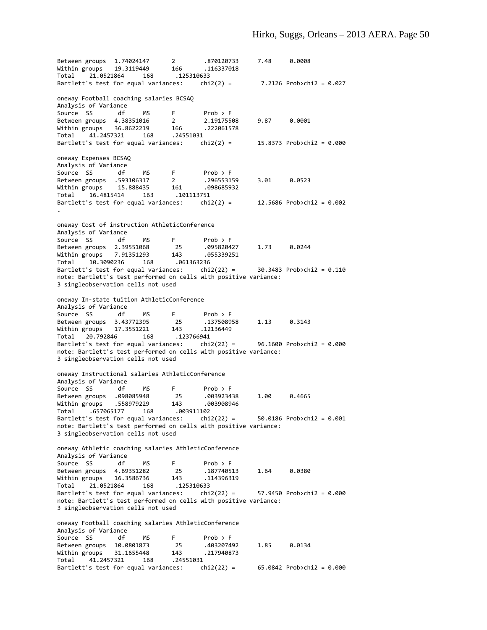Between groups 1.74024147 2 .870120733 7.48 0.0008 Within groups 19.3119449 166 .116337018 Total 21.0521864 168 .125310633 Bartlett's test for equal variances:  $chi(2) = 7.2126$  Prob>chi2 = 0.027 oneway Football coaching salaries BCSAQ Analysis of Variance Source SS df MS F Prob > F<br>Between groups 4.38351016 2 2.19175508 Between groups 4.38351016 2 2.19175508 9.87 0.0001<br>Within groups 36.8622219 166 222061578 Within groups  $36.8622219$ Total 41.2457321 168 .24551031 Bartlett's test for equal variances:  $\qquad$ chi2(2) = 15.8373 Prob>chi2 = 0.000 oneway Expenses BCSAQ Analysis of Variance Source SS df MS F Prob > F Between groups .593106317 2 .296553159 3.01 0.0523 Within groups 15.888435 161 .098685932 Total 16.4815414 163 .101113751  $chi2(2) = 12.5686$  Prob>chi2 = 0.002 . oneway Cost of instruction AthleticConference Analysis of Variance Source SS df MS F Prob > F<br>Between groups 2.39551068 25 .095820427<br>Within groups 7.01356383 Between groups 2.39551068 25 .095820427 1.73 0.0244 Within groups 7.91351293 143 .055339251 Total 10.3090236 168 .061363236 Bartlett's test for equal variances: chi2(22) = 30.3483 Prob>chi2 = 0.110 note: Bartlett's test performed on cells with positive variance: 3 singleobservation cells not used oneway In‐state tuition AthleticConference Analysis of Variance Source SS df MS F Prob > F<br>Between groups 3.43772395 25 .137508958 Between groups 3.43772395 25 .137508958 1.13 0.3143<br>Within groups 17.3551221 143 .12136449 Within groups 17.3551221 143 .12136449<br>Total 20.792846 168 .123766941 Total 20.792846 168 Bartlett's test for equal variances:  $\frac{chi(22)}{2}$  = 96.1600 Prob>chi2 = 0.000 note: Bartlett's test performed on cells with positive variance: 3 singleobservation cells not used oneway Instructional salaries AthleticConference Analysis of Variance Source SS df MS F Prob > F Between groups .098085948 25 .003923438 1.00 0.4665 Within groups .558979229 143 .003908946 Total .657065177 168 .003911102 Bartlett's test for equal variances: chi2(22) =  $50.0186$  Prob>chi2 =  $0.001$ note: Bartlett's test performed on cells with positive variance: 3 singleobservation cells not used oneway Athletic coaching salaries AthleticConference Analysis of Variance Source SS df MS F Prob > F Between groups 4.69351282 25 .187740513 1.64 0.0380 Within groups 16.3586736 143 .114396319 Total 21.0521864 168 .125310633<br>Bartlett's test for equal variances: chi2(22) = Bartlett's test for equal variances: chi2(22) = 57.9450 Prob>chi2 = 0.000 note: Bartlett's test performed on cells with positive variance: 3 singleobservation cells not used oneway Football coaching salaries AthleticConference Analysis of Variance Source SS df MS F Prob > F Between groups 10.0801873 25 .403207492 1.85 0.0134 Within groups 31.1655448 143 .217940873 Total 41.2457321 168 .24551031 Bartlett's test for equal variances: chi2(22) = 65.0842 Prob>chi2 = 0.000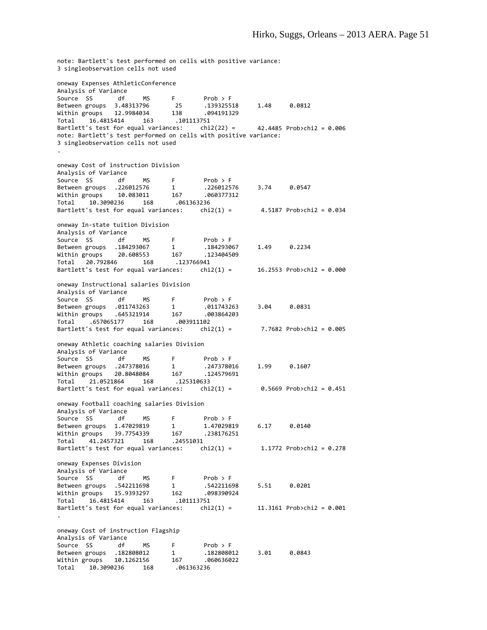note: Bartlett's test performed on cells with positive variance: 3 singleobservation cells not used oneway Expenses AthleticConference Analysis of Variance Source SS df MS F Prob > F<br>Between groups 3.48313796 25 .139325518<br>Within groups 12.9984034 Between groups 3.48313796 25 .139325518 1.48 0.0812 Within groups 12.9984034 138 .094191329 Total 16.4815414 163 .101113751 Bartlett's test for equal variances: chi2(22) = 42.4485 Prob>chi2 = 0.006 note: Bartlett's test performed on cells with positive variance: 3 singleobservation cells not used . oneway Cost of instruction Division Analysis of Variance Source SS df MS F Prob > F<br>Between groups .226012576 1 .226012576 Between groups .226012576 1 .226012576 3.74 0.0547 Within groups 10.083011 167 .060377312 Total 10.3090236 168 .061363236 Bartlett's test for equal variances:  $\text{chi}(1) = 4.5187 \text{ Prob } \times \text{hi} = 0.034$ oneway In‐state tuition Division Analysis of Variance Source SS df MS F Prob > F Between groups .184293067 1 .184293067 1.49 0.2234 Within groups  $20.608553$ Total 20.792846 168 .123766941 Bartlett's test for equal variances:  $chi(1) = 16.2553$  Prob>chi2 = 0.000 oneway Instructional salaries Division Analysis of Variance Source SS df MS F Prob > F<br>Between groups .011743263 1 .011743263 Between groups .011743263 1 .011743263 3.04 0.0831 Within groups .645321914 167 .003864203 Total .657065177 168 .003911102  $chi2(1) = 7.7682$  Prob>chi2 = 0.005 oneway Athletic coaching salaries Division Analysis of Variance Source SS df MS F Prob > F<br>Between groups .247378016 1 .247378016<br>Within groups 20.8048084 167 Between groups .247378016 1 .247378016 1.99 0.1607 Within groups 20.8048084 167 .124579691 Total 21.0521864 168 .125310633  $chi2(1) = 0.5669$  Prob>chi2 = 0.451 oneway Football coaching salaries Division Analysis of Variance Source SS df MS F Prob > F<br>Between groups 1.47029819 1 1.47029819 Between groups 1.47029819 1 1.47029819 6.17 0.0140<br>Within groups 39.7754339 167 .238176251 Within groups 39.7754339 167 .238176251 Total 41.2457321 168 .24551031 Bartlett's test for equal variances:  $\text{chi}(1) = 1.1772 \text{ Prob } \times \text{hi} = 0.278$ oneway Expenses Division Analysis of Variance Source SS and def MS F Prob > F<br>Between groups .542211698 1 .542211698 Between groups .542211698 1 .542211698 5.51 0.0201 Within groups 15.9393297 162 .098390924 Total 16.4815414 163 .101113751  $chi2(1) = 11.3161$  Prob>chi2 = 0.001 . oneway Cost of instruction Flagship Analysis of Variance Source SS df MS F Prob > F<br>Between groups .182808012 1 .182808012 Between groups .182808012 1 .182808012 3.01 0.0843 Within groups 10.1262156 167 .060636022 1. 1 102000012<br>4. 167 10.1262156 168 Mithin groups<br>7061363236 168 .061363236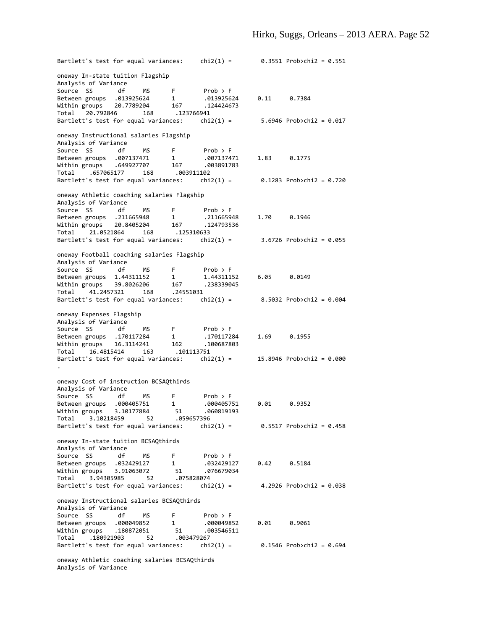Bartlett's test for equal variances: chi2(1) =  $0.3551$  Prob>chi2 = 0.551 oneway In‐state tuition Flagship Analysis of Variance Source SS df MS F Prob > F Between groups .013925624 1 .013925624 0.11 0.7384 Within groups 20.7789204 167 .124424673 Total 20.792846 168 .123766941 Bartlett's test for equal variances: chi2(1) = 5.6946 Prob>chi2 = 0.017 oneway Instructional salaries Flagship Analysis of Variance Source SS df MS F Prob > F Between groups .007137471 1 .007137471 1.83 0.1775 Within groups .649927707 167 .003891783 Total .657065177 168 .003911102 Bartlett's test for equal variances:  $\text{chi}(1) = 0.1283 \text{ Prob} \times \text{chi}(2) = 0.720$ oneway Athletic coaching salaries Flagship Analysis of Variance Source SS df MS F Prob > F Between groups .211665948 1 .211665948 1.70 0.1946 Within groups 20.8405204 167 .124793536 Total 21.0521864 168 .125310633 chi2(1) =  $3.6726$  Prob>chi2 = 0.055 oneway Football coaching salaries Flagship Analysis of Variance Source SS df MS F Prob > F Between groups 1.44311152 1 1.44311152 6.05 0.0149 Within groups 39.8026206 167 .238339045 Total 41.2457321 168 .24551031 Bartlett's test for equal variances:  $chi(1) = 8.5032$  Prob>chi2 = 0.004 oneway Expenses Flagship Analysis of Variance Source SS df MS F Prob > F Between groups .170117284 1 .170117284 1.69 0.1955 Within groups 16.3114241 162 .100687803 Total 16.4815414 163 .101113751  $chi2(1) = 15.8946$  Prob>chi2 = 0.000 . oneway Cost of instruction BCSAQthirds Analysis of Variance Source SS df MS F Prob > F<br>Between groups .000405751 1 .00040575 Between groups .000405751 1 .000405751 0.01 0.9352 Within groups 3.10177884 51 .060819193 Total 3.10218459 52 .059657396 Bartlett's test for equal variances:  $chi(1) = 0.5517$  Prob>chi2 = 0.458 oneway In‐state tuition BCSAQthirds Analysis of Variance Source SS df MS F Prob > F<br>Between groups .032429127 1 .032429127 Between groups .032429127 1 .032429127 0.42 0.5184 Within groups 3.91063072 51 .076679034 Total 3.94305985 52 .075828074 Bartlett's test for equal variances:  $\text{chi}(1) = 4.2926 \text{ Prob} \times \text{chi} 2 = 0.038$ oneway Instructional salaries BCSAQthirds Analysis of Variance Source SS df MS F Prob > F Between groups .000049852 1 .000049852 0.01 0.9061<br>Within groups .180872051 51 .003546511 Within groups .180872051 51 .003546511 Total .180921903 52 .003479267 Bartlett's test for equal variances:  $\text{chi}(1) = 0.1546 \text{ Prob }$ oneway Athletic coaching salaries BCSAQthirds Analysis of Variance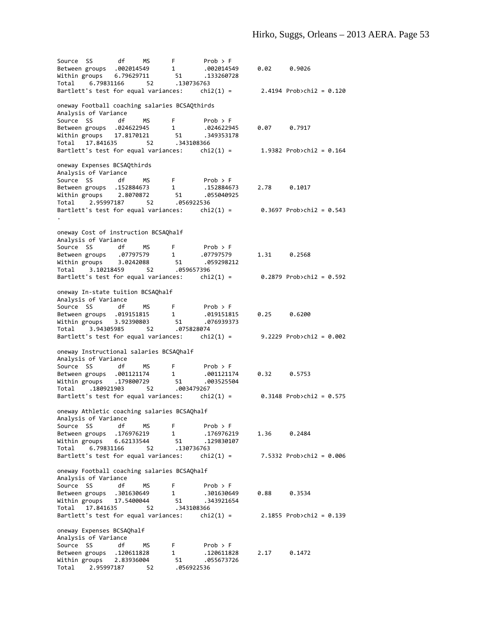Source SS df MS F Prob > F Between groups .002014549 1 .002014549 0.02 0.9026 Within groups 6.79629711 51 .133260728 Total 6.79831166 52 .130736763 Bartlett's test for equal variances:  $chi(1) = 2.4194$  Prob>chi2 = 0.120 oneway Football coaching salaries BCSAQthirds Analysis of Variance Source SS df MS F Prob > F Between groups .024622945 1 .024622945 0.07 0.7917 Within groups 17.8170121 51 .349353178 Total 17.841635 52 .343108366 Bartlett's test for equal variances:  $chi(1) = 1.9382$  Prob>chi2 = 0.164 oneway Expenses BCSAQthirds Analysis of Variance Source SS df MS F Prob > F Between groups .152884673 1 .152884673 2.78 0.1017 Within groups 2.8070872 51 .055040925 Total 2.95997187 52 .056922536 Bartlett's test for equal variances:  $\text{chi}(1) = 0.3697 \text{ Prob} \times \text{chi}(2) = 0.543$ . oneway Cost of instruction BCSAQhalf Analysis of Variance Source SS df MS F Prob > F Between groups .07797579 1 .07797579 1.31 0.2568 Within groups 3.0242088 51 .059298212 Total 3.10218459 52 .059657396 Bartlett's test for equal variances:  $\text{chi}(1) = 0.2879 \text{ Prob } \text{chi}(2) = 0.592$ oneway In‐state tuition BCSAQhalf Analysis of Variance Source SS df MS F Prob > F Between groups .019151815 1 .019151815 0.25 0.6200 Within groups 3.92390803 51 .076939373 Total 3.94305985 52 .075828074 Bartlett's test for equal variances:  $\text{chi}(1) = 9.2229 \text{ Prob} \times \text{chi} 2 = 0.002$ oneway Instructional salaries BCSAQhalf Analysis of Variance Source SS df MS F Prob > F Between groups .001121174 1 .001121174 0.32 0.5753 Within groups .179800729 51 .003525504 Total .180921903 52 .003479267 Bartlett's test for equal variances: chi2(1) =  $0.3148$  Prob>chi2 = 0.575 oneway Athletic coaching salaries BCSAQhalf Analysis of Variance Source SS df MS F Prob > F Between groups .176976219 1 .176976219 1.36 0.2484 Within groups 6.62133544 51 .129830107 Total 6.79831166 52 .130736763 Bartlett's test for equal variances:  $\text{chi}(1) = 7.5332 \text{ Prob} \times \text{chi} = 0.006$ oneway Football coaching salaries BCSAQhalf Analysis of Variance Source SS df MS F Prob > F Between groups .301630649 1 .301630649 0.88 0.3534 Within groups 17.5400044 51 .343921654 Total 17.841635 52 .343108366 Bartlett's test for equal variances:  $\text{chi}(1) = 2.1855 \text{ Prob} \times \text{chi} 2 = 0.139$ oneway Expenses BCSAQhalf Analysis of Variance Source SS df MS F Prob > F Between groups .120611828 1 .120611828 2.17 0.1472 Within groups 2.83936004 51 .055673726 Total 2.95997187 52 .056922536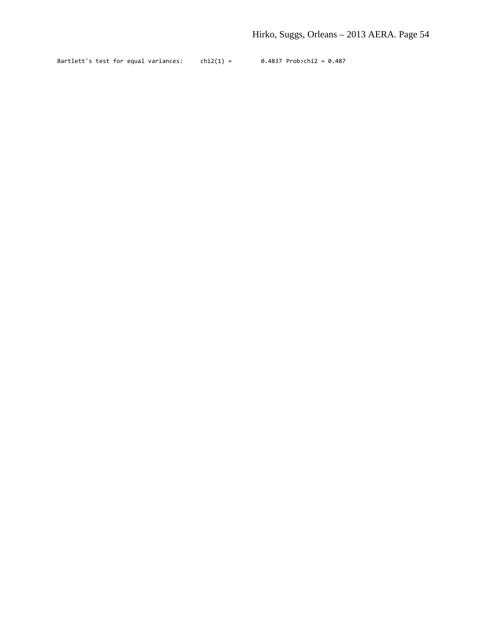Bartlett's test for equal variances:  $chi(1) = 0.4837$  Prob>chi2 = 0.487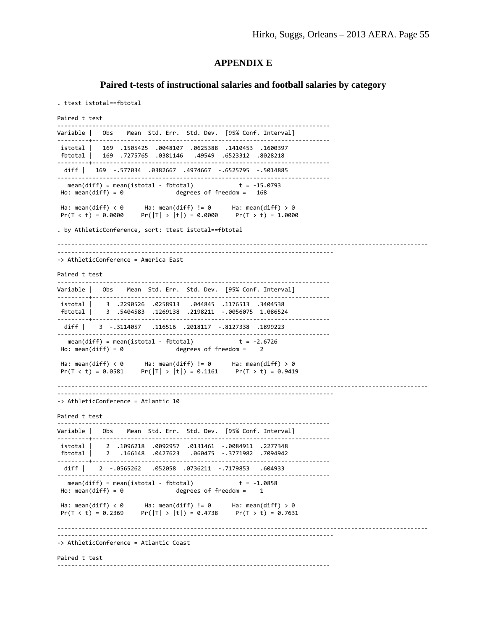#### **APPENDIX E**

#### **Paired t-tests of instructional salaries and football salaries by category**

```
. ttest istotal==fbtotal
Paired t test
            ‐‐‐‐‐‐‐‐‐‐‐‐‐‐‐‐‐‐‐‐‐‐‐‐‐‐‐‐‐‐‐‐‐‐‐‐‐‐‐‐‐‐‐‐‐‐‐‐‐‐‐‐‐‐‐‐‐‐‐‐‐‐‐‐‐‐‐‐‐‐‐‐‐‐‐‐‐‐ 
Variable | Obs    Mean  Std. Err.  Std. Dev.    [95% Conf. Interval]
         ‐‐‐‐‐‐‐‐‐+‐‐‐‐‐‐‐‐‐‐‐‐‐‐‐‐‐‐‐‐‐‐‐‐‐‐‐‐‐‐‐‐‐‐‐‐‐‐‐‐‐‐‐‐‐‐‐‐‐‐‐‐‐‐‐‐‐‐‐‐‐‐‐‐‐‐‐‐ 
istotal |   169  .1505425  .0048107  .0625388  .1410453  .1600397
fbtotal |   169  .7275765  .0381146   .49549  .6523312  .8028218
         ‐‐‐‐‐‐‐‐‐+‐‐‐‐‐‐‐‐‐‐‐‐‐‐‐‐‐‐‐‐‐‐‐‐‐‐‐‐‐‐‐‐‐‐‐‐‐‐‐‐‐‐‐‐‐‐‐‐‐‐‐‐‐‐‐‐‐‐‐‐‐‐‐‐‐‐‐‐ 
   diff |   169  ‐.577034  .0382667  .4974667  ‐.6525795  ‐.5014885
‐‐‐‐‐‐‐‐‐‐‐‐‐‐‐‐‐‐‐‐‐‐‐‐‐‐‐‐‐‐‐‐‐‐‐‐‐‐‐‐‐‐‐‐‐‐‐‐‐‐‐‐‐‐‐‐‐‐‐‐‐‐‐‐‐‐‐‐‐‐‐‐‐‐‐‐‐‐ 
  mean(diff) = mean(istotal - fbtotal)Ho: mean(diff) = 0 degrees of freedom = 168
Ha: mean(diff) \langle 0 \rangle Ha: mean(diff) != 0 Ha: mean(diff) > 0
Pr(T < t) = 0.0000 Pr(|T| > |t|) = 0.0000 Pr(T > t) = 1.0000. by AthleticConference, sort: ttest istotal==fbtotal
‐‐‐‐‐‐‐‐‐‐‐‐‐‐‐‐‐‐‐‐‐‐‐‐‐‐‐‐‐‐‐‐‐‐‐‐‐‐‐‐‐‐‐‐‐‐‐‐‐‐‐‐‐‐‐‐‐‐‐‐‐‐‐‐‐‐‐‐‐‐‐‐‐‐‐‐‐‐‐‐‐‐‐‐‐‐‐‐‐‐‐‐‐‐‐‐‐‐‐‐‐‐‐‐‐‐
      ‐‐‐‐‐‐‐‐‐‐‐‐‐‐‐‐‐‐‐‐‐‐‐‐‐‐‐‐‐‐‐‐‐‐‐‐‐‐‐‐‐‐‐‐‐‐‐‐‐‐‐‐‐‐‐‐‐‐‐‐‐‐‐‐‐‐‐‐‐‐‐‐‐‐‐‐‐‐‐ 
‐> AthleticConference = America East
Paired t test
‐‐‐‐‐‐‐‐‐‐‐‐‐‐‐‐‐‐‐‐‐‐‐‐‐‐‐‐‐‐‐‐‐‐‐‐‐‐‐‐‐‐‐‐‐‐‐‐‐‐‐‐‐‐‐‐‐‐‐‐‐‐‐‐‐‐‐‐‐‐‐‐‐‐‐‐‐‐ 
Variable | Obs    Mean  Std. Err.  Std. Dev.    [95% Conf. Interval]
‐‐‐‐‐‐‐‐‐+‐‐‐‐‐‐‐‐‐‐‐‐‐‐‐‐‐‐‐‐‐‐‐‐‐‐‐‐‐‐‐‐‐‐‐‐‐‐‐‐‐‐‐‐‐‐‐‐‐‐‐‐‐‐‐‐‐‐‐‐‐‐‐‐‐‐‐‐ 
istotal |    3  .2290526  .0258913   .044845  .1176513  .3404538
fbtotal |    3  .5404583  .1269138  .2198211  ‐.0056075  1.086524
‐‐‐‐‐‐‐‐‐+‐‐‐‐‐‐‐‐‐‐‐‐‐‐‐‐‐‐‐‐‐‐‐‐‐‐‐‐‐‐‐‐‐‐‐‐‐‐‐‐‐‐‐‐‐‐‐‐‐‐‐‐‐‐‐‐‐‐‐‐‐‐‐‐‐‐‐‐ 
   diff |    3  ‐.3114057   .116516  .2018117  ‐.8127338  .1899223
‐‐‐‐‐‐‐‐‐‐‐‐‐‐‐‐‐‐‐‐‐‐‐‐‐‐‐‐‐‐‐‐‐‐‐‐‐‐‐‐‐‐‐‐‐‐‐‐‐‐‐‐‐‐‐‐‐‐‐‐‐‐‐‐‐‐‐‐‐‐‐‐‐‐‐‐‐‐ 
mean(diff) = mean(istotal - fbtotal) t = -2.6726<br>Ho: mean(diff) = 0 degrees of freedom = 2
                                degrees of freedom = 2Ha: mean(diff) < 0      Ha: mean(diff) != 0      Ha: mean(diff) > 0
Pr(T < t) = 0.0581 Pr(|T| > |t|) = 0.1161 Pr(T > t) = 0.9419‐‐‐‐‐‐‐‐‐‐‐‐‐‐‐‐‐‐‐‐‐‐‐‐‐‐‐‐‐‐‐‐‐‐‐‐‐‐‐‐‐‐‐‐‐‐‐‐‐‐‐‐‐‐‐‐‐‐‐‐‐‐‐‐‐‐‐‐‐‐‐‐‐‐‐‐‐‐‐‐‐‐‐‐‐‐‐‐‐‐‐‐‐‐‐‐‐‐‐‐‐‐‐‐‐‐
‐‐‐‐‐‐‐‐‐‐‐‐‐‐‐‐‐‐‐‐‐‐‐‐‐‐‐‐‐‐‐‐‐‐‐‐‐‐‐‐‐‐‐‐‐‐‐‐‐‐‐‐‐‐‐‐‐‐‐‐‐‐‐‐‐‐‐‐‐‐‐‐‐‐‐‐‐‐‐ 
‐> AthleticConference = Atlantic 10
Paired t test
‐‐‐‐‐‐‐‐‐‐‐‐‐‐‐‐‐‐‐‐‐‐‐‐‐‐‐‐‐‐‐‐‐‐‐‐‐‐‐‐‐‐‐‐‐‐‐‐‐‐‐‐‐‐‐‐‐‐‐‐‐‐‐‐‐‐‐‐‐‐‐‐‐‐‐‐‐‐ 
Variable | Obs    Mean  Std. Err.  Std. Dev.    [95% Conf. Interval]
       ‐‐‐‐‐‐‐‐‐+‐‐‐‐‐‐‐‐‐‐‐‐‐‐‐‐‐‐‐‐‐‐‐‐‐‐‐‐‐‐‐‐‐‐‐‐‐‐‐‐‐‐‐‐‐‐‐‐‐‐‐‐‐‐‐‐‐‐‐‐‐‐‐‐‐‐‐‐ 
istotal |    2  .1096218  .0092957  .0131461  ‐.0084911  .2277348
fbtotal |    2   .166148  .0427623   .060475  ‐.3771982  .7094942
‐‐‐‐‐‐‐‐‐+‐‐‐‐‐‐‐‐‐‐‐‐‐‐‐‐‐‐‐‐‐‐‐‐‐‐‐‐‐‐‐‐‐‐‐‐‐‐‐‐‐‐‐‐‐‐‐‐‐‐‐‐‐‐‐‐‐‐‐‐‐‐‐‐‐‐‐‐ 
   diff |    2  ‐.0565262   .052058  .0736211  ‐.7179853   .604933
‐‐‐‐‐‐‐‐‐‐‐‐‐‐‐‐‐‐‐‐‐‐‐‐‐‐‐‐‐‐‐‐‐‐‐‐‐‐‐‐‐‐‐‐‐‐‐‐‐‐‐‐‐‐‐‐‐‐‐‐‐‐‐‐‐‐‐‐‐‐‐‐‐‐‐‐‐‐ 
  mean(diff) = mean(istotal - fbtotal)Ho: mean(diff) = \theta degrees of freedom = \thetaHa: mean(diff) < 0 Ha: mean(diff) != 0 Ha: mean(diff) > 0
Pr(T < t) = 0.2369 Pr(|T| > |t|) = 0.4738 Pr(T > t) = 0.7631‐‐‐‐‐‐‐‐‐‐‐‐‐‐‐‐‐‐‐‐‐‐‐‐‐‐‐‐‐‐‐‐‐‐‐‐‐‐‐‐‐‐‐‐‐‐‐‐‐‐‐‐‐‐‐‐‐‐‐‐‐‐‐‐‐‐‐‐‐‐‐‐‐‐‐‐‐‐‐‐‐‐‐‐‐‐‐‐‐‐‐‐‐‐‐‐‐‐‐‐‐‐‐‐‐‐
‐‐‐‐‐‐‐‐‐‐‐‐‐‐‐‐‐‐‐‐‐‐‐‐‐‐‐‐‐‐‐‐‐‐‐‐‐‐‐‐‐‐‐‐‐‐‐‐‐‐‐‐‐‐‐‐‐‐‐‐‐‐‐‐‐‐‐‐‐‐‐‐‐‐‐‐‐‐‐ 
‐> AthleticConference = Atlantic Coast
Paired t test
‐‐‐‐‐‐‐‐‐‐‐‐‐‐‐‐‐‐‐‐‐‐‐‐‐‐‐‐‐‐‐‐‐‐‐‐‐‐‐‐‐‐‐‐‐‐‐‐‐‐‐‐‐‐‐‐‐‐‐‐‐‐‐‐‐‐‐‐‐‐‐‐‐‐‐‐‐‐
```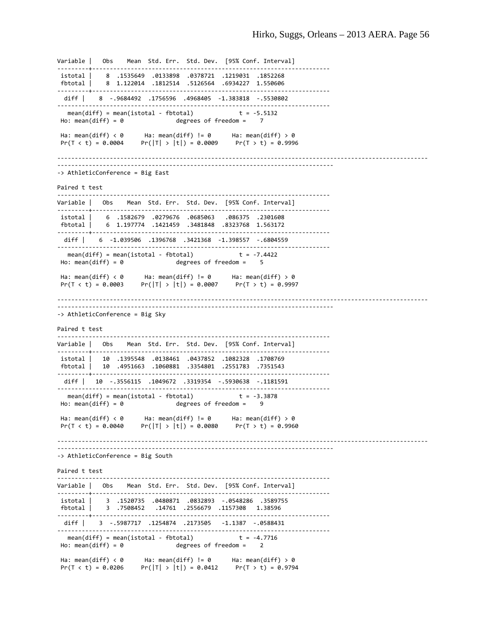Variable | Obs Mean Std. Err. Std. Dev. [95% Conf. Interval] ‐‐‐‐‐‐‐‐‐+‐‐‐‐‐‐‐‐‐‐‐‐‐‐‐‐‐‐‐‐‐‐‐‐‐‐‐‐‐‐‐‐‐‐‐‐‐‐‐‐‐‐‐‐‐‐‐‐‐‐‐‐‐‐‐‐‐‐‐‐‐‐‐‐‐‐‐‐ istotal | 8 .1535649 .0133898 .0378721 .1219031 .1852268 fbtotal | 8 1.122014 .1812514 .5126564 .6934227 1.550606 ‐‐‐‐‐‐‐‐‐+‐‐‐‐‐‐‐‐‐‐‐‐‐‐‐‐‐‐‐‐‐‐‐‐‐‐‐‐‐‐‐‐‐‐‐‐‐‐‐‐‐‐‐‐‐‐‐‐‐‐‐‐‐‐‐‐‐‐‐‐‐‐‐‐‐‐‐‐ diff | 8 ‐.9684492 .1756596 .4968405 ‐1.383818 ‐.5530802 ‐‐‐‐‐‐‐‐‐‐‐‐‐‐‐‐‐‐‐‐‐‐‐‐‐‐‐‐‐‐‐‐‐‐‐‐‐‐‐‐‐‐‐‐‐‐‐‐‐‐‐‐‐‐‐‐‐‐‐‐‐‐‐‐‐‐‐‐‐‐‐‐‐‐‐‐‐‐ mean(diff) = mean(istotal - fbtotal)  $t = -5.5132$ <br>Ho: mean(diff) = 0 degrees of freedom = 7 degrees of freedom  $=$ Ha: mean(diff) < 0 Ha: mean(diff) != 0 Ha: mean(diff) > 0  $Pr(|T| > |t|) = 0.0009$   $Pr(T > t) = 0.9996$ ‐‐‐‐‐‐‐‐‐‐‐‐‐‐‐‐‐‐‐‐‐‐‐‐‐‐‐‐‐‐‐‐‐‐‐‐‐‐‐‐‐‐‐‐‐‐‐‐‐‐‐‐‐‐‐‐‐‐‐‐‐‐‐‐‐‐‐‐‐‐‐‐‐‐‐‐‐‐‐‐‐‐‐‐‐‐‐‐‐‐‐‐‐‐‐‐‐‐‐‐‐‐‐‐‐‐ ‐‐‐‐‐‐‐‐‐‐‐‐‐‐‐‐‐‐‐‐‐‐‐‐‐‐‐‐‐‐‐‐‐‐‐‐‐‐‐‐‐‐‐‐‐‐‐‐‐‐‐‐‐‐‐‐‐‐‐‐‐‐‐‐‐‐‐‐‐‐‐‐‐‐‐‐‐‐‐ ‐> AthleticConference = Big East Paired t test ‐‐‐‐‐‐‐‐‐‐‐‐‐‐‐‐‐‐‐‐‐‐‐‐‐‐‐‐‐‐‐‐‐‐‐‐‐‐‐‐‐‐‐‐‐‐‐‐‐‐‐‐‐‐‐‐‐‐‐‐‐‐‐‐‐‐‐‐‐‐‐‐‐‐‐‐‐‐ Variable | Obs Mean Std. Err. Std. Dev. [95% Conf. Interval] ‐‐‐‐‐‐‐‐‐+‐‐‐‐‐‐‐‐‐‐‐‐‐‐‐‐‐‐‐‐‐‐‐‐‐‐‐‐‐‐‐‐‐‐‐‐‐‐‐‐‐‐‐‐‐‐‐‐‐‐‐‐‐‐‐‐‐‐‐‐‐‐‐‐‐‐‐‐ istotal | 6 .1582679 .0279676 .0685063 .086375 .2301608 fbtotal | 6 1.197774 .1421459 .3481848 .8323768 1.563172 ‐‐‐‐‐‐‐‐‐+‐‐‐‐‐‐‐‐‐‐‐‐‐‐‐‐‐‐‐‐‐‐‐‐‐‐‐‐‐‐‐‐‐‐‐‐‐‐‐‐‐‐‐‐‐‐‐‐‐‐‐‐‐‐‐‐‐‐‐‐‐‐‐‐‐‐‐‐ diff | 6 ‐1.039506 .1396768 .3421368 ‐1.398557 ‐.6804559 ‐‐‐‐‐‐‐‐‐‐‐‐‐‐‐‐‐‐‐‐‐‐‐‐‐‐‐‐‐‐‐‐‐‐‐‐‐‐‐‐‐‐‐‐‐‐‐‐‐‐‐‐‐‐‐‐‐‐‐‐‐‐‐‐‐‐‐‐‐‐‐‐‐‐‐‐‐‐ mean(diff) = mean(istotal - fbtotal)  $t = -7.4422$ <br>Ho: mean(diff) = 0 degrees of freedom = 5 degrees of freedom  $=$ Ha: mean(diff) < 0 Ha: mean(diff) != 0 Ha: mean(diff) > 0  $Pr(T < t) = 0.0003$   $Pr(|T| > |t|) = 0.0007$   $Pr(T > t) = 0.9997$ ‐‐‐‐‐‐‐‐‐‐‐‐‐‐‐‐‐‐‐‐‐‐‐‐‐‐‐‐‐‐‐‐‐‐‐‐‐‐‐‐‐‐‐‐‐‐‐‐‐‐‐‐‐‐‐‐‐‐‐‐‐‐‐‐‐‐‐‐‐‐‐‐‐‐‐‐‐‐‐‐‐‐‐‐‐‐‐‐‐‐‐‐‐‐‐‐‐‐‐‐‐‐‐‐‐‐ ‐‐‐‐‐‐‐‐‐‐‐‐‐‐‐‐‐‐‐‐‐‐‐‐‐‐‐‐‐‐‐‐‐‐‐‐‐‐‐‐‐‐‐‐‐‐‐‐‐‐‐‐‐‐‐‐‐‐‐‐‐‐‐‐‐‐‐‐‐‐‐‐‐‐‐‐‐‐‐ ‐> AthleticConference = Big Sky Paired t test ‐‐‐‐‐‐‐‐‐‐‐‐‐‐‐‐‐‐‐‐‐‐‐‐‐‐‐‐‐‐‐‐‐‐‐‐‐‐‐‐‐‐‐‐‐‐‐‐‐‐‐‐‐‐‐‐‐‐‐‐‐‐‐‐‐‐‐‐‐‐‐‐‐‐‐‐‐‐ Variable | Obs Mean Std. Err. Std. Dev. [95% Conf. Interval] ‐‐‐‐‐‐‐‐‐+‐‐‐‐‐‐‐‐‐‐‐‐‐‐‐‐‐‐‐‐‐‐‐‐‐‐‐‐‐‐‐‐‐‐‐‐‐‐‐‐‐‐‐‐‐‐‐‐‐‐‐‐‐‐‐‐‐‐‐‐‐‐‐‐‐‐‐‐ istotal | 10 .1395548 .0138461 .0437852 .1082328 .1708769 fbtotal | 10 .4951663 .1060881 .3354801 .2551783 .7351543 ‐‐‐‐‐‐‐‐‐+‐‐‐‐‐‐‐‐‐‐‐‐‐‐‐‐‐‐‐‐‐‐‐‐‐‐‐‐‐‐‐‐‐‐‐‐‐‐‐‐‐‐‐‐‐‐‐‐‐‐‐‐‐‐‐‐‐‐‐‐‐‐‐‐‐‐‐‐ diff | 10 ‐.3556115 .1049672 .3319354 ‐.5930638 ‐.1181591 ‐‐‐‐‐‐‐‐‐‐‐‐‐‐‐‐‐‐‐‐‐‐‐‐‐‐‐‐‐‐‐‐‐‐‐‐‐‐‐‐‐‐‐‐‐‐‐‐‐‐‐‐‐‐‐‐‐‐‐‐‐‐‐‐‐‐‐‐‐‐‐‐‐‐‐‐‐‐ mean(diff) = mean(istotal - fbtotal)  $t = -3.3878$ <br>Ho: mean(diff) = 0 degrees of freedom = 9  $degrees$  of freedom = Ha: mean(diff)  $\langle \theta \rangle$  Ha: mean(diff) != 0 Ha: mean(diff) > 0  $Pr(T < t) = 0.0040$   $Pr(|T| > |t|) = 0.0080$   $Pr(T > t) = 0.9960$ ‐‐‐‐‐‐‐‐‐‐‐‐‐‐‐‐‐‐‐‐‐‐‐‐‐‐‐‐‐‐‐‐‐‐‐‐‐‐‐‐‐‐‐‐‐‐‐‐‐‐‐‐‐‐‐‐‐‐‐‐‐‐‐‐‐‐‐‐‐‐‐‐‐‐‐‐‐‐‐‐‐‐‐‐‐‐‐‐‐‐‐‐‐‐‐‐‐‐‐‐‐‐‐‐‐‐ ‐‐‐‐‐‐‐‐‐‐‐‐‐‐‐‐‐‐‐‐‐‐‐‐‐‐‐‐‐‐‐‐‐‐‐‐‐‐‐‐‐‐‐‐‐‐‐‐‐‐‐‐‐‐‐‐‐‐‐‐‐‐‐‐‐‐‐‐‐‐‐‐‐‐‐‐‐‐‐ ‐> AthleticConference = Big South Paired t test ‐‐‐‐‐‐‐‐‐‐‐‐‐‐‐‐‐‐‐‐‐‐‐‐‐‐‐‐‐‐‐‐‐‐‐‐‐‐‐‐‐‐‐‐‐‐‐‐‐‐‐‐‐‐‐‐‐‐‐‐‐‐‐‐‐‐‐‐‐‐‐‐‐‐‐‐‐‐ Variable | Obs Mean Std. Err. Std. Dev. [95% Conf. Interval] ‐‐‐‐‐‐‐‐‐+‐‐‐‐‐‐‐‐‐‐‐‐‐‐‐‐‐‐‐‐‐‐‐‐‐‐‐‐‐‐‐‐‐‐‐‐‐‐‐‐‐‐‐‐‐‐‐‐‐‐‐‐‐‐‐‐‐‐‐‐‐‐‐‐‐‐‐‐ istotal | 3 .1520735 .0480871 .0832893 ‐.0548286 .3589755 fbtotal | 3 .7508452 .14761 .2556679 .1157308 1.38596 ‐‐‐‐‐‐‐‐‐+‐‐‐‐‐‐‐‐‐‐‐‐‐‐‐‐‐‐‐‐‐‐‐‐‐‐‐‐‐‐‐‐‐‐‐‐‐‐‐‐‐‐‐‐‐‐‐‐‐‐‐‐‐‐‐‐‐‐‐‐‐‐‐‐‐‐‐‐ diff | 3 ‐.5987717 .1254874 .2173505 ‐1.1387 ‐.0588431 ……………………………………………………………………………………… mean(diff) = mean(istotal - fbtotal)  $t = -4.7716$  $Ho: mean(diff) = 0$  degrees of freedom = 2 Ha: mean(diff) < 0 Ha: mean(diff) != 0 Ha: mean(diff) > 0 Pr(T < t) = 0.0206 Pr(|T| > |t|) = 0.0412 Pr(T > t) = 0.9794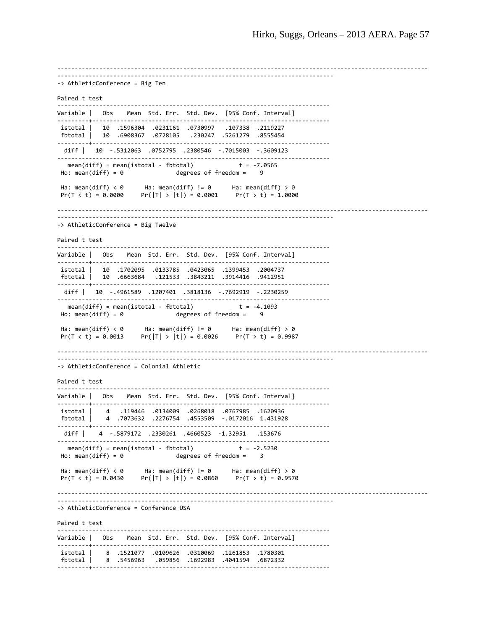‐‐‐‐‐‐‐‐‐‐‐‐‐‐‐‐‐‐‐‐‐‐‐‐‐‐‐‐‐‐‐‐‐‐‐‐‐‐‐‐‐‐‐‐‐‐‐‐‐‐‐‐‐‐‐‐‐‐‐‐‐‐‐‐‐‐‐‐‐‐‐‐‐‐‐‐‐‐‐‐‐‐‐‐‐‐‐‐‐‐‐‐‐‐‐‐‐‐‐‐‐‐‐‐‐‐ ‐‐‐‐‐‐‐‐‐‐‐‐‐‐‐‐‐‐‐‐‐‐‐‐‐‐‐‐‐‐‐‐‐‐‐‐‐‐‐‐‐‐‐‐‐‐‐‐‐‐‐‐‐‐‐‐‐‐‐‐‐‐‐‐‐‐‐‐‐‐‐‐‐‐‐‐‐‐‐ ‐> AthleticConference = Big Ten Paired t test ‐‐‐‐‐‐‐‐‐‐‐‐‐‐‐‐‐‐‐‐‐‐‐‐‐‐‐‐‐‐‐‐‐‐‐‐‐‐‐‐‐‐‐‐‐‐‐‐‐‐‐‐‐‐‐‐‐‐‐‐‐‐‐‐‐‐‐‐‐‐‐‐‐‐‐‐‐‐ Variable | Obs Mean Std. Err. Std. Dev. [95% Conf. Interval] ‐‐‐‐‐‐‐‐‐+‐‐‐‐‐‐‐‐‐‐‐‐‐‐‐‐‐‐‐‐‐‐‐‐‐‐‐‐‐‐‐‐‐‐‐‐‐‐‐‐‐‐‐‐‐‐‐‐‐‐‐‐‐‐‐‐‐‐‐‐‐‐‐‐‐‐‐‐ istotal | 10 .1596304 .0231161 .0730997 .107338 .2119227 fbtotal | 10 .6908367 .0728105 .230247 .5261279 .8555454 **・----------------------------------** diff | 10 ‐.5312063 .0752795 .2380546 ‐.7015003 ‐.3609123 ‐‐‐‐‐‐‐‐‐‐‐‐‐‐‐‐‐‐‐‐‐‐‐‐‐‐‐‐‐‐‐‐‐‐‐‐‐‐‐‐‐‐‐‐‐‐‐‐‐‐‐‐‐‐‐‐‐‐‐‐‐‐‐‐‐‐‐‐‐‐‐‐‐‐‐‐‐‐ mean(diff) = mean(istotal - fbtotal)<br>Ho: mean(diff) = 0 degrees degrees of freedom = Ha: mean(diff) < 0 Ha: mean(diff) != 0 Ha: mean(diff) > 0  $Pr(T < t) = 0.0000$   $Pr(|T| > |t|) = 0.0001$   $Pr(T > t) = 1.0000$ ‐‐‐‐‐‐‐‐‐‐‐‐‐‐‐‐‐‐‐‐‐‐‐‐‐‐‐‐‐‐‐‐‐‐‐‐‐‐‐‐‐‐‐‐‐‐‐‐‐‐‐‐‐‐‐‐‐‐‐‐‐‐‐‐‐‐‐‐‐‐‐‐‐‐‐‐‐‐‐‐‐‐‐‐‐‐‐‐‐‐‐‐‐‐‐‐‐‐‐‐‐‐‐‐‐‐ ‐‐‐‐‐‐‐‐‐‐‐‐‐‐‐‐‐‐‐‐‐‐‐‐‐‐‐‐‐‐‐‐‐‐‐‐‐‐‐‐‐‐‐‐‐‐‐‐‐‐‐‐‐‐‐‐‐‐‐‐‐‐‐‐‐‐‐‐‐‐‐‐‐‐‐‐‐‐‐ ‐> AthleticConference = Big Twelve Paired t test ‐‐‐‐‐‐‐‐‐‐‐‐‐‐‐‐‐‐‐‐‐‐‐‐‐‐‐‐‐‐‐‐‐‐‐‐‐‐‐‐‐‐‐‐‐‐‐‐‐‐‐‐‐‐‐‐‐‐‐‐‐‐‐‐‐‐‐‐‐‐‐‐‐‐‐‐‐‐ Variable | Obs Mean Std. Err. Std. Dev. [95% Conf. Interval] ‐‐‐‐‐‐‐‐‐+‐‐‐‐‐‐‐‐‐‐‐‐‐‐‐‐‐‐‐‐‐‐‐‐‐‐‐‐‐‐‐‐‐‐‐‐‐‐‐‐‐‐‐‐‐‐‐‐‐‐‐‐‐‐‐‐‐‐‐‐‐‐‐‐‐‐‐‐ istotal | 10 .1702095 .0133785 .0423065 .1399453 .2004737 9412951. 3914416. 3843211. 6663684. 10 .6663684 | fbtotal ‐‐‐‐‐‐‐‐‐+‐‐‐‐‐‐‐‐‐‐‐‐‐‐‐‐‐‐‐‐‐‐‐‐‐‐‐‐‐‐‐‐‐‐‐‐‐‐‐‐‐‐‐‐‐‐‐‐‐‐‐‐‐‐‐‐‐‐‐‐‐‐‐‐‐‐‐‐ diff | 10 ‐.4961589 .1207401 .3818136 ‐.7692919 ‐.2230259 ‐‐‐‐‐‐‐‐‐‐‐‐‐‐‐‐‐‐‐‐‐‐‐‐‐‐‐‐‐‐‐‐‐‐‐‐‐‐‐‐‐‐‐‐‐‐‐‐‐‐‐‐‐‐‐‐‐‐‐‐‐‐‐‐‐‐‐‐‐‐‐‐‐‐‐‐‐‐ mean(diff) = mean(istotal ‐ fbtotal) t = ‐4.1093  $Ho: mean(diff) = 0$  degrees of freedom = 9 Ha: mean(diff)  $\langle 0 \rangle$  Ha: mean(diff) != 0 Ha: mean(diff) > 0  $Pr(T < t) = 0.0013$   $Pr(|T| > |t|) = 0.0026$   $Pr(T > t) = 0.9987$ ‐‐‐‐‐‐‐‐‐‐‐‐‐‐‐‐‐‐‐‐‐‐‐‐‐‐‐‐‐‐‐‐‐‐‐‐‐‐‐‐‐‐‐‐‐‐‐‐‐‐‐‐‐‐‐‐‐‐‐‐‐‐‐‐‐‐‐‐‐‐‐‐‐‐‐‐‐‐‐‐‐‐‐‐‐‐‐‐‐‐‐‐‐‐‐‐‐‐‐‐‐‐‐‐‐‐ ‐‐‐‐‐‐‐‐‐‐‐‐‐‐‐‐‐‐‐‐‐‐‐‐‐‐‐‐‐‐‐‐‐‐‐‐‐‐‐‐‐‐‐‐‐‐‐‐‐‐‐‐‐‐‐‐‐‐‐‐‐‐‐‐‐‐‐‐‐‐‐‐‐‐‐‐‐‐‐ ‐> AthleticConference = Colonial Athletic Paired t test ‐‐‐‐‐‐‐‐‐‐‐‐‐‐‐‐‐‐‐‐‐‐‐‐‐‐‐‐‐‐‐‐‐‐‐‐‐‐‐‐‐‐‐‐‐‐‐‐‐‐‐‐‐‐‐‐‐‐‐‐‐‐‐‐‐‐‐‐‐‐‐‐‐‐‐‐‐‐ Variable | Obs Mean Std. Err. Std. Dev. [95% Conf. Interval] ‐‐‐‐‐‐‐‐‐+‐‐‐‐‐‐‐‐‐‐‐‐‐‐‐‐‐‐‐‐‐‐‐‐‐‐‐‐‐‐‐‐‐‐‐‐‐‐‐‐‐‐‐‐‐‐‐‐‐‐‐‐‐‐‐‐‐‐‐‐‐‐‐‐‐‐‐‐ istotal | 4 .119446 .0134009 .0268018 .0767985 .1620936 fbtotal | 4 .7073632 .2276754 .4553509 ‐.0172016 1.431928 …………………………………………………………………………………………… diff | 4 ‐.5879172 .2330261 .4660523 ‐1.32951 .153676 ‐‐‐‐‐‐‐‐‐‐‐‐‐‐‐‐‐‐‐‐‐‐‐‐‐‐‐‐‐‐‐‐‐‐‐‐‐‐‐‐‐‐‐‐‐‐‐‐‐‐‐‐‐‐‐‐‐‐‐‐‐‐‐‐‐‐‐‐‐‐‐‐‐‐‐‐‐‐ mean(diff) = mean(istotal - fbtotal)  $t = -2.5230$ <br>Ho: mean(diff) = 0 degrees of freedom = 3 degrees of freedom =  $3$ Ha: mean(diff) < 0 Ha: mean(diff) != 0 Ha: mean(diff) > 0 Pr(T < t) = 0.0430 Pr(|T| > |t|) = 0.0860 Pr(T > t) = 0.9570 ‐‐‐‐‐‐‐‐‐‐‐‐‐‐‐‐‐‐‐‐‐‐‐‐‐‐‐‐‐‐‐‐‐‐‐‐‐‐‐‐‐‐‐‐‐‐‐‐‐‐‐‐‐‐‐‐‐‐‐‐‐‐‐‐‐‐‐‐‐‐‐‐‐‐‐‐‐‐‐‐‐‐‐‐‐‐‐‐‐‐‐‐‐‐‐‐‐‐‐‐‐‐‐‐‐‐ ‐‐‐‐‐‐‐‐‐‐‐‐‐‐‐‐‐‐‐‐‐‐‐‐‐‐‐‐‐‐‐‐‐‐‐‐‐‐‐‐‐‐‐‐‐‐‐‐‐‐‐‐‐‐‐‐‐‐‐‐‐‐‐‐‐‐‐‐‐‐‐‐‐‐‐‐‐‐‐ ‐> AthleticConference = Conference USA Paired t test ‐‐‐‐‐‐‐‐‐‐‐‐‐‐‐‐‐‐‐‐‐‐‐‐‐‐‐‐‐‐‐‐‐‐‐‐‐‐‐‐‐‐‐‐‐‐‐‐‐‐‐‐‐‐‐‐‐‐‐‐‐‐‐‐‐‐‐‐‐‐‐‐‐‐‐‐‐‐ Variable | Obs Mean Std. Err. Std. Dev. [95% Conf. Interval] ‐‐‐‐‐‐‐‐‐+‐‐‐‐‐‐‐‐‐‐‐‐‐‐‐‐‐‐‐‐‐‐‐‐‐‐‐‐‐‐‐‐‐‐‐‐‐‐‐‐‐‐‐‐‐‐‐‐‐‐‐‐‐‐‐‐‐‐‐‐‐‐‐‐‐‐‐‐ istotal | 8 .1521077 .0109626 .0310069 .1261853 .1780301 fbtotal | 8 .5456963 .059856 .1692983 .4041594 .6872332 ‐‐‐‐‐‐‐‐‐+‐‐‐‐‐‐‐‐‐‐‐‐‐‐‐‐‐‐‐‐‐‐‐‐‐‐‐‐‐‐‐‐‐‐‐‐‐‐‐‐‐‐‐‐‐‐‐‐‐‐‐‐‐‐‐‐‐‐‐‐‐‐‐‐‐‐‐‐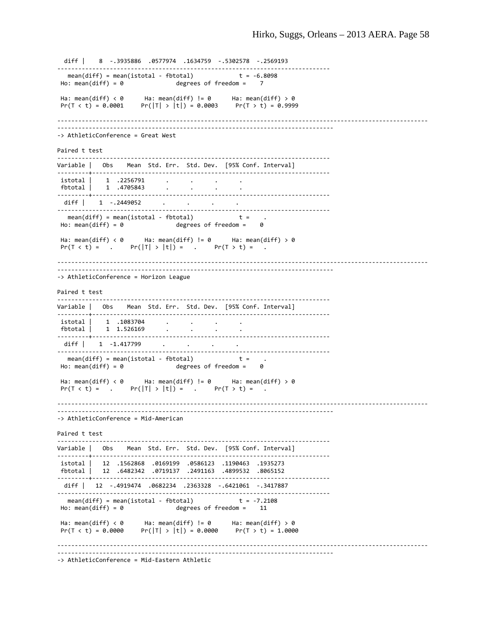diff | 8 ‐.3935886 .0577974 .1634759 ‐.5302578 ‐.2569193 ‐‐‐‐‐‐‐‐‐‐‐‐‐‐‐‐‐‐‐‐‐‐‐‐‐‐‐‐‐‐‐‐‐‐‐‐‐‐‐‐‐‐‐‐‐‐‐‐‐‐‐‐‐‐‐‐‐‐‐‐‐‐‐‐‐‐‐‐‐‐‐‐‐‐‐‐‐‐ mean(diff) = mean(istotal - fbtotal)  $t = -6.8098$  $Ho: mean(diff) = 0$  degrees of freedom = 7 Ha: mean(diff) < 0  $\overline{a}$  Ha: mean(diff) != 0  $\overline{a}$  Ha: mean(diff) > 0  $Pr(T < t) = 0.0001$   $Pr(|T| > |t|) = 0.0003$   $Pr(T > t) = 0.9999$ ‐‐‐‐‐‐‐‐‐‐‐‐‐‐‐‐‐‐‐‐‐‐‐‐‐‐‐‐‐‐‐‐‐‐‐‐‐‐‐‐‐‐‐‐‐‐‐‐‐‐‐‐‐‐‐‐‐‐‐‐‐‐‐‐‐‐‐‐‐‐‐‐‐‐‐‐‐‐‐‐‐‐‐‐‐‐‐‐‐‐‐‐‐‐‐‐‐‐‐‐‐‐‐‐‐‐ ‐‐‐‐‐‐‐‐‐‐‐‐‐‐‐‐‐‐‐‐‐‐‐‐‐‐‐‐‐‐‐‐‐‐‐‐‐‐‐‐‐‐‐‐‐‐‐‐‐‐‐‐‐‐‐‐‐‐‐‐‐‐‐‐‐‐‐‐‐‐‐‐‐‐‐‐‐‐‐ ‐> AthleticConference = Great West Paired t test ‐‐‐‐‐‐‐‐‐‐‐‐‐‐‐‐‐‐‐‐‐‐‐‐‐‐‐‐‐‐‐‐‐‐‐‐‐‐‐‐‐‐‐‐‐‐‐‐‐‐‐‐‐‐‐‐‐‐‐‐‐‐‐‐‐‐‐‐‐‐‐‐‐‐‐‐‐‐ Variable | Obs Mean Std. Err. Std. Dev. [95% Conf. Interval] ‐‐‐‐‐‐‐‐‐+‐‐‐‐‐‐‐‐‐‐‐‐‐‐‐‐‐‐‐‐‐‐‐‐‐‐‐‐‐‐‐‐‐‐‐‐‐‐‐‐‐‐‐‐‐‐‐‐‐‐‐‐‐‐‐‐‐‐‐‐‐‐‐‐‐‐‐‐ istotal | 1 .2256791 . . . . fbtotal | 1 .4705843 . . . . . . ‐‐‐‐‐‐‐‐‐+‐‐‐‐‐‐‐‐‐‐‐‐‐‐‐‐‐‐‐‐‐‐‐‐‐‐‐‐‐‐‐‐‐‐‐‐‐‐‐‐‐‐‐‐‐‐‐‐‐‐‐‐‐‐‐‐‐‐‐‐‐‐‐‐‐‐‐‐ diff | 1 -.2449052 . . . . ‐‐‐‐‐‐‐‐‐‐‐‐‐‐‐‐‐‐‐‐‐‐‐‐‐‐‐‐‐‐‐‐‐‐‐‐‐‐‐‐‐‐‐‐‐‐‐‐‐‐‐‐‐‐‐‐‐‐‐‐‐‐‐‐‐‐‐‐‐‐‐‐‐‐‐‐‐‐ mean(diff) = mean(istotal ‐ fbtotal) t = .  $Ho: mean(diff) = 0$  degrees of freedom =  $0$ Ha: mean(diff) < 0 Ha: mean(diff) != 0 Ha: mean(diff) > 0  $Pr(T < t) =$  .  $Pr(|T| > |t|) =$  .  $Pr(T > t) =$ ‐‐‐‐‐‐‐‐‐‐‐‐‐‐‐‐‐‐‐‐‐‐‐‐‐‐‐‐‐‐‐‐‐‐‐‐‐‐‐‐‐‐‐‐‐‐‐‐‐‐‐‐‐‐‐‐‐‐‐‐‐‐‐‐‐‐‐‐‐‐‐‐‐‐‐‐‐‐‐‐‐‐‐‐‐‐‐‐‐‐‐‐‐‐‐‐‐‐‐‐‐‐‐‐‐‐ ‐‐‐‐‐‐‐‐‐‐‐‐‐‐‐‐‐‐‐‐‐‐‐‐‐‐‐‐‐‐‐‐‐‐‐‐‐‐‐‐‐‐‐‐‐‐‐‐‐‐‐‐‐‐‐‐‐‐‐‐‐‐‐‐‐‐‐‐‐‐‐‐‐‐‐‐‐‐‐ ‐> AthleticConference = Horizon League Paired t test ‐‐‐‐‐‐‐‐‐‐‐‐‐‐‐‐‐‐‐‐‐‐‐‐‐‐‐‐‐‐‐‐‐‐‐‐‐‐‐‐‐‐‐‐‐‐‐‐‐‐‐‐‐‐‐‐‐‐‐‐‐‐‐‐‐‐‐‐‐‐‐‐‐‐‐‐‐‐ Variable | Obs Mean Std. Err. Std. Dev. [95% Conf. Interval] ‐‐‐‐‐‐‐‐‐+‐‐‐‐‐‐‐‐‐‐‐‐‐‐‐‐‐‐‐‐‐‐‐‐‐‐‐‐‐‐‐‐‐‐‐‐‐‐‐‐‐‐‐‐‐‐‐‐‐‐‐‐‐‐‐‐‐‐‐‐‐‐‐‐‐‐‐‐ istotal | 1 .1083704 . . . .  $fbototal$  | 1.526169 . ‐‐‐‐‐‐‐‐‐+‐‐‐‐‐‐‐‐‐‐‐‐‐‐‐‐‐‐‐‐‐‐‐‐‐‐‐‐‐‐‐‐‐‐‐‐‐‐‐‐‐‐‐‐‐‐‐‐‐‐‐‐‐‐‐‐‐‐‐‐‐‐‐‐‐‐‐‐ diff | 1 -1.417799 . . . ‐‐‐‐‐‐‐‐‐‐‐‐‐‐‐‐‐‐‐‐‐‐‐‐‐‐‐‐‐‐‐‐‐‐‐‐‐‐‐‐‐‐‐‐‐‐‐‐‐‐‐‐‐‐‐‐‐‐‐‐‐‐‐‐‐‐‐‐‐‐‐‐‐‐‐‐‐‐ mean(diff) = mean(istotal ‐ fbtotal) t = .  $Ho: mean(diff) = 0$  degrees of freedom =  $0$ Ha: mean(diff) < 0 Ha: mean(diff) != 0 Ha: mean(diff) > 0  $Pr(T < t) =$  .  $Pr(|T| > |t|) =$  .  $Pr(T > t) =$ ‐‐‐‐‐‐‐‐‐‐‐‐‐‐‐‐‐‐‐‐‐‐‐‐‐‐‐‐‐‐‐‐‐‐‐‐‐‐‐‐‐‐‐‐‐‐‐‐‐‐‐‐‐‐‐‐‐‐‐‐‐‐‐‐‐‐‐‐‐‐‐‐‐‐‐‐‐‐‐‐‐‐‐‐‐‐‐‐‐‐‐‐‐‐‐‐‐‐‐‐‐‐‐‐‐‐ ‐‐‐‐‐‐‐‐‐‐‐‐‐‐‐‐‐‐‐‐‐‐‐‐‐‐‐‐‐‐‐‐‐‐‐‐‐‐‐‐‐‐‐‐‐‐‐‐‐‐‐‐‐‐‐‐‐‐‐‐‐‐‐‐‐‐‐‐‐‐‐‐‐‐‐‐‐‐‐ ‐> AthleticConference = Mid‐American Paired t test ‐‐‐‐‐‐‐‐‐‐‐‐‐‐‐‐‐‐‐‐‐‐‐‐‐‐‐‐‐‐‐‐‐‐‐‐‐‐‐‐‐‐‐‐‐‐‐‐‐‐‐‐‐‐‐‐‐‐‐‐‐‐‐‐‐‐‐‐‐‐‐‐‐‐‐‐‐‐ Variable | Obs Mean Std. Err. Std. Dev. [95% Conf. Interval] ‐‐‐‐‐‐‐‐‐+‐‐‐‐‐‐‐‐‐‐‐‐‐‐‐‐‐‐‐‐‐‐‐‐‐‐‐‐‐‐‐‐‐‐‐‐‐‐‐‐‐‐‐‐‐‐‐‐‐‐‐‐‐‐‐‐‐‐‐‐‐‐‐‐‐‐‐‐ istotal | 12 .1562868 .0169199 .0586123 .1190463 .1935273 fbtotal | 12 .6482342 .0719137 .2491163 .4899532 .8065152 ‐‐‐‐‐‐‐‐‐+‐‐‐‐‐‐‐‐‐‐‐‐‐‐‐‐‐‐‐‐‐‐‐‐‐‐‐‐‐‐‐‐‐‐‐‐‐‐‐‐‐‐‐‐‐‐‐‐‐‐‐‐‐‐‐‐‐‐‐‐‐‐‐‐‐‐‐‐ diff | 12 ‐.4919474 .0682234 .2363328 ‐.6421061 ‐.3417887 ‐‐‐‐‐‐‐‐‐‐‐‐‐‐‐‐‐‐‐‐‐‐‐‐‐‐‐‐‐‐‐‐‐‐‐‐‐‐‐‐‐‐‐‐‐‐‐‐‐‐‐‐‐‐‐‐‐‐‐‐‐‐‐‐‐‐‐‐‐‐‐‐‐‐‐‐‐‐ mean(diff) = mean(istotal ‐ fbtotal) t = ‐7.2108 degrees of freedom = Ha: mean(diff)  $\langle \theta \rangle$  Ha: mean(diff) != 0 Ha: mean(diff) > 0  $Pr(T < t) = 0.0000$   $Pr(|T| > |t|) = 0.0000$   $Pr(T > t) = 1.0000$ ‐‐‐‐‐‐‐‐‐‐‐‐‐‐‐‐‐‐‐‐‐‐‐‐‐‐‐‐‐‐‐‐‐‐‐‐‐‐‐‐‐‐‐‐‐‐‐‐‐‐‐‐‐‐‐‐‐‐‐‐‐‐‐‐‐‐‐‐‐‐‐‐‐‐‐‐‐‐‐‐‐‐‐‐‐‐‐‐‐‐‐‐‐‐‐‐‐‐‐‐‐‐‐‐‐‐ ‐‐‐‐‐‐‐‐‐‐‐‐‐‐‐‐‐‐‐‐‐‐‐‐‐‐‐‐‐‐‐‐‐‐‐‐‐‐‐‐‐‐‐‐‐‐‐‐‐‐‐‐‐‐‐‐‐‐‐‐‐‐‐‐‐‐‐‐‐‐‐‐‐‐‐‐‐‐‐ ‐> AthleticConference = Mid‐Eastern Athletic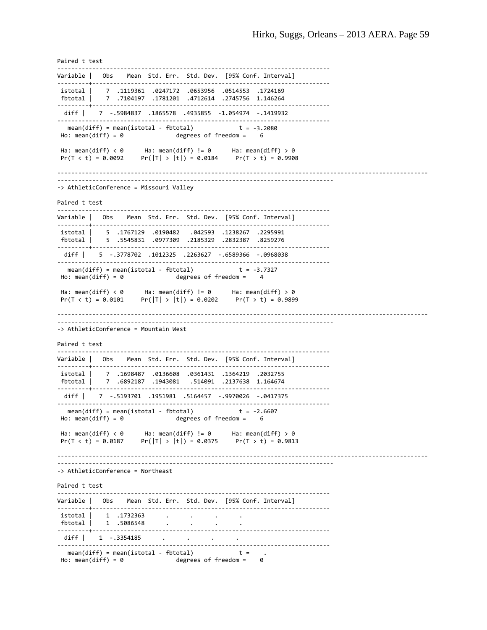Paired t test ‐‐‐‐‐‐‐‐‐‐‐‐‐‐‐‐‐‐‐‐‐‐‐‐‐‐‐‐‐‐‐‐‐‐‐‐‐‐‐‐‐‐‐‐‐‐‐‐‐‐‐‐‐‐‐‐‐‐‐‐‐‐‐‐‐‐‐‐‐‐‐‐‐‐‐‐‐‐ Variable | Obs Mean Std. Err. Std. Dev. [95% Conf. Interval] ‐‐‐‐‐‐‐‐‐+‐‐‐‐‐‐‐‐‐‐‐‐‐‐‐‐‐‐‐‐‐‐‐‐‐‐‐‐‐‐‐‐‐‐‐‐‐‐‐‐‐‐‐‐‐‐‐‐‐‐‐‐‐‐‐‐‐‐‐‐‐‐‐‐‐‐‐‐ istotal | 7 .1119361 .0247172 .0653956 .0514553 .1724169 fbtotal | 7 .7104197 .1781201 .4712614 .2745756 1.146264 ----------------------------------- diff | 7 ‐.5984837 .1865578 .4935855 ‐1.054974 ‐.1419932 ‐‐‐‐‐‐‐‐‐‐‐‐‐‐‐‐‐‐‐‐‐‐‐‐‐‐‐‐‐‐‐‐‐‐‐‐‐‐‐‐‐‐‐‐‐‐‐‐‐‐‐‐‐‐‐‐‐‐‐‐‐‐‐‐‐‐‐‐‐‐‐‐‐‐‐‐‐‐ mean(diff) = mean(istotal - fbtotal)  $t = -3.2080$  $Ho: mean(diff) = 0$  degrees of freedom =  $6$ Ha: mean(diff) < 0  $\qquad$  Ha: mean(diff) != 0  $\qquad$  Ha: mean(diff) > 0  $Pr(T < t) = 0.0092$   $Pr(|T| > |t|) = 0.0184$   $Pr(T > t) = 0.9908$ ‐‐‐‐‐‐‐‐‐‐‐‐‐‐‐‐‐‐‐‐‐‐‐‐‐‐‐‐‐‐‐‐‐‐‐‐‐‐‐‐‐‐‐‐‐‐‐‐‐‐‐‐‐‐‐‐‐‐‐‐‐‐‐‐‐‐‐‐‐‐‐‐‐‐‐‐‐‐‐‐‐‐‐‐‐‐‐‐‐‐‐‐‐‐‐‐‐‐‐‐‐‐‐‐‐‐ ‐‐‐‐‐‐‐‐‐‐‐‐‐‐‐‐‐‐‐‐‐‐‐‐‐‐‐‐‐‐‐‐‐‐‐‐‐‐‐‐‐‐‐‐‐‐‐‐‐‐‐‐‐‐‐‐‐‐‐‐‐‐‐‐‐‐‐‐‐‐‐‐‐‐‐‐‐‐‐ ‐> AthleticConference = Missouri Valley Paired t test ‐‐‐‐‐‐‐‐‐‐‐‐‐‐‐‐‐‐‐‐‐‐‐‐‐‐‐‐‐‐‐‐‐‐‐‐‐‐‐‐‐‐‐‐‐‐‐‐‐‐‐‐‐‐‐‐‐‐‐‐‐‐‐‐‐‐‐‐‐‐‐‐‐‐‐‐‐‐ Variable | Obs Mean Std. Err. Std. Dev. [95% Conf. Interval] ‐‐‐‐‐‐‐‐‐+‐‐‐‐‐‐‐‐‐‐‐‐‐‐‐‐‐‐‐‐‐‐‐‐‐‐‐‐‐‐‐‐‐‐‐‐‐‐‐‐‐‐‐‐‐‐‐‐‐‐‐‐‐‐‐‐‐‐‐‐‐‐‐‐‐‐‐‐ istotal | 5 .1767129 .0190482 .042593 .1238267 .2295991 fbtotal | 5 .5545831 .0977309 .2185329 .2832387 .8259276 ‐‐‐‐‐‐‐‐‐+‐‐‐‐‐‐‐‐‐‐‐‐‐‐‐‐‐‐‐‐‐‐‐‐‐‐‐‐‐‐‐‐‐‐‐‐‐‐‐‐‐‐‐‐‐‐‐‐‐‐‐‐‐‐‐‐‐‐‐‐‐‐‐‐‐‐‐‐ diff | 5 ‐.3778702 .1012325 .2263627 ‐.6589366 ‐.0968038 ‐‐‐‐‐‐‐‐‐‐‐‐‐‐‐‐‐‐‐‐‐‐‐‐‐‐‐‐‐‐‐‐‐‐‐‐‐‐‐‐‐‐‐‐‐‐‐‐‐‐‐‐‐‐‐‐‐‐‐‐‐‐‐‐‐‐‐‐‐‐‐‐‐‐‐‐‐‐ mean(diff) = mean(istotal ‐ fbtotal) t = ‐3.7327  $Ho: mean(diff) = 0$  degrees of freedom = Ha: mean(diff) < 0 Ha: mean(diff) != 0 Ha: mean(diff) > 0  $Pr(T < t) = 0.0101$   $Pr(|T| > |t|) = 0.0202$   $Pr(T > t) = 0.9899$ ‐‐‐‐‐‐‐‐‐‐‐‐‐‐‐‐‐‐‐‐‐‐‐‐‐‐‐‐‐‐‐‐‐‐‐‐‐‐‐‐‐‐‐‐‐‐‐‐‐‐‐‐‐‐‐‐‐‐‐‐‐‐‐‐‐‐‐‐‐‐‐‐‐‐‐‐‐‐‐‐‐‐‐‐‐‐‐‐‐‐‐‐‐‐‐‐‐‐‐‐‐‐‐‐‐‐ ‐‐‐‐‐‐‐‐‐‐‐‐‐‐‐‐‐‐‐‐‐‐‐‐‐‐‐‐‐‐‐‐‐‐‐‐‐‐‐‐‐‐‐‐‐‐‐‐‐‐‐‐‐‐‐‐‐‐‐‐‐‐‐‐‐‐‐‐‐‐‐‐‐‐‐‐‐‐‐ ‐> AthleticConference = Mountain West Paired t test ‐‐‐‐‐‐‐‐‐‐‐‐‐‐‐‐‐‐‐‐‐‐‐‐‐‐‐‐‐‐‐‐‐‐‐‐‐‐‐‐‐‐‐‐‐‐‐‐‐‐‐‐‐‐‐‐‐‐‐‐‐‐‐‐‐‐‐‐‐‐‐‐‐‐‐‐‐‐ Variable | Obs Mean Std. Err. Std. Dev. [95% Conf. Interval] ‐‐‐‐‐‐‐‐‐+‐‐‐‐‐‐‐‐‐‐‐‐‐‐‐‐‐‐‐‐‐‐‐‐‐‐‐‐‐‐‐‐‐‐‐‐‐‐‐‐‐‐‐‐‐‐‐‐‐‐‐‐‐‐‐‐‐‐‐‐‐‐‐‐‐‐‐‐ istotal | 7 .1698487 .0136608 .0361431 .1364219 .2032755 fbtotal | 7 .6892187 .1943081 .514091 .2137638 1.164674 ‐‐‐‐‐‐‐‐‐+‐‐‐‐‐‐‐‐‐‐‐‐‐‐‐‐‐‐‐‐‐‐‐‐‐‐‐‐‐‐‐‐‐‐‐‐‐‐‐‐‐‐‐‐‐‐‐‐‐‐‐‐‐‐‐‐‐‐‐‐‐‐‐‐‐‐‐‐ diff | 7 ‐.5193701 .1951981 .5164457 ‐.9970026 ‐.0417375 ‐‐‐‐‐‐‐‐‐‐‐‐‐‐‐‐‐‐‐‐‐‐‐‐‐‐‐‐‐‐‐‐‐‐‐‐‐‐‐‐‐‐‐‐‐‐‐‐‐‐‐‐‐‐‐‐‐‐‐‐‐‐‐‐‐‐‐‐‐‐‐‐‐‐‐‐‐‐ mean(diff) = mean(istotal - fbtotal)  $t = -2.6607$ <br>Ho: mean(diff) = 0 degrees of freedom = 6  $degrees$  of freedom =  $6$ Ha: mean(diff) < 0 Ha: mean(diff) != 0 Ha: mean(diff) > 0  $Pr(|T| > |t|) = 0.0375$ ‐‐‐‐‐‐‐‐‐‐‐‐‐‐‐‐‐‐‐‐‐‐‐‐‐‐‐‐‐‐‐‐‐‐‐‐‐‐‐‐‐‐‐‐‐‐‐‐‐‐‐‐‐‐‐‐‐‐‐‐‐‐‐‐‐‐‐‐‐‐‐‐‐‐‐‐‐‐‐‐‐‐‐‐‐‐‐‐‐‐‐‐‐‐‐‐‐‐‐‐‐‐‐‐‐‐ ‐‐‐‐‐‐‐‐‐‐‐‐‐‐‐‐‐‐‐‐‐‐‐‐‐‐‐‐‐‐‐‐‐‐‐‐‐‐‐‐‐‐‐‐‐‐‐‐‐‐‐‐‐‐‐‐‐‐‐‐‐‐‐‐‐‐‐‐‐‐‐‐‐‐‐‐‐‐‐ ‐> AthleticConference = Northeast Paired t test ‐‐‐‐‐‐‐‐‐‐‐‐‐‐‐‐‐‐‐‐‐‐‐‐‐‐‐‐‐‐‐‐‐‐‐‐‐‐‐‐‐‐‐‐‐‐‐‐‐‐‐‐‐‐‐‐‐‐‐‐‐‐‐‐‐‐‐‐‐‐‐‐‐‐‐‐‐‐ Variable | Obs Mean Std. Err. Std. Dev. [95% Conf. Interval] ………………………………………………………………………………………… istotal | 1 .1732363 . . . . fbtotal | 1 .5086548 . . . . . . ‐‐‐‐‐‐‐‐‐+‐‐‐‐‐‐‐‐‐‐‐‐‐‐‐‐‐‐‐‐‐‐‐‐‐‐‐‐‐‐‐‐‐‐‐‐‐‐‐‐‐‐‐‐‐‐‐‐‐‐‐‐‐‐‐‐‐‐‐‐‐‐‐‐‐‐‐‐ diff | 1 -.3354185 . . . ‐‐‐‐‐‐‐‐‐‐‐‐‐‐‐‐‐‐‐‐‐‐‐‐‐‐‐‐‐‐‐‐‐‐‐‐‐‐‐‐‐‐‐‐‐‐‐‐‐‐‐‐‐‐‐‐‐‐‐‐‐‐‐‐‐‐‐‐‐‐‐‐‐‐‐‐‐‐ mean(diff) = mean(istotal ‐ fbtotal) t = . Ho: mean(diff) =  $0$  degrees of freedom =  $0$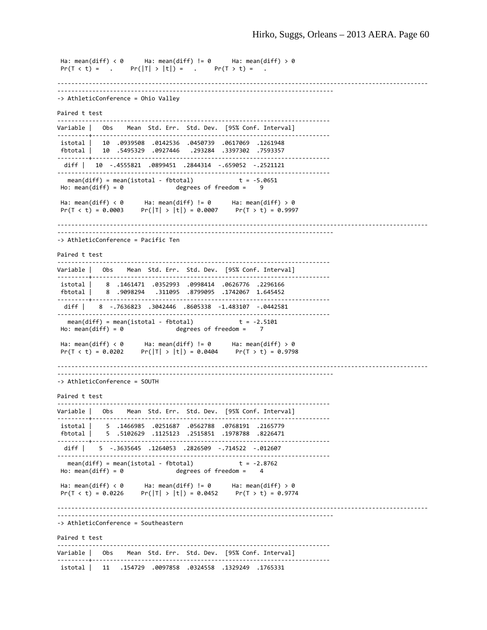```
Ha: mean(diff) < 0      Ha: mean(diff) != 0      Ha: mean(diff) > 0
Pr(T < t) = . Pr(|T| > |t|) = . Pr(T > t) =‐‐‐‐‐‐‐‐‐‐‐‐‐‐‐‐‐‐‐‐‐‐‐‐‐‐‐‐‐‐‐‐‐‐‐‐‐‐‐‐‐‐‐‐‐‐‐‐‐‐‐‐‐‐‐‐‐‐‐‐‐‐‐‐‐‐‐‐‐‐‐‐‐‐‐‐‐‐‐‐‐‐‐‐‐‐‐‐‐‐‐‐‐‐‐‐‐‐‐‐‐‐‐‐‐‐
‐‐‐‐‐‐‐‐‐‐‐‐‐‐‐‐‐‐‐‐‐‐‐‐‐‐‐‐‐‐‐‐‐‐‐‐‐‐‐‐‐‐‐‐‐‐‐‐‐‐‐‐‐‐‐‐‐‐‐‐‐‐‐‐‐‐‐‐‐‐‐‐‐‐‐‐‐‐‐ 
‐> AthleticConference = Ohio Valley
Paired t test
‐‐‐‐‐‐‐‐‐‐‐‐‐‐‐‐‐‐‐‐‐‐‐‐‐‐‐‐‐‐‐‐‐‐‐‐‐‐‐‐‐‐‐‐‐‐‐‐‐‐‐‐‐‐‐‐‐‐‐‐‐‐‐‐‐‐‐‐‐‐‐‐‐‐‐‐‐‐ 
Variable | Obs    Mean  Std. Err.  Std. Dev.    [95% Conf. Interval]
‐‐‐‐‐‐‐‐‐+‐‐‐‐‐‐‐‐‐‐‐‐‐‐‐‐‐‐‐‐‐‐‐‐‐‐‐‐‐‐‐‐‐‐‐‐‐‐‐‐‐‐‐‐‐‐‐‐‐‐‐‐‐‐‐‐‐‐‐‐‐‐‐‐‐‐‐‐ 
 istotal |   10  .0939508  .0142536  .0450739  .0617069  .1261948
 fbtotal |   10  .5495329  .0927446   .293284  .3397302  .7593357
‐‐‐‐‐‐‐‐‐+‐‐‐‐‐‐‐‐‐‐‐‐‐‐‐‐‐‐‐‐‐‐‐‐‐‐‐‐‐‐‐‐‐‐‐‐‐‐‐‐‐‐‐‐‐‐‐‐‐‐‐‐‐‐‐‐‐‐‐‐‐‐‐‐‐‐‐‐ 
   diff |   10  ‐.4555821  .0899451  .2844314  ‐.659052  ‐.2521121
‐‐‐‐‐‐‐‐‐‐‐‐‐‐‐‐‐‐‐‐‐‐‐‐‐‐‐‐‐‐‐‐‐‐‐‐‐‐‐‐‐‐‐‐‐‐‐‐‐‐‐‐‐‐‐‐‐‐‐‐‐‐‐‐‐‐‐‐‐‐‐‐‐‐‐‐‐‐ 
   mean(diff) = mean(istotal ‐ fbtotal)             t = ‐5.0651
                                 degrees of freedom = 9Ha: mean(diff) < 0      Ha: mean(diff) != 0      Ha: mean(diff) > 0
Pr(T < t) = 0.0003 Pr(|T| > |t|) = 0.0007 Pr(T > t) = 0.9997‐‐‐‐‐‐‐‐‐‐‐‐‐‐‐‐‐‐‐‐‐‐‐‐‐‐‐‐‐‐‐‐‐‐‐‐‐‐‐‐‐‐‐‐‐‐‐‐‐‐‐‐‐‐‐‐‐‐‐‐‐‐‐‐‐‐‐‐‐‐‐‐‐‐‐‐‐‐‐‐‐‐‐‐‐‐‐‐‐‐‐‐‐‐‐‐‐‐‐‐‐‐‐‐‐‐
‐‐‐‐‐‐‐‐‐‐‐‐‐‐‐‐‐‐‐‐‐‐‐‐‐‐‐‐‐‐‐‐‐‐‐‐‐‐‐‐‐‐‐‐‐‐‐‐‐‐‐‐‐‐‐‐‐‐‐‐‐‐‐‐‐‐‐‐‐‐‐‐‐‐‐‐‐‐‐ 
‐> AthleticConference = Pacific Ten
Paired t test
             ‐‐‐‐‐‐‐‐‐‐‐‐‐‐‐‐‐‐‐‐‐‐‐‐‐‐‐‐‐‐‐‐‐‐‐‐‐‐‐‐‐‐‐‐‐‐‐‐‐‐‐‐‐‐‐‐‐‐‐‐‐‐‐‐‐‐‐‐‐‐‐‐‐‐‐‐‐‐ 
Variable | Obs Mean Std. Err. Std. Dev. [95% Conf. Interval]
        ‐‐‐‐‐‐‐‐‐+‐‐‐‐‐‐‐‐‐‐‐‐‐‐‐‐‐‐‐‐‐‐‐‐‐‐‐‐‐‐‐‐‐‐‐‐‐‐‐‐‐‐‐‐‐‐‐‐‐‐‐‐‐‐‐‐‐‐‐‐‐‐‐‐‐‐‐‐ 
 istotal |    8  .1461471  .0352993  .0998414  .0626776  .2296166
 fbtotal |    8  .9098294   .311095  .8799095  .1742067  1.645452
‐‐‐‐‐‐‐‐‐+‐‐‐‐‐‐‐‐‐‐‐‐‐‐‐‐‐‐‐‐‐‐‐‐‐‐‐‐‐‐‐‐‐‐‐‐‐‐‐‐‐‐‐‐‐‐‐‐‐‐‐‐‐‐‐‐‐‐‐‐‐‐‐‐‐‐‐‐ 
   diff |    8  ‐.7636823  .3042446  .8605338  ‐1.483107  ‐.0442581
‐‐‐‐‐‐‐‐‐‐‐‐‐‐‐‐‐‐‐‐‐‐‐‐‐‐‐‐‐‐‐‐‐‐‐‐‐‐‐‐‐‐‐‐‐‐‐‐‐‐‐‐‐‐‐‐‐‐‐‐‐‐‐‐‐‐‐‐‐‐‐‐‐‐‐‐‐‐ 
     mean(diff) = mean(istotal ‐ fbtotal)             t = ‐2.5101
Ho: mean(diff) = \theta degrees of freedom =
Ha: mean(diff) \langle 0 \rangle Ha: mean(diff) != 0 Ha: mean(diff) > 0
Pr(T < t) = 0.0202 Pr(|T| > |t|) = 0.0404 Pr(T > t) = 0.9798‐‐‐‐‐‐‐‐‐‐‐‐‐‐‐‐‐‐‐‐‐‐‐‐‐‐‐‐‐‐‐‐‐‐‐‐‐‐‐‐‐‐‐‐‐‐‐‐‐‐‐‐‐‐‐‐‐‐‐‐‐‐‐‐‐‐‐‐‐‐‐‐‐‐‐‐‐‐‐‐‐‐‐‐‐‐‐‐‐‐‐‐‐‐‐‐‐‐‐‐‐‐‐‐‐‐
‐‐‐‐‐‐‐‐‐‐‐‐‐‐‐‐‐‐‐‐‐‐‐‐‐‐‐‐‐‐‐‐‐‐‐‐‐‐‐‐‐‐‐‐‐‐‐‐‐‐‐‐‐‐‐‐‐‐‐‐‐‐‐‐‐‐‐‐‐‐‐‐‐‐‐‐‐‐‐ 
‐> AthleticConference = SOUTH
Paired t test
‐‐‐‐‐‐‐‐‐‐‐‐‐‐‐‐‐‐‐‐‐‐‐‐‐‐‐‐‐‐‐‐‐‐‐‐‐‐‐‐‐‐‐‐‐‐‐‐‐‐‐‐‐‐‐‐‐‐‐‐‐‐‐‐‐‐‐‐‐‐‐‐‐‐‐‐‐‐ 
Variable | Obs    Mean  Std. Err.  Std. Dev.    [95% Conf. Interval]
‐‐‐‐‐‐‐‐‐+‐‐‐‐‐‐‐‐‐‐‐‐‐‐‐‐‐‐‐‐‐‐‐‐‐‐‐‐‐‐‐‐‐‐‐‐‐‐‐‐‐‐‐‐‐‐‐‐‐‐‐‐‐‐‐‐‐‐‐‐‐‐‐‐‐‐‐‐ 
istotal | 5 .1466985 .0251687 .0562788 .0768191 .2165779
fbtotal |    5  .5102629  .1125123  .2515851  .1978788  .8226471
       ‐‐‐‐‐‐‐‐‐+‐‐‐‐‐‐‐‐‐‐‐‐‐‐‐‐‐‐‐‐‐‐‐‐‐‐‐‐‐‐‐‐‐‐‐‐‐‐‐‐‐‐‐‐‐‐‐‐‐‐‐‐‐‐‐‐‐‐‐‐‐‐‐‐‐‐‐‐ 
   diff |    5  ‐.3635645  .1264053  .2826509  ‐.714522  ‐.012607
‐‐‐‐‐‐‐‐‐‐‐‐‐‐‐‐‐‐‐‐‐‐‐‐‐‐‐‐‐‐‐‐‐‐‐‐‐‐‐‐‐‐‐‐‐‐‐‐‐‐‐‐‐‐‐‐‐‐‐‐‐‐‐‐‐‐‐‐‐‐‐‐‐‐‐‐‐‐ 
  mean(diff) = mean(istotal - fbtotal)
Ho: mean(diff) = 0 degrees of freedom =
Ha: mean(diff) < 0      Ha: mean(diff) != 0      Ha: mean(diff) > 0
Pr(T < t) = 0.0226 Pr(|T| > |t|) = 0.0452 Pr(T > t) = 0.9774‐‐‐‐‐‐‐‐‐‐‐‐‐‐‐‐‐‐‐‐‐‐‐‐‐‐‐‐‐‐‐‐‐‐‐‐‐‐‐‐‐‐‐‐‐‐‐‐‐‐‐‐‐‐‐‐‐‐‐‐‐‐‐‐‐‐‐‐‐‐‐‐‐‐‐‐‐‐‐‐‐‐‐‐‐‐‐‐‐‐‐‐‐‐‐‐‐‐‐‐‐‐‐‐‐‐
‐‐‐‐‐‐‐‐‐‐‐‐‐‐‐‐‐‐‐‐‐‐‐‐‐‐‐‐‐‐‐‐‐‐‐‐‐‐‐‐‐‐‐‐‐‐‐‐‐‐‐‐‐‐‐‐‐‐‐‐‐‐‐‐‐‐‐‐‐‐‐‐‐‐‐‐‐‐‐ 
‐> AthleticConference = Southeastern
Paired t test
 ‐‐‐‐‐‐‐‐‐‐‐‐‐‐‐‐‐‐‐‐‐‐‐‐‐‐‐‐‐‐‐‐‐‐‐‐‐‐‐‐‐‐‐‐‐‐‐‐‐‐‐‐‐‐‐‐‐‐‐‐‐‐‐‐‐‐‐‐‐‐‐‐‐‐‐‐‐‐ 
Variable | Obs    Mean  Std. Err.  Std. Dev.    [95% Conf. Interval]
‐‐‐‐‐‐‐‐‐+‐‐‐‐‐‐‐‐‐‐‐‐‐‐‐‐‐‐‐‐‐‐‐‐‐‐‐‐‐‐‐‐‐‐‐‐‐‐‐‐‐‐‐‐‐‐‐‐‐‐‐‐‐‐‐‐‐‐‐‐‐‐‐‐‐‐‐‐ 
istotal |   11   .154729  .0097858  .0324558  .1329249  .1765331
```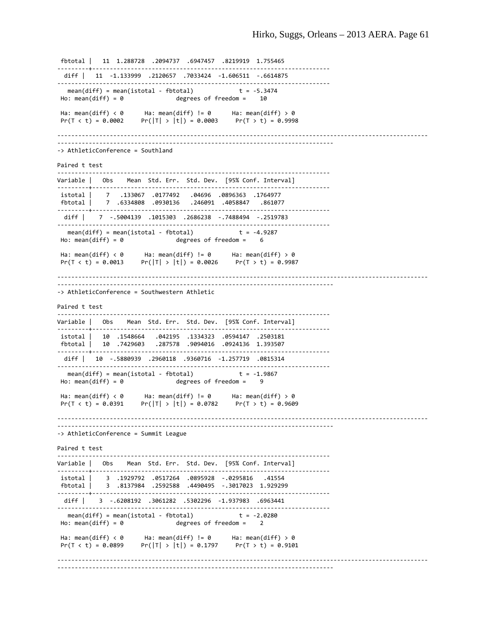fbtotal | 11 1.288728 .2094737 .6947457 .8219919 1.755465 ‐‐‐‐‐‐‐‐‐+‐‐‐‐‐‐‐‐‐‐‐‐‐‐‐‐‐‐‐‐‐‐‐‐‐‐‐‐‐‐‐‐‐‐‐‐‐‐‐‐‐‐‐‐‐‐‐‐‐‐‐‐‐‐‐‐‐‐‐‐‐‐‐‐‐‐‐‐ diff | 11 ‐1.133999 .2120657 .7033424 ‐1.606511 ‐.6614875 ‐‐‐‐‐‐‐‐‐‐‐‐‐‐‐‐‐‐‐‐‐‐‐‐‐‐‐‐‐‐‐‐‐‐‐‐‐‐‐‐‐‐‐‐‐‐‐‐‐‐‐‐‐‐‐‐‐‐‐‐‐‐‐‐‐‐‐‐‐‐‐‐‐‐‐‐‐‐  $mean(diff) = mean(istotal - fbtotal)$ Ho: mean(diff) =  $\theta$  degrees of freedom =  $10$ Ha: mean(diff) < 0 Ha: mean(diff) != 0 Ha: mean(diff) > 0 Pr(T < t) = 0.0002 Pr( $|T| > |t|$ ) = 0.0003 Pr(T > t) = 0.9998 ‐‐‐‐‐‐‐‐‐‐‐‐‐‐‐‐‐‐‐‐‐‐‐‐‐‐‐‐‐‐‐‐‐‐‐‐‐‐‐‐‐‐‐‐‐‐‐‐‐‐‐‐‐‐‐‐‐‐‐‐‐‐‐‐‐‐‐‐‐‐‐‐‐‐‐‐‐‐‐‐‐‐‐‐‐‐‐‐‐‐‐‐‐‐‐‐‐‐‐‐‐‐‐‐‐‐ ‐‐‐‐‐‐‐‐‐‐‐‐‐‐‐‐‐‐‐‐‐‐‐‐‐‐‐‐‐‐‐‐‐‐‐‐‐‐‐‐‐‐‐‐‐‐‐‐‐‐‐‐‐‐‐‐‐‐‐‐‐‐‐‐‐‐‐‐‐‐‐‐‐‐‐‐‐‐‐ ‐> AthleticConference = Southland Paired t test ‐‐‐‐‐‐‐‐‐‐‐‐‐‐‐‐‐‐‐‐‐‐‐‐‐‐‐‐‐‐‐‐‐‐‐‐‐‐‐‐‐‐‐‐‐‐‐‐‐‐‐‐‐‐‐‐‐‐‐‐‐‐‐‐‐‐‐‐‐‐‐‐‐‐‐‐‐‐ Variable | Obs Mean Std. Err. Std. Dev. [95% Conf. Interval] ‐‐‐‐‐‐‐‐‐+‐‐‐‐‐‐‐‐‐‐‐‐‐‐‐‐‐‐‐‐‐‐‐‐‐‐‐‐‐‐‐‐‐‐‐‐‐‐‐‐‐‐‐‐‐‐‐‐‐‐‐‐‐‐‐‐‐‐‐‐‐‐‐‐‐‐‐‐ istotal | 7 .133067 .0177492 .04696 .0896363 .1764977 fbtotal | 7 .6334808 .0930136 .246091 .4058847 .861077 ……………………………………………………………………………………… diff | 7 ‐.5004139 .1015303 .2686238 ‐.7488494 ‐.2519783 ‐‐‐‐‐‐‐‐‐‐‐‐‐‐‐‐‐‐‐‐‐‐‐‐‐‐‐‐‐‐‐‐‐‐‐‐‐‐‐‐‐‐‐‐‐‐‐‐‐‐‐‐‐‐‐‐‐‐‐‐‐‐‐‐‐‐‐‐‐‐‐‐‐‐‐‐‐‐  $mean(diff)$  = mean(istotal - fbtotal)  $Ho: mean(diff) = 0$  degrees of freedom =  $6$ Ha: mean(diff) < 0 Ha: mean(diff) != 0 Ha: mean(diff) > 0  $Pr(T < t) = 0.0013$   $Pr(|T| > |t|) = 0.0026$   $Pr(T > t) = 0.9987$ ‐‐‐‐‐‐‐‐‐‐‐‐‐‐‐‐‐‐‐‐‐‐‐‐‐‐‐‐‐‐‐‐‐‐‐‐‐‐‐‐‐‐‐‐‐‐‐‐‐‐‐‐‐‐‐‐‐‐‐‐‐‐‐‐‐‐‐‐‐‐‐‐‐‐‐‐‐‐‐‐‐‐‐‐‐‐‐‐‐‐‐‐‐‐‐‐‐‐‐‐‐‐‐‐‐‐ ‐‐‐‐‐‐‐‐‐‐‐‐‐‐‐‐‐‐‐‐‐‐‐‐‐‐‐‐‐‐‐‐‐‐‐‐‐‐‐‐‐‐‐‐‐‐‐‐‐‐‐‐‐‐‐‐‐‐‐‐‐‐‐‐‐‐‐‐‐‐‐‐‐‐‐‐‐‐‐ ‐> AthleticConference = Southwestern Athletic Paired t test ‐‐‐‐‐‐‐‐‐‐‐‐‐‐‐‐‐‐‐‐‐‐‐‐‐‐‐‐‐‐‐‐‐‐‐‐‐‐‐‐‐‐‐‐‐‐‐‐‐‐‐‐‐‐‐‐‐‐‐‐‐‐‐‐‐‐‐‐‐‐‐‐‐‐‐‐‐‐ Variable | Obs Mean Std. Err. Std. Dev. [95% Conf. Interval] …………↓………………………………………………… istotal | 10 .1548664 .042195 .1334323 .0594147 .2503181 fbtotal | 10 .7429603 .287578 .9094016 .0924136 1.393507 ‐‐‐‐‐‐‐‐‐+‐‐‐‐‐‐‐‐‐‐‐‐‐‐‐‐‐‐‐‐‐‐‐‐‐‐‐‐‐‐‐‐‐‐‐‐‐‐‐‐‐‐‐‐‐‐‐‐‐‐‐‐‐‐‐‐‐‐‐‐‐‐‐‐‐‐‐‐ diff | 10 ‐.5880939 .2960118 .9360716 ‐1.257719 .0815314 ‐‐‐‐‐‐‐‐‐‐‐‐‐‐‐‐‐‐‐‐‐‐‐‐‐‐‐‐‐‐‐‐‐‐‐‐‐‐‐‐‐‐‐‐‐‐‐‐‐‐‐‐‐‐‐‐‐‐‐‐‐‐‐‐‐‐‐‐‐‐‐‐‐‐‐‐‐‐ mean(diff) = mean(istotal ‐ fbtotal) t = ‐1.9867  $Ho: mean(diff) = 0$  degrees of freedom = Ha: mean(diff) < 0 Ha: mean(diff) != 0 Ha: mean(diff) > 0  $Pr(|T| > |t|) = 0.0782$ ‐‐‐‐‐‐‐‐‐‐‐‐‐‐‐‐‐‐‐‐‐‐‐‐‐‐‐‐‐‐‐‐‐‐‐‐‐‐‐‐‐‐‐‐‐‐‐‐‐‐‐‐‐‐‐‐‐‐‐‐‐‐‐‐‐‐‐‐‐‐‐‐‐‐‐‐‐‐‐‐‐‐‐‐‐‐‐‐‐‐‐‐‐‐‐‐‐‐‐‐‐‐‐‐‐‐ ‐‐‐‐‐‐‐‐‐‐‐‐‐‐‐‐‐‐‐‐‐‐‐‐‐‐‐‐‐‐‐‐‐‐‐‐‐‐‐‐‐‐‐‐‐‐‐‐‐‐‐‐‐‐‐‐‐‐‐‐‐‐‐‐‐‐‐‐‐‐‐‐‐‐‐‐‐‐‐ ‐> AthleticConference = Summit League Paired t test ‐‐‐‐‐‐‐‐‐‐‐‐‐‐‐‐‐‐‐‐‐‐‐‐‐‐‐‐‐‐‐‐‐‐‐‐‐‐‐‐‐‐‐‐‐‐‐‐‐‐‐‐‐‐‐‐‐‐‐‐‐‐‐‐‐‐‐‐‐‐‐‐‐‐‐‐‐‐ Variable | Obs Mean Std. Err. Std. Dev. [95% Conf. Interval] ‐‐‐‐‐‐‐‐‐+‐‐‐‐‐‐‐‐‐‐‐‐‐‐‐‐‐‐‐‐‐‐‐‐‐‐‐‐‐‐‐‐‐‐‐‐‐‐‐‐‐‐‐‐‐‐‐‐‐‐‐‐‐‐‐‐‐‐‐‐‐‐‐‐‐‐‐‐ istotal | 3 .1929792 .0517264 .0895928 ‐.0295816 .41554 fbtotal | 3 .8137984 .2592588 .4490495 ‐.3017023 1.929299 ‐‐‐‐‐‐‐‐‐+‐‐‐‐‐‐‐‐‐‐‐‐‐‐‐‐‐‐‐‐‐‐‐‐‐‐‐‐‐‐‐‐‐‐‐‐‐‐‐‐‐‐‐‐‐‐‐‐‐‐‐‐‐‐‐‐‐‐‐‐‐‐‐‐‐‐‐‐ diff | 3 ‐.6208192 .3061282 .5302296 ‐1.937983 .6963441 ‐‐‐‐‐‐‐‐‐‐‐‐‐‐‐‐‐‐‐‐‐‐‐‐‐‐‐‐‐‐‐‐‐‐‐‐‐‐‐‐‐‐‐‐‐‐‐‐‐‐‐‐‐‐‐‐‐‐‐‐‐‐‐‐‐‐‐‐‐‐‐‐‐‐‐‐‐‐ mean(diff) = mean(istotal - fbtotal)  $t = -2.0280$  $Ho: mean(diff) = 0$  degrees of freedom = 2 Ha: mean(diff)  $\langle \theta \rangle$  Ha: mean(diff) != 0 Ha: mean(diff) > 0  $Pr(T < t) = 0.0899$   $Pr(|T| > |t|) = 0.1797$   $Pr(T > t) = 0.9101$ ‐‐‐‐‐‐‐‐‐‐‐‐‐‐‐‐‐‐‐‐‐‐‐‐‐‐‐‐‐‐‐‐‐‐‐‐‐‐‐‐‐‐‐‐‐‐‐‐‐‐‐‐‐‐‐‐‐‐‐‐‐‐‐‐‐‐‐‐‐‐‐‐‐‐‐‐‐‐‐‐‐‐‐‐‐‐‐‐‐‐‐‐‐‐‐‐‐‐‐‐‐‐‐‐‐‐ ‐‐‐‐‐‐‐‐‐‐‐‐‐‐‐‐‐‐‐‐‐‐‐‐‐‐‐‐‐‐‐‐‐‐‐‐‐‐‐‐‐‐‐‐‐‐‐‐‐‐‐‐‐‐‐‐‐‐‐‐‐‐‐‐‐‐‐‐‐‐‐‐‐‐‐‐‐‐‐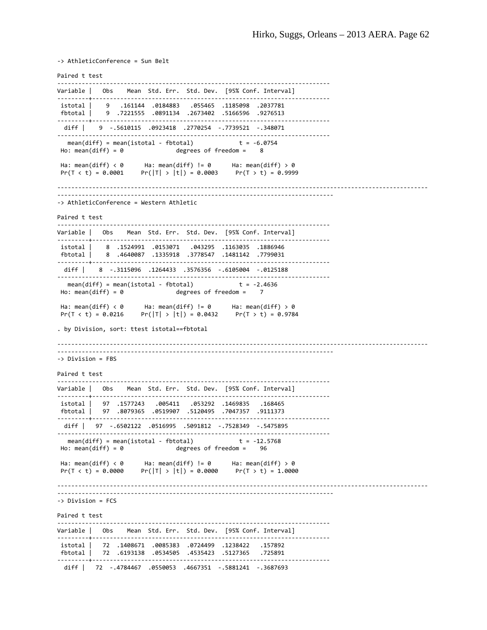‐> AthleticConference = Sun Belt Paired t test ‐‐‐‐‐‐‐‐‐‐‐‐‐‐‐‐‐‐‐‐‐‐‐‐‐‐‐‐‐‐‐‐‐‐‐‐‐‐‐‐‐‐‐‐‐‐‐‐‐‐‐‐‐‐‐‐‐‐‐‐‐‐‐‐‐‐‐‐‐‐‐‐‐‐‐‐‐‐ Variable | Obs Mean Std. Err. Std. Dev. [95% Conf. Interval] ‐‐‐‐‐‐‐‐‐+‐‐‐‐‐‐‐‐‐‐‐‐‐‐‐‐‐‐‐‐‐‐‐‐‐‐‐‐‐‐‐‐‐‐‐‐‐‐‐‐‐‐‐‐‐‐‐‐‐‐‐‐‐‐‐‐‐‐‐‐‐‐‐‐‐‐‐‐ istotal | 9 .161144 .0184883 .055465 .1185098 .2037781 fbtotal | 9 .7221555 .0891134 .2673402 .5166596 .9276513 ‐‐‐‐‐‐‐‐‐+‐‐‐‐‐‐‐‐‐‐‐‐‐‐‐‐‐‐‐‐‐‐‐‐‐‐‐‐‐‐‐‐‐‐‐‐‐‐‐‐‐‐‐‐‐‐‐‐‐‐‐‐‐‐‐‐‐‐‐‐‐‐‐‐‐‐‐‐ diff | 9 ‐.5610115 .0923418 .2770254 ‐.7739521 ‐.348071 ‐‐‐‐‐‐‐‐‐‐‐‐‐‐‐‐‐‐‐‐‐‐‐‐‐‐‐‐‐‐‐‐‐‐‐‐‐‐‐‐‐‐‐‐‐‐‐‐‐‐‐‐‐‐‐‐‐‐‐‐‐‐‐‐‐‐‐‐‐‐‐‐‐‐‐‐‐‐ mean(diff) = mean(istotal - fbtotal)  $t = -6.0754$  $Ho: mean(diff) = 0$  degrees of freedom =  $8$ Ha: mean(diff) < 0 Ha: mean(diff) != 0 Ha: mean(diff) > 0  $Pr(T < t) = 0.0001$   $Pr(|T| > |t|) = 0.0003$   $Pr(T > t) = 0.9999$ ‐‐‐‐‐‐‐‐‐‐‐‐‐‐‐‐‐‐‐‐‐‐‐‐‐‐‐‐‐‐‐‐‐‐‐‐‐‐‐‐‐‐‐‐‐‐‐‐‐‐‐‐‐‐‐‐‐‐‐‐‐‐‐‐‐‐‐‐‐‐‐‐‐‐‐‐‐‐‐‐‐‐‐‐‐‐‐‐‐‐‐‐‐‐‐‐‐‐‐‐‐‐‐‐‐‐ ‐‐‐‐‐‐‐‐‐‐‐‐‐‐‐‐‐‐‐‐‐‐‐‐‐‐‐‐‐‐‐‐‐‐‐‐‐‐‐‐‐‐‐‐‐‐‐‐‐‐‐‐‐‐‐‐‐‐‐‐‐‐‐‐‐‐‐‐‐‐‐‐‐‐‐‐‐‐‐ ‐> AthleticConference = Western Athletic Paired t test ‐‐‐‐‐‐‐‐‐‐‐‐‐‐‐‐‐‐‐‐‐‐‐‐‐‐‐‐‐‐‐‐‐‐‐‐‐‐‐‐‐‐‐‐‐‐‐‐‐‐‐‐‐‐‐‐‐‐‐‐‐‐‐‐‐‐‐‐‐‐‐‐‐‐‐‐‐‐ Variable | Obs Mean Std. Err. Std. Dev. [95% Conf. Interval] ‐‐‐‐‐‐‐‐‐+‐‐‐‐‐‐‐‐‐‐‐‐‐‐‐‐‐‐‐‐‐‐‐‐‐‐‐‐‐‐‐‐‐‐‐‐‐‐‐‐‐‐‐‐‐‐‐‐‐‐‐‐‐‐‐‐‐‐‐‐‐‐‐‐‐‐‐‐ istotal | 8 .1524991 .0153071 .043295 .1163035 .1886946 fbtotal | 8 .4640087 .1335918 .3778547 .1481142 .7799031 ‐‐‐‐‐‐‐‐‐+‐‐‐‐‐‐‐‐‐‐‐‐‐‐‐‐‐‐‐‐‐‐‐‐‐‐‐‐‐‐‐‐‐‐‐‐‐‐‐‐‐‐‐‐‐‐‐‐‐‐‐‐‐‐‐‐‐‐‐‐‐‐‐‐‐‐‐‐ diff | 8 ‐.3115096 .1264433 .3576356 ‐.6105004 ‐.0125188 ………………………………………………………………… mean(diff) = mean(istotal ‐ fbtotal) t = ‐2.4636 degrees of freedom = Ha: mean(diff) < 0 Ha: mean(diff) != 0 Ha: mean(diff) > 0  $Pr(T < t) = 0.0216$   $Pr(|T| > |t|) = 0.0432$   $Pr(T > t) = 0.9784$ . by Division, sort: ttest istotal==fbtotal ‐‐‐‐‐‐‐‐‐‐‐‐‐‐‐‐‐‐‐‐‐‐‐‐‐‐‐‐‐‐‐‐‐‐‐‐‐‐‐‐‐‐‐‐‐‐‐‐‐‐‐‐‐‐‐‐‐‐‐‐‐‐‐‐‐‐‐‐‐‐‐‐‐‐‐‐‐‐‐‐‐‐‐‐‐‐‐‐‐‐‐‐‐‐‐‐‐‐‐‐‐‐‐‐‐‐ ‐‐‐‐‐‐‐‐‐‐‐‐‐‐‐‐‐‐‐‐‐‐‐‐‐‐‐‐‐‐‐‐‐‐‐‐‐‐‐‐‐‐‐‐‐‐‐‐‐‐‐‐‐‐‐‐‐‐‐‐‐‐‐‐‐‐‐‐‐‐‐‐‐‐‐‐‐‐‐ ‐> Division = FBS Paired t test ‐‐‐‐‐‐‐‐‐‐‐‐‐‐‐‐‐‐‐‐‐‐‐‐‐‐‐‐‐‐‐‐‐‐‐‐‐‐‐‐‐‐‐‐‐‐‐‐‐‐‐‐‐‐‐‐‐‐‐‐‐‐‐‐‐‐‐‐‐‐‐‐‐‐‐‐‐‐ Variable | Obs Mean Std. Err. Std. Dev. [95% Conf. Interval] ‐‐‐‐‐‐‐‐‐+‐‐‐‐‐‐‐‐‐‐‐‐‐‐‐‐‐‐‐‐‐‐‐‐‐‐‐‐‐‐‐‐‐‐‐‐‐‐‐‐‐‐‐‐‐‐‐‐‐‐‐‐‐‐‐‐‐‐‐‐‐‐‐‐‐‐‐‐ istotal | 97 .1577243 .005411 .053292 .1469835 .168465 fbtotal | 97 .8079365 .0519907 .5120495 .7047357 .9111373 ‐‐‐‐‐‐‐‐‐+‐‐‐‐‐‐‐‐‐‐‐‐‐‐‐‐‐‐‐‐‐‐‐‐‐‐‐‐‐‐‐‐‐‐‐‐‐‐‐‐‐‐‐‐‐‐‐‐‐‐‐‐‐‐‐‐‐‐‐‐‐‐‐‐‐‐‐‐ diff | 97 ‐.6502122 .0516995 .5091812 ‐.7528349 ‐.5475895 ‐‐‐‐‐‐‐‐‐‐‐‐‐‐‐‐‐‐‐‐‐‐‐‐‐‐‐‐‐‐‐‐‐‐‐‐‐‐‐‐‐‐‐‐‐‐‐‐‐‐‐‐‐‐‐‐‐‐‐‐‐‐‐‐‐‐‐‐‐‐‐‐‐‐‐‐‐‐ mean(diff) = mean(istotal ‐ fbtotal) t = ‐12.5768  $Ho: mean(diff) = 0$  degrees of freedom =  $96$ Ha: mean(diff) < 0 Ha: mean(diff) != 0 Ha: mean(diff) > 0  $Pr(T < t) = 0.0000$   $Pr(|T| > |t|) = 0.0000$   $Pr(T > t) = 1.0000$ ‐‐‐‐‐‐‐‐‐‐‐‐‐‐‐‐‐‐‐‐‐‐‐‐‐‐‐‐‐‐‐‐‐‐‐‐‐‐‐‐‐‐‐‐‐‐‐‐‐‐‐‐‐‐‐‐‐‐‐‐‐‐‐‐‐‐‐‐‐‐‐‐‐‐‐‐‐‐‐‐‐‐‐‐‐‐‐‐‐‐‐‐‐‐‐‐‐‐‐‐‐‐‐‐‐‐ ‐‐‐‐‐‐‐‐‐‐‐‐‐‐‐‐‐‐‐‐‐‐‐‐‐‐‐‐‐‐‐‐‐‐‐‐‐‐‐‐‐‐‐‐‐‐‐‐‐‐‐‐‐‐‐‐‐‐‐‐‐‐‐‐‐‐‐‐‐‐‐‐‐‐‐‐‐‐‐ ‐> Division = FCS Paired t test ‐‐‐‐‐‐‐‐‐‐‐‐‐‐‐‐‐‐‐‐‐‐‐‐‐‐‐‐‐‐‐‐‐‐‐‐‐‐‐‐‐‐‐‐‐‐‐‐‐‐‐‐‐‐‐‐‐‐‐‐‐‐‐‐‐‐‐‐‐‐‐‐‐‐‐‐‐‐ Variable | Obs Mean Std. Err. Std. Dev. [95% Conf. Interval] ‐‐‐‐‐‐‐‐‐+‐‐‐‐‐‐‐‐‐‐‐‐‐‐‐‐‐‐‐‐‐‐‐‐‐‐‐‐‐‐‐‐‐‐‐‐‐‐‐‐‐‐‐‐‐‐‐‐‐‐‐‐‐‐‐‐‐‐‐‐‐‐‐‐‐‐‐‐ istotal | 72 .1408671 .0085383 .0724499 .1238422 .157892 fbtotal | 72 .6193138 .0534505 .4535423 .5127365 .725891 ‐‐‐‐‐‐‐‐‐+‐‐‐‐‐‐‐‐‐‐‐‐‐‐‐‐‐‐‐‐‐‐‐‐‐‐‐‐‐‐‐‐‐‐‐‐‐‐‐‐‐‐‐‐‐‐‐‐‐‐‐‐‐‐‐‐‐‐‐‐‐‐‐‐‐‐‐‐ diff | 72 ‐.4784467 .0550053 .4667351 ‐.5881241 ‐.3687693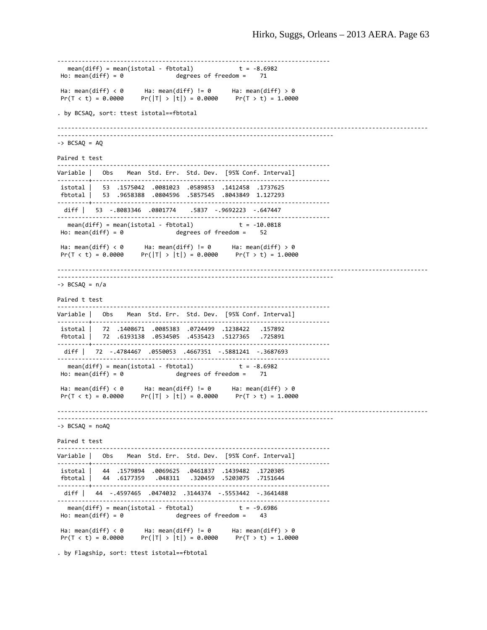```
‐‐‐‐‐‐‐‐‐‐‐‐‐‐‐‐‐‐‐‐‐‐‐‐‐‐‐‐‐‐‐‐‐‐‐‐‐‐‐‐‐‐‐‐‐‐‐‐‐‐‐‐‐‐‐‐‐‐‐‐‐‐‐‐‐‐‐‐‐‐‐‐‐‐‐‐‐‐ 
  mean(diff) = mean(istotal - fbtotal) t = -8.6982Ho: mean(diff) = \theta degrees of freedom = \theta 71
Ha: mean(diff) < 0      Ha: mean(diff) != 0      Ha: mean(diff) > 0
Pr(T < t) = 0.0000 Pr(|T| > |t|) = 0.0000 Pr(T > t) = 1.0000. by BCSAQ, sort: ttest istotal==fbtotal
‐‐‐‐‐‐‐‐‐‐‐‐‐‐‐‐‐‐‐‐‐‐‐‐‐‐‐‐‐‐‐‐‐‐‐‐‐‐‐‐‐‐‐‐‐‐‐‐‐‐‐‐‐‐‐‐‐‐‐‐‐‐‐‐‐‐‐‐‐‐‐‐‐‐‐‐‐‐‐‐‐‐‐‐‐‐‐‐‐‐‐‐‐‐‐‐‐‐‐‐‐‐‐‐‐‐
‐‐‐‐‐‐‐‐‐‐‐‐‐‐‐‐‐‐‐‐‐‐‐‐‐‐‐‐‐‐‐‐‐‐‐‐‐‐‐‐‐‐‐‐‐‐‐‐‐‐‐‐‐‐‐‐‐‐‐‐‐‐‐‐‐‐‐‐‐‐‐‐‐‐‐‐‐‐‐ 
\rightarrow BCSAQ = AQ
Paired t test
 ‐‐‐‐‐‐‐‐‐‐‐‐‐‐‐‐‐‐‐‐‐‐‐‐‐‐‐‐‐‐‐‐‐‐‐‐‐‐‐‐‐‐‐‐‐‐‐‐‐‐‐‐‐‐‐‐‐‐‐‐‐‐‐‐‐‐‐‐‐‐‐‐‐‐‐‐‐‐ 
Variable | Obs Mean Std. Err. Std. Dev. [95% Conf. Interval]
‐‐‐‐‐‐‐‐‐+‐‐‐‐‐‐‐‐‐‐‐‐‐‐‐‐‐‐‐‐‐‐‐‐‐‐‐‐‐‐‐‐‐‐‐‐‐‐‐‐‐‐‐‐‐‐‐‐‐‐‐‐‐‐‐‐‐‐‐‐‐‐‐‐‐‐‐‐ 
istotal |   53  .1575042  .0081023  .0589853  .1412458  .1737625
fbtotal |   53  .9658388  .0804596  .5857545  .8043849  1.127293
‐‐‐‐‐‐‐‐‐+‐‐‐‐‐‐‐‐‐‐‐‐‐‐‐‐‐‐‐‐‐‐‐‐‐‐‐‐‐‐‐‐‐‐‐‐‐‐‐‐‐‐‐‐‐‐‐‐‐‐‐‐‐‐‐‐‐‐‐‐‐‐‐‐‐‐‐‐ 
   diff |   53  ‐.8083346  .0801774    .5837  ‐.9692223  ‐.647447
‐‐‐‐‐‐‐‐‐‐‐‐‐‐‐‐‐‐‐‐‐‐‐‐‐‐‐‐‐‐‐‐‐‐‐‐‐‐‐‐‐‐‐‐‐‐‐‐‐‐‐‐‐‐‐‐‐‐‐‐‐‐‐‐‐‐‐‐‐‐‐‐‐‐‐‐‐‐ 
  mean(diff) = mean(istotal - fbtotal) t = -10.0818Ho: mean(diff) = 0 degrees of freedom = 52Ha: mean(diff) < 0 Ha: mean(diff) != 0 Ha: mean(diff) > 0
Pr(T < t) = 0.0000 Pr(|T| > |t|) = 0.0000 Pr(T > t) = 1.0000‐‐‐‐‐‐‐‐‐‐‐‐‐‐‐‐‐‐‐‐‐‐‐‐‐‐‐‐‐‐‐‐‐‐‐‐‐‐‐‐‐‐‐‐‐‐‐‐‐‐‐‐‐‐‐‐‐‐‐‐‐‐‐‐‐‐‐‐‐‐‐‐‐‐‐‐‐‐‐‐‐‐‐‐‐‐‐‐‐‐‐‐‐‐‐‐‐‐‐‐‐‐‐‐‐‐
          ‐‐‐‐‐‐‐‐‐‐‐‐‐‐‐‐‐‐‐‐‐‐‐‐‐‐‐‐‐‐‐‐‐‐‐‐‐‐‐‐‐‐‐‐‐‐‐‐‐‐‐‐‐‐‐‐‐‐‐‐‐‐‐‐‐‐‐‐‐‐‐‐‐‐‐‐‐‐‐ 
‐> BCSAQ = n/a
Paired t test
‐‐‐‐‐‐‐‐‐‐‐‐‐‐‐‐‐‐‐‐‐‐‐‐‐‐‐‐‐‐‐‐‐‐‐‐‐‐‐‐‐‐‐‐‐‐‐‐‐‐‐‐‐‐‐‐‐‐‐‐‐‐‐‐‐‐‐‐‐‐‐‐‐‐‐‐‐‐ 
Variable | Obs    Mean  Std. Err.  Std. Dev.    [95% Conf. Interval]
‐‐‐‐‐‐‐‐‐+‐‐‐‐‐‐‐‐‐‐‐‐‐‐‐‐‐‐‐‐‐‐‐‐‐‐‐‐‐‐‐‐‐‐‐‐‐‐‐‐‐‐‐‐‐‐‐‐‐‐‐‐‐‐‐‐‐‐‐‐‐‐‐‐‐‐‐‐ 
istotal |   72  .1408671  .0085383  .0724499  .1238422   .157892
fbtotal |   72  .6193138  .0534505  .4535423  .5127365   .725891
‐‐‐‐‐‐‐‐‐+‐‐‐‐‐‐‐‐‐‐‐‐‐‐‐‐‐‐‐‐‐‐‐‐‐‐‐‐‐‐‐‐‐‐‐‐‐‐‐‐‐‐‐‐‐‐‐‐‐‐‐‐‐‐‐‐‐‐‐‐‐‐‐‐‐‐‐‐ 
   diff |   72  ‐.4784467  .0550053  .4667351  ‐.5881241  ‐.3687693
‐‐‐‐‐‐‐‐‐‐‐‐‐‐‐‐‐‐‐‐‐‐‐‐‐‐‐‐‐‐‐‐‐‐‐‐‐‐‐‐‐‐‐‐‐‐‐‐‐‐‐‐‐‐‐‐‐‐‐‐‐‐‐‐‐‐‐‐‐‐‐‐‐‐‐‐‐‐ 
  mean(diff) = mean(istotal - fbtotal)Ho: mean(diff) = 0 degrees of freedom =
Ha: mean(diff) \langle \theta \rangle Ha: mean(diff) != 0 Ha: mean(diff) > 0
Pr(T < t) = 0.0000 Pr(|T| > |t|) = 0.0000 Pr(T > t) = 1.0000‐‐‐‐‐‐‐‐‐‐‐‐‐‐‐‐‐‐‐‐‐‐‐‐‐‐‐‐‐‐‐‐‐‐‐‐‐‐‐‐‐‐‐‐‐‐‐‐‐‐‐‐‐‐‐‐‐‐‐‐‐‐‐‐‐‐‐‐‐‐‐‐‐‐‐‐‐‐‐‐‐‐‐‐‐‐‐‐‐‐‐‐‐‐‐‐‐‐‐‐‐‐‐‐‐‐
‐‐‐‐‐‐‐‐‐‐‐‐‐‐‐‐‐‐‐‐‐‐‐‐‐‐‐‐‐‐‐‐‐‐‐‐‐‐‐‐‐‐‐‐‐‐‐‐‐‐‐‐‐‐‐‐‐‐‐‐‐‐‐‐‐‐‐‐‐‐‐‐‐‐‐‐‐‐‐ 
\rightarrow BCSAQ = noAQ
Paired t test
‐‐‐‐‐‐‐‐‐‐‐‐‐‐‐‐‐‐‐‐‐‐‐‐‐‐‐‐‐‐‐‐‐‐‐‐‐‐‐‐‐‐‐‐‐‐‐‐‐‐‐‐‐‐‐‐‐‐‐‐‐‐‐‐‐‐‐‐‐‐‐‐‐‐‐‐‐‐ 
Variable | Obs    Mean  Std. Err.  Std. Dev.    [95% Conf. Interval]
‐‐‐‐‐‐‐‐‐+‐‐‐‐‐‐‐‐‐‐‐‐‐‐‐‐‐‐‐‐‐‐‐‐‐‐‐‐‐‐‐‐‐‐‐‐‐‐‐‐‐‐‐‐‐‐‐‐‐‐‐‐‐‐‐‐‐‐‐‐‐‐‐‐‐‐‐‐ 
 istotal |   44  .1579894  .0069625  .0461837  .1439482  .1720305
 fbtotal |   44  .6177359   .048311   .320459  .5203075  .7151644
‐‐‐‐‐‐‐‐‐+‐‐‐‐‐‐‐‐‐‐‐‐‐‐‐‐‐‐‐‐‐‐‐‐‐‐‐‐‐‐‐‐‐‐‐‐‐‐‐‐‐‐‐‐‐‐‐‐‐‐‐‐‐‐‐‐‐‐‐‐‐‐‐‐‐‐‐‐ 
   diff |   44  ‐.4597465  .0474032  .3144374  ‐.5553442  ‐.3641488
……………………………………………………………………………………………
     mean(diff) = mean(istotal ‐ fbtotal)             t = ‐9.6986
Ho: mean(diff) = \theta degrees of freedom = 43
Ha: mean(diff) < 0      Ha: mean(diff) != 0      Ha: mean(diff) > 0
                    Pr(|T| > |t|) = 0.0000 Pr(T > t) = 1.0000
```
. by Flagship, sort: ttest istotal==fbtotal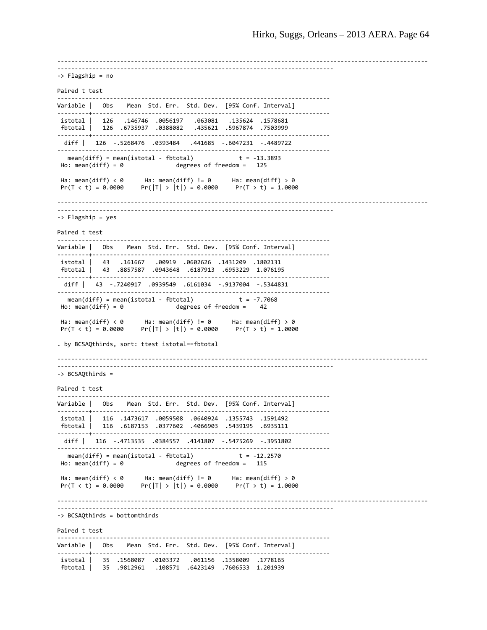‐‐‐‐‐‐‐‐‐‐‐‐‐‐‐‐‐‐‐‐‐‐‐‐‐‐‐‐‐‐‐‐‐‐‐‐‐‐‐‐‐‐‐‐‐‐‐‐‐‐‐‐‐‐‐‐‐‐‐‐‐‐‐‐‐‐‐‐‐‐‐‐‐‐‐‐‐‐‐‐‐‐‐‐‐‐‐‐‐‐‐‐‐‐‐‐‐‐‐‐‐‐‐‐‐‐ ‐‐‐‐‐‐‐‐‐‐‐‐‐‐‐‐‐‐‐‐‐‐‐‐‐‐‐‐‐‐‐‐‐‐‐‐‐‐‐‐‐‐‐‐‐‐‐‐‐‐‐‐‐‐‐‐‐‐‐‐‐‐‐‐‐‐‐‐‐‐‐‐‐‐‐‐‐‐‐ ‐> Flagship = no Paired t test ‐‐‐‐‐‐‐‐‐‐‐‐‐‐‐‐‐‐‐‐‐‐‐‐‐‐‐‐‐‐‐‐‐‐‐‐‐‐‐‐‐‐‐‐‐‐‐‐‐‐‐‐‐‐‐‐‐‐‐‐‐‐‐‐‐‐‐‐‐‐‐‐‐‐‐‐‐‐ Variable | Obs Mean Std. Err. Std. Dev. [95% Conf. Interval] ‐‐‐‐‐‐‐‐‐+‐‐‐‐‐‐‐‐‐‐‐‐‐‐‐‐‐‐‐‐‐‐‐‐‐‐‐‐‐‐‐‐‐‐‐‐‐‐‐‐‐‐‐‐‐‐‐‐‐‐‐‐‐‐‐‐‐‐‐‐‐‐‐‐‐‐‐‐ istotal | 126 .146746 .0056197 .063081 .135624 .1578681 fbtotal | 126 .6735937 .0388082 .435621 .5967874 .7503999 ‐‐‐‐‐‐‐‐‐+‐‐‐‐‐‐‐‐‐‐‐‐‐‐‐‐‐‐‐‐‐‐‐‐‐‐‐‐‐‐‐‐‐‐‐‐‐‐‐‐‐‐‐‐‐‐‐‐‐‐‐‐‐‐‐‐‐‐‐‐‐‐‐‐‐‐‐‐ diff | 126 ‐.5268476 .0393484 .441685 ‐.6047231 ‐.4489722 ‐‐‐‐‐‐‐‐‐‐‐‐‐‐‐‐‐‐‐‐‐‐‐‐‐‐‐‐‐‐‐‐‐‐‐‐‐‐‐‐‐‐‐‐‐‐‐‐‐‐‐‐‐‐‐‐‐‐‐‐‐‐‐‐‐‐‐‐‐‐‐‐‐‐‐‐‐‐ mean(diff) = mean(istotal ‐ fbtotal) t = ‐13.3893 Ho:  $mean(diff) = 0$  degrees of freedom = 125 Ha: mean(diff) < 0 Ha: mean(diff) != 0 Ha: mean(diff) > 0  $Pr(T < t) = 0.0000$   $Pr(|T| > |t|) = 0.0000$   $Pr(T > t) = 1.0000$ ‐‐‐‐‐‐‐‐‐‐‐‐‐‐‐‐‐‐‐‐‐‐‐‐‐‐‐‐‐‐‐‐‐‐‐‐‐‐‐‐‐‐‐‐‐‐‐‐‐‐‐‐‐‐‐‐‐‐‐‐‐‐‐‐‐‐‐‐‐‐‐‐‐‐‐‐‐‐‐‐‐‐‐‐‐‐‐‐‐‐‐‐‐‐‐‐‐‐‐‐‐‐‐‐‐‐ ‐‐‐‐‐‐‐‐‐‐‐‐‐‐‐‐‐‐‐‐‐‐‐‐‐‐‐‐‐‐‐‐‐‐‐‐‐‐‐‐‐‐‐‐‐‐‐‐‐‐‐‐‐‐‐‐‐‐‐‐‐‐‐‐‐‐‐‐‐‐‐‐‐‐‐‐‐‐‐ ‐> Flagship = yes Paired t test ‐‐‐‐‐‐‐‐‐‐‐‐‐‐‐‐‐‐‐‐‐‐‐‐‐‐‐‐‐‐‐‐‐‐‐‐‐‐‐‐‐‐‐‐‐‐‐‐‐‐‐‐‐‐‐‐‐‐‐‐‐‐‐‐‐‐‐‐‐‐‐‐‐‐‐‐‐‐ Variable | Obs Mean Std. Err. Std. Dev. [95% Conf. Interval] ‐‐‐‐‐‐‐‐‐+‐‐‐‐‐‐‐‐‐‐‐‐‐‐‐‐‐‐‐‐‐‐‐‐‐‐‐‐‐‐‐‐‐‐‐‐‐‐‐‐‐‐‐‐‐‐‐‐‐‐‐‐‐‐‐‐‐‐‐‐‐‐‐‐‐‐‐‐ istotal | 43 .161667 .00919 .0602626 .1431209 .1802131 fbtotal | 43 .8857587 .0943648 .6187913 .6953229 1.076195 ‐‐‐‐‐‐‐‐‐+‐‐‐‐‐‐‐‐‐‐‐‐‐‐‐‐‐‐‐‐‐‐‐‐‐‐‐‐‐‐‐‐‐‐‐‐‐‐‐‐‐‐‐‐‐‐‐‐‐‐‐‐‐‐‐‐‐‐‐‐‐‐‐‐‐‐‐‐ diff | 43 ‐.7240917 .0939549 .6161034 ‐.9137004 ‐.5344831 ‐‐‐‐‐‐‐‐‐‐‐‐‐‐‐‐‐‐‐‐‐‐‐‐‐‐‐‐‐‐‐‐‐‐‐‐‐‐‐‐‐‐‐‐‐‐‐‐‐‐‐‐‐‐‐‐‐‐‐‐‐‐‐‐‐‐‐‐‐‐‐‐‐‐‐‐‐‐ mean(diff) = mean(istotal - fbtotal)<br>Ho: mean(diff) = 0 degrees degrees of freedom = Ha: mean(diff)  $\langle 0 \rangle$  Ha: mean(diff) != 0 Ha: mean(diff) > 0  $Pr(T < t) = 0.0000$   $Pr(|T| > |t|) = 0.0000$   $Pr(T > t) = 1.0000$ . by BCSAQthirds, sort: ttest istotal==fbtotal ‐‐‐‐‐‐‐‐‐‐‐‐‐‐‐‐‐‐‐‐‐‐‐‐‐‐‐‐‐‐‐‐‐‐‐‐‐‐‐‐‐‐‐‐‐‐‐‐‐‐‐‐‐‐‐‐‐‐‐‐‐‐‐‐‐‐‐‐‐‐‐‐‐‐‐‐‐‐‐‐‐‐‐‐‐‐‐‐‐‐‐‐‐‐‐‐‐‐‐‐‐‐‐‐‐‐ ‐‐‐‐‐‐‐‐‐‐‐‐‐‐‐‐‐‐‐‐‐‐‐‐‐‐‐‐‐‐‐‐‐‐‐‐‐‐‐‐‐‐‐‐‐‐‐‐‐‐‐‐‐‐‐‐‐‐‐‐‐‐‐‐‐‐‐‐‐‐‐‐‐‐‐‐‐‐‐ ‐> BCSAQthirds = Paired t test ‐‐‐‐‐‐‐‐‐‐‐‐‐‐‐‐‐‐‐‐‐‐‐‐‐‐‐‐‐‐‐‐‐‐‐‐‐‐‐‐‐‐‐‐‐‐‐‐‐‐‐‐‐‐‐‐‐‐‐‐‐‐‐‐‐‐‐‐‐‐‐‐‐‐‐‐‐‐ Variable | Obs Mean Std. Err. Std. Dev. [95% Conf. Interval] ‐‐‐‐‐‐‐‐‐+‐‐‐‐‐‐‐‐‐‐‐‐‐‐‐‐‐‐‐‐‐‐‐‐‐‐‐‐‐‐‐‐‐‐‐‐‐‐‐‐‐‐‐‐‐‐‐‐‐‐‐‐‐‐‐‐‐‐‐‐‐‐‐‐‐‐‐‐ istotal | 116 .1473617 .0059508 .0640924 .1355743 .1591492 fbtotal | 116 .6187153 .0377602 .4066903 .5439195 .6935111 ‐‐‐‐‐‐‐‐‐+‐‐‐‐‐‐‐‐‐‐‐‐‐‐‐‐‐‐‐‐‐‐‐‐‐‐‐‐‐‐‐‐‐‐‐‐‐‐‐‐‐‐‐‐‐‐‐‐‐‐‐‐‐‐‐‐‐‐‐‐‐‐‐‐‐‐‐‐ diff | 116 ‐.4713535 .0384557 .4141807 ‐.5475269 ‐.3951802 ‐‐‐‐‐‐‐‐‐‐‐‐‐‐‐‐‐‐‐‐‐‐‐‐‐‐‐‐‐‐‐‐‐‐‐‐‐‐‐‐‐‐‐‐‐‐‐‐‐‐‐‐‐‐‐‐‐‐‐‐‐‐‐‐‐‐‐‐‐‐‐‐‐‐‐‐‐‐ mean(diff) = mean(istotal ‐ fbtotal) t = ‐12.2570  $Ho: mean(diff) = 0$  degrees of freedom = 115 Ha: mean(diff) < 0  $\overline{a}$  Ha: mean(diff) != 0  $\overline{a}$  Ha: mean(diff) > 0  $Pr(T < t) = 0.0000$   $Pr(|T| > |t|) = 0.0000$   $Pr(T > t) = 1.0000$ ‐‐‐‐‐‐‐‐‐‐‐‐‐‐‐‐‐‐‐‐‐‐‐‐‐‐‐‐‐‐‐‐‐‐‐‐‐‐‐‐‐‐‐‐‐‐‐‐‐‐‐‐‐‐‐‐‐‐‐‐‐‐‐‐‐‐‐‐‐‐‐‐‐‐‐‐‐‐‐‐‐‐‐‐‐‐‐‐‐‐‐‐‐‐‐‐‐‐‐‐‐‐‐‐‐‐ ‐‐‐‐‐‐‐‐‐‐‐‐‐‐‐‐‐‐‐‐‐‐‐‐‐‐‐‐‐‐‐‐‐‐‐‐‐‐‐‐‐‐‐‐‐‐‐‐‐‐‐‐‐‐‐‐‐‐‐‐‐‐‐‐‐‐‐‐‐‐‐‐‐‐‐‐‐‐‐ ‐> BCSAQthirds = bottomthirds Paired t test ‐‐‐‐‐‐‐‐‐‐‐‐‐‐‐‐‐‐‐‐‐‐‐‐‐‐‐‐‐‐‐‐‐‐‐‐‐‐‐‐‐‐‐‐‐‐‐‐‐‐‐‐‐‐‐‐‐‐‐‐‐‐‐‐‐‐‐‐‐‐‐‐‐‐‐‐‐‐ Variable | Obs Mean Std. Err. Std. Dev. [95% Conf. Interval] ‐‐‐‐‐‐‐‐‐+‐‐‐‐‐‐‐‐‐‐‐‐‐‐‐‐‐‐‐‐‐‐‐‐‐‐‐‐‐‐‐‐‐‐‐‐‐‐‐‐‐‐‐‐‐‐‐‐‐‐‐‐‐‐‐‐‐‐‐‐‐‐‐‐‐‐‐‐ istotal | 35 .1568087 .0103372 .061156 .1358009 .1778165 fbtotal | 35 .9812961 .108571 .6423149 .7606533 1.201939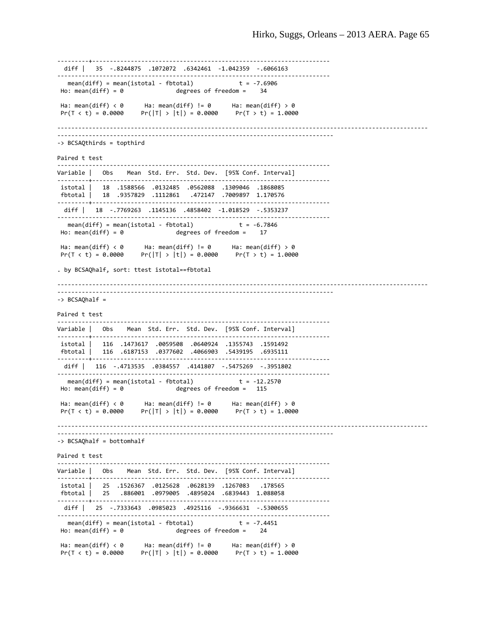```
‐‐‐‐‐‐‐‐‐+‐‐‐‐‐‐‐‐‐‐‐‐‐‐‐‐‐‐‐‐‐‐‐‐‐‐‐‐‐‐‐‐‐‐‐‐‐‐‐‐‐‐‐‐‐‐‐‐‐‐‐‐‐‐‐‐‐‐‐‐‐‐‐‐‐‐‐‐ 
   diff |   35  ‐.8244875  .1072072  .6342461  ‐1.042359  ‐.6066163
‐‐‐‐‐‐‐‐‐‐‐‐‐‐‐‐‐‐‐‐‐‐‐‐‐‐‐‐‐‐‐‐‐‐‐‐‐‐‐‐‐‐‐‐‐‐‐‐‐‐‐‐‐‐‐‐‐‐‐‐‐‐‐‐‐‐‐‐‐‐‐‐‐‐‐‐‐‐ 
   mean(diff) = mean(istotal ‐ fbtotal)             t = ‐7.6906
                                degrees of freedom = 34
Ha: mean(diff) < 0      Ha: mean(diff) != 0      Ha: mean(diff) > 0
                       Pr(|T| > |t|) = 0.0000‐‐‐‐‐‐‐‐‐‐‐‐‐‐‐‐‐‐‐‐‐‐‐‐‐‐‐‐‐‐‐‐‐‐‐‐‐‐‐‐‐‐‐‐‐‐‐‐‐‐‐‐‐‐‐‐‐‐‐‐‐‐‐‐‐‐‐‐‐‐‐‐‐‐‐‐‐‐‐‐‐‐‐‐‐‐‐‐‐‐‐‐‐‐‐‐‐‐‐‐‐‐‐‐‐‐
‐‐‐‐‐‐‐‐‐‐‐‐‐‐‐‐‐‐‐‐‐‐‐‐‐‐‐‐‐‐‐‐‐‐‐‐‐‐‐‐‐‐‐‐‐‐‐‐‐‐‐‐‐‐‐‐‐‐‐‐‐‐‐‐‐‐‐‐‐‐‐‐‐‐‐‐‐‐‐ 
‐> BCSAQthirds = topthird
Paired t test
‐‐‐‐‐‐‐‐‐‐‐‐‐‐‐‐‐‐‐‐‐‐‐‐‐‐‐‐‐‐‐‐‐‐‐‐‐‐‐‐‐‐‐‐‐‐‐‐‐‐‐‐‐‐‐‐‐‐‐‐‐‐‐‐‐‐‐‐‐‐‐‐‐‐‐‐‐‐ 
Variable | Obs Mean Std. Err. Std. Dev. [95% Conf. Interval]
           ……………………………………………………………………………
istotal |   18  .1588566  .0132485  .0562088  .1309046  .1868085
fbtotal |   18  .9357829  .1112861   .472147  .7009897  1.170576
‐‐‐‐‐‐‐‐‐+‐‐‐‐‐‐‐‐‐‐‐‐‐‐‐‐‐‐‐‐‐‐‐‐‐‐‐‐‐‐‐‐‐‐‐‐‐‐‐‐‐‐‐‐‐‐‐‐‐‐‐‐‐‐‐‐‐‐‐‐‐‐‐‐‐‐‐‐ 
   diff |   18  ‐.7769263  .1145136  .4858402  ‐1.018529  ‐.5353237
‐‐‐‐‐‐‐‐‐‐‐‐‐‐‐‐‐‐‐‐‐‐‐‐‐‐‐‐‐‐‐‐‐‐‐‐‐‐‐‐‐‐‐‐‐‐‐‐‐‐‐‐‐‐‐‐‐‐‐‐‐‐‐‐‐‐‐‐‐‐‐‐‐‐‐‐‐‐ 
     mean(diff) = mean(istotal ‐ fbtotal)             t = ‐6.7846
Ho: mean(diff) = \theta degrees of freedom = 17
Ha: mean(diff) < 0 Ha: mean(diff) != 0 Ha: mean(diff) > 0
Pr(T < t) = 0.0000 Pr(|T| > |t|) = 0.0000 Pr(T > t) = 1.0000. by BCSAQhalf, sort: ttest istotal==fbtotal
 ‐‐‐‐‐‐‐‐‐‐‐‐‐‐‐‐‐‐‐‐‐‐‐‐‐‐‐‐‐‐‐‐‐‐‐‐‐‐‐‐‐‐‐‐‐‐‐‐‐‐‐‐‐‐‐‐‐‐‐‐‐‐‐‐‐‐‐‐‐‐‐‐‐‐‐‐‐‐‐‐‐‐‐‐‐‐‐‐‐‐‐‐‐‐‐‐‐‐‐‐‐‐‐‐‐‐
‐‐‐‐‐‐‐‐‐‐‐‐‐‐‐‐‐‐‐‐‐‐‐‐‐‐‐‐‐‐‐‐‐‐‐‐‐‐‐‐‐‐‐‐‐‐‐‐‐‐‐‐‐‐‐‐‐‐‐‐‐‐‐‐‐‐‐‐‐‐‐‐‐‐‐‐‐‐‐ 
‐> BCSAQhalf =  
Paired t test
‐‐‐‐‐‐‐‐‐‐‐‐‐‐‐‐‐‐‐‐‐‐‐‐‐‐‐‐‐‐‐‐‐‐‐‐‐‐‐‐‐‐‐‐‐‐‐‐‐‐‐‐‐‐‐‐‐‐‐‐‐‐‐‐‐‐‐‐‐‐‐‐‐‐‐‐‐‐ 
Variable | Obs    Mean  Std. Err.  Std. Dev.    [95% Conf. Interval]
‐‐‐‐‐‐‐‐‐+‐‐‐‐‐‐‐‐‐‐‐‐‐‐‐‐‐‐‐‐‐‐‐‐‐‐‐‐‐‐‐‐‐‐‐‐‐‐‐‐‐‐‐‐‐‐‐‐‐‐‐‐‐‐‐‐‐‐‐‐‐‐‐‐‐‐‐‐ 
istotal |   116  .1473617  .0059508  .0640924  .1355743  .1591492
fbtotal |   116  .6187153  .0377602  .4066903  .5439195  .6935111
       ‐‐‐‐‐‐‐‐‐+‐‐‐‐‐‐‐‐‐‐‐‐‐‐‐‐‐‐‐‐‐‐‐‐‐‐‐‐‐‐‐‐‐‐‐‐‐‐‐‐‐‐‐‐‐‐‐‐‐‐‐‐‐‐‐‐‐‐‐‐‐‐‐‐‐‐‐‐ 
   diff |   116  ‐.4713535  .0384557  .4141807  ‐.5475269  ‐.3951802
 ‐‐‐‐‐‐‐‐‐‐‐‐‐‐‐‐‐‐‐‐‐‐‐‐‐‐‐‐‐‐‐‐‐‐‐‐‐‐‐‐‐‐‐‐‐‐‐‐‐‐‐‐‐‐‐‐‐‐‐‐‐‐‐‐‐‐‐‐‐‐‐‐‐‐‐‐‐‐ 
mean(diff) = mean(istotal - fbtotal) t = -12.2570<br>Ho: mean(diff) = 0 degrees of freedom = 115
                                  degrees of freedom = 115Ha: mean(diff) < 0      Ha: mean(diff) != 0      Ha: mean(diff) > 0
                       Pr(|T| > |t|) = 0.0000‐‐‐‐‐‐‐‐‐‐‐‐‐‐‐‐‐‐‐‐‐‐‐‐‐‐‐‐‐‐‐‐‐‐‐‐‐‐‐‐‐‐‐‐‐‐‐‐‐‐‐‐‐‐‐‐‐‐‐‐‐‐‐‐‐‐‐‐‐‐‐‐‐‐‐‐‐‐‐‐‐‐‐‐‐‐‐‐‐‐‐‐‐‐‐‐‐‐‐‐‐‐‐‐‐‐
‐‐‐‐‐‐‐‐‐‐‐‐‐‐‐‐‐‐‐‐‐‐‐‐‐‐‐‐‐‐‐‐‐‐‐‐‐‐‐‐‐‐‐‐‐‐‐‐‐‐‐‐‐‐‐‐‐‐‐‐‐‐‐‐‐‐‐‐‐‐‐‐‐‐‐‐‐‐‐ 
‐> BCSAQhalf = bottomhalf
Paired t test
‐‐‐‐‐‐‐‐‐‐‐‐‐‐‐‐‐‐‐‐‐‐‐‐‐‐‐‐‐‐‐‐‐‐‐‐‐‐‐‐‐‐‐‐‐‐‐‐‐‐‐‐‐‐‐‐‐‐‐‐‐‐‐‐‐‐‐‐‐‐‐‐‐‐‐‐‐‐ 
Variable | Obs    Mean  Std. Err.  Std. Dev.    [95% Conf. Interval]
‐‐‐‐‐‐‐‐‐+‐‐‐‐‐‐‐‐‐‐‐‐‐‐‐‐‐‐‐‐‐‐‐‐‐‐‐‐‐‐‐‐‐‐‐‐‐‐‐‐‐‐‐‐‐‐‐‐‐‐‐‐‐‐‐‐‐‐‐‐‐‐‐‐‐‐‐‐ 
istotal |   25  .1526367  .0125628  .0628139  .1267083   .178565
fbtotal |   25   .886001  .0979005  .4895024  .6839443  1.088058
‐‐‐‐‐‐‐‐‐+‐‐‐‐‐‐‐‐‐‐‐‐‐‐‐‐‐‐‐‐‐‐‐‐‐‐‐‐‐‐‐‐‐‐‐‐‐‐‐‐‐‐‐‐‐‐‐‐‐‐‐‐‐‐‐‐‐‐‐‐‐‐‐‐‐‐‐‐ 
   diff |   25  ‐.7333643  .0985023  .4925116  ‐.9366631  ‐.5300655
‐‐‐‐‐‐‐‐‐‐‐‐‐‐‐‐‐‐‐‐‐‐‐‐‐‐‐‐‐‐‐‐‐‐‐‐‐‐‐‐‐‐‐‐‐‐‐‐‐‐‐‐‐‐‐‐‐‐‐‐‐‐‐‐‐‐‐‐‐‐‐‐‐‐‐‐‐‐ 
     mean(diff) = mean(istotal ‐ fbtotal)             t = ‐7.4451
Ho: mean(diff) = \theta degrees of freedom = 24
 Ha: mean(diff) < 0      Ha: mean(diff) != 0      Ha: mean(diff) > 0
 Pr(T < t) = 0.0000     Pr(|T| > |t|) = 0.0000     Pr(T > t) = 1.0000
```